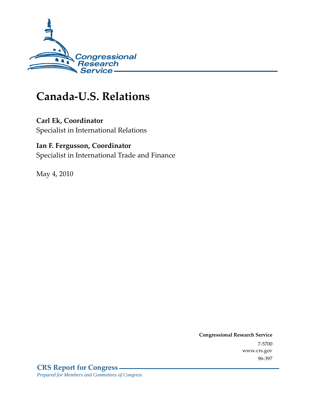

# **Canada-U.S. Relations**

# **Carl Ek, Coordinator**

Specialist in International Relations

## **Ian F. Fergusson, Coordinator**

Specialist in International Trade and Finance

May 4, 2010

**Congressional Research Service** 7-5700 www.crs.gov 96-397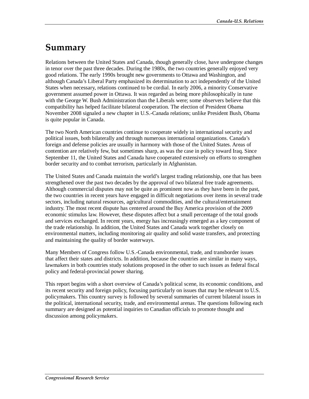# **Summary**

Relations between the United States and Canada, though generally close, have undergone changes in tenor over the past three decades. During the 1980s, the two countries generally enjoyed very good relations. The early 1990s brought new governments to Ottawa and Washington, and although Canada's Liberal Party emphasized its determination to act independently of the United States when necessary, relations continued to be cordial. In early 2006, a minority Conservative government assumed power in Ottawa. It was regarded as being more philosophically in tune with the George W. Bush Administration than the Liberals were; some observers believe that this compatibility has helped facilitate bilateral cooperation. The election of President Obama November 2008 signaled a new chapter in U.S.-Canada relations; unlike President Bush, Obama is quite popular in Canada.

The two North American countries continue to cooperate widely in international security and political issues, both bilaterally and through numerous international organizations. Canada's foreign and defense policies are usually in harmony with those of the United States. Areas of contention are relatively few, but sometimes sharp, as was the case in policy toward Iraq. Since September 11, the United States and Canada have cooperated extensively on efforts to strengthen border security and to combat terrorism, particularly in Afghanistan.

The United States and Canada maintain the world's largest trading relationship, one that has been strengthened over the past two decades by the approval of two bilateral free trade agreements. Although commercial disputes may not be quite as prominent now as they have been in the past, the two countries in recent years have engaged in difficult negotiations over items in several trade sectors, including natural resources, agricultural commodities, and the cultural/entertainment industry. The most recent dispute has centered around the Buy America provision of the 2009 economic stimulus law. However, these disputes affect but a small percentage of the total goods and services exchanged. In recent years, energy has increasingly emerged as a key component of the trade relationship. In addition, the United States and Canada work together closely on environmental matters, including monitoring air quality and solid waste transfers, and protecting and maintaining the quality of border waterways.

Many Members of Congress follow U.S.-Canada environmental, trade, and transborder issues that affect their states and districts. In addition, because the countries are similar in many ways, lawmakers in both countries study solutions proposed in the other to such issues as federal fiscal policy and federal-provincial power sharing.

This report begins with a short overview of Canada's political scene, its economic conditions, and its recent security and foreign policy, focusing particularly on issues that may be relevant to U.S. policymakers. This country survey is followed by several summaries of current bilateral issues in the political, international security, trade, and environmental arenas. The questions following each summary are designed as potential inquiries to Canadian officials to promote thought and discussion among policymakers.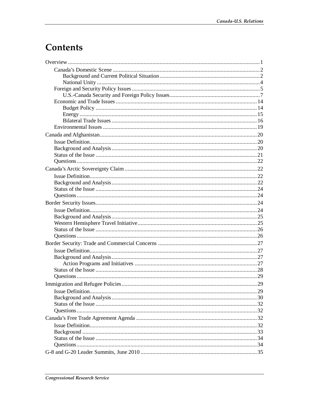# **Contents**

| Immigration and Refugee Policies |  |
|----------------------------------|--|
|                                  |  |
|                                  |  |
|                                  |  |
|                                  |  |
|                                  |  |
|                                  |  |
|                                  |  |
|                                  |  |
|                                  |  |
|                                  |  |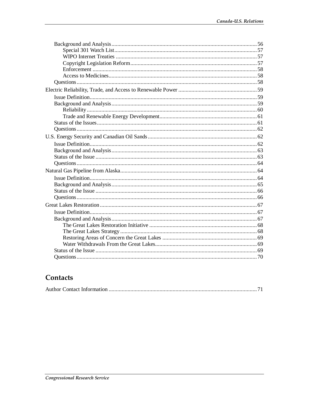## Contacts

|--|--|--|--|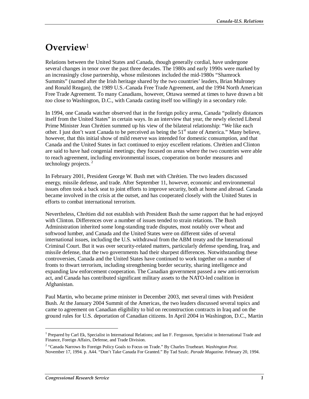# **Overview**<sup>1</sup>

Relations between the United States and Canada, though generally cordial, have undergone several changes in tenor over the past three decades. The 1980s and early 1990s were marked by an increasingly close partnership, whose milestones included the mid-1980s "Shamrock Summits" (named after the Irish heritage shared by the two countries' leaders, Brian Mulroney and Ronald Reagan), the 1989 U.S.-Canada Free Trade Agreement, and the 1994 North American Free Trade Agreement. To many Canadians, however, Ottawa seemed at times to have drawn a bit *too* close to Washington, D.C., with Canada casting itself too willingly in a secondary role.

In 1994, one Canada watcher observed that in the foreign policy arena, Canada "politely distances itself from the United States" in certain ways. In an interview that year, the newly elected Liberal Prime Minister Jean Chrétien summed up his view of the bilateral relationship: "We like each other. I just don't want Canada to be perceived as being the  $51<sup>st</sup>$  state of America." Many believe, however, that this initial show of mild reserve was intended for domestic consumption, and that Canada and the United States in fact continued to enjoy excellent relations. Chrétien and Clinton are said to have had congenial meetings; they focused on areas where the two countries were able to reach agreement, including environmental issues, cooperation on border measures and technology projects. $2$ 

In February 2001, President George W. Bush met with Chrétien. The two leaders discussed energy, missile defense, and trade. After September 11, however, economic and environmental issues often took a back seat to joint efforts to improve security, both at home and abroad. Canada became involved in the crisis at the outset, and has cooperated closely with the United States in efforts to combat international terrorism.

Nevertheless, Chrétien did not establish with President Bush the same rapport that he had enjoyed with Clinton. Differences over a number of issues tended to strain relations. The Bush Administration inherited some long-standing trade disputes, most notably over wheat and softwood lumber, and Canada and the United States were on different sides of several international issues, including the U.S. withdrawal from the ABM treaty and the International Criminal Court. But it was over security-related matters, particularly defense spending, Iraq, and missile defense, that the two governments had their sharpest differences. Notwithstanding these controversies, Canada and the United States have continued to work together on a number of fronts to thwart terrorism, including strengthening border security, sharing intelligence and expanding law enforcement cooperation. The Canadian government passed a new anti-terrorism act, and Canada has contributed significant military assets to the NATO-led coalition in Afghanistan.

Paul Martin, who became prime minister in December 2003, met several times with President Bush. At the January 2004 Summit of the Americas, the two leaders discussed several topics and came to agreement on Canadian eligibility to bid on reconstruction contracts in Iraq and on the ground rules for U.S. deportation of Canadian citizens. In April 2004 in Washington, D.C., Martin

<sup>&</sup>lt;sup>1</sup> Prepared by Carl Ek, Specialist in International Relations; and Ian F. Fergusson, Specialist in International Trade and Finance, Foreign Affairs, Defense, and Trade Division.

<sup>2</sup> "Canada Narrows Its Foreign Policy Goals to Focus on Trade." By Charles Trueheart. *Washington Post*. November 17, 1994. p. A44. "Don't Take Canada For Granted." By Tad Szulc. *Parade Magazine*. February 20, 1994.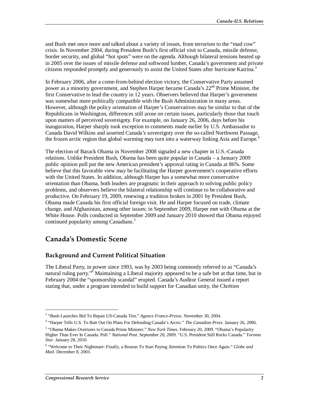and Bush met once more and talked about a variety of issues, from terrorism to the "mad cow" crisis. In November 2004, during President Bush's first official visit to Canada, missile defense, border security, and global "hot spots" were on the agenda. Although bilateral tensions heated up in 2005 over the issues of missile defense and softwood lumber, Canada's government and private citizens responded promptly and generously to assist the United States after hurricane Katrina.<sup>3</sup>

In February 2006, after a come-from-behind election victory, the Conservative Party assumed power as a minority government, and Stephen Harper became Canada's  $22<sup>nd</sup>$  Prime Minister, the first Conservative to lead the country in 12 years. Observers believed that Harper's government was somewhat more politically compatible with the Bush Administration in many areas. However, although the policy orientation of Harper's Conservatives may be similar to that of the Republicans in Washington, differences still arose on certain issues, particularly those that touch upon matters of perceived sovereignty. For example, on January 26, 2006, days before his inauguration, Harper sharply took exception to comments made earlier by U.S. Ambassador to Canada David Wilkins and asserted Canada's sovereignty over the so-called Northwest Passage, the frozen arctic region that global warming may turn into a waterway linking Asia and Europe.<sup>4</sup>

The election of Barack Obama in November 2008 signaled a new chapter in U.S.-Canada relations. Unlike President Bush, Obama has been quite popular in Canada – a January 2009 public opinion poll put the new American president's approval rating in Canada at 86%. Some believe that this favorable view may be facilitating the Harper government's cooperative efforts with the United States. In addition, although Harper has a somewhat more conservative orientation than Obama, both leaders are pragmatic in their approach to solving public policy problems, and observers believe the bilateral relationship will continue to be collaborative and productive. On February 19, 2009, renewing a tradition broken in 2001 by President Bush, Obama made Canada his first official foreign visit. He and Harper focused on trade, climate change, and Afghanistan, among other issues; in September 2009, Harper met with Obama at the White House. Polls conducted in September 2009 and January 2010 showed that Obama enjoyed continued popularity among Canadians.<sup>5</sup>

### **Canada's Domestic Scene**

#### **Background and Current Political Situation**

The Liberal Party, in power since 1993, was by 2003 being commonly referred to as "Canada's natural ruling party."<sup>6</sup> Maintaining a Liberal majority appeared to be a safe bet at that time, but in February 2004 the "sponsorship scandal" erupted. Canada's Auditor General issued a report stating that, under a program intended to build support for Canadian unity, the Chrétien

<sup>&</sup>lt;sup>3</sup> "Bush Launches Bid To Repair US-Canada Ties." *Agence France-Presse*. November 30, 2004.<br><sup>4</sup> "Herper Tells U.S. To Butt Out On Blans For Defending Canada's Arstia." *The Canadian Bress* 

 <sup>&</sup>quot;Harper Tells U.S. To Butt Out On Plans For Defending Canada's Arctic." *The Canadian Press*. January 26, 2006.

<sup>5</sup> "Obama Makes Overtures to Canada Prime Minister." *New York Times*. February 20, 2009. "Obama's Popularity Higher Than Ever In Canada: Poll." *National Post*. September 20, 2009. "U.S. President Still Rocks Canada." *Toronto Star*. January 28, 2010.

<sup>&</sup>lt;sup>6</sup> "Welcome to Their Nightmare: Finally, a Reason To Start Paying Attention To Politics Once Again." *Globe and Mail*. December 8, 2003.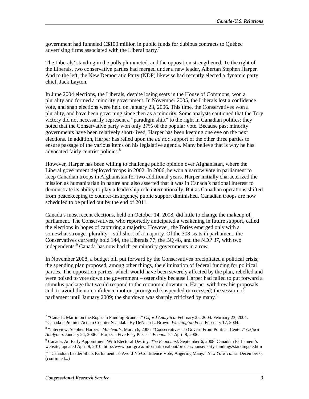government had funneled C\$100 million in public funds for dubious contracts to Québec advertising firms associated with the Liberal party.<sup>7</sup>

The Liberals' standing in the polls plummeted, and the opposition strengthened. To the right of the Liberals, two conservative parties had merged under a new leader, Albertan Stephen Harper. And to the left, the New Democratic Party (NDP) likewise had recently elected a dynamic party chief, Jack Layton.

In June 2004 elections, the Liberals, despite losing seats in the House of Commons, won a plurality and formed a minority government. In November 2005, the Liberals lost a confidence vote, and snap elections were held on January 23, 2006. This time, the Conservatives won a plurality, and have been governing since then as a minority. Some analysts cautioned that the Tory victory did not necessarily represent a "paradigm shift" to the right in Canadian politics; they noted that the Conservative party won only 37% of the popular vote. Because past minority governments have been relatively short-lived, Harper has been keeping one eye on the next elections. In addition, Harper has relied upon the *ad hoc* support of the other three parties to ensure passage of the various items on his legislative agenda. Many believe that is why he has advocated fairly centrist policies.<sup>8</sup>

However, Harper has been willing to challenge public opinion over Afghanistan, where the Liberal government deployed troops in 2002. In 2006, he won a narrow vote in parliament to keep Canadian troops in Afghanistan for two additional years. Harper initially characterized the mission as humanitarian in nature and also asserted that it was in Canada's national interest to demonstrate its ability to play a leadership role internationally. But as Canadian operations shifted from peacekeeping to counter-insurgency, public support diminished. Canadian troops are now scheduled to be pulled out by the end of 2011.

Canada's most recent elections, held on October 14, 2008, did little to change the makeup of parliament. The Conservatives, who reportedly anticipated a weakening in future support, called the elections in hopes of capturing a majority. However, the Tories emerged only with a somewhat stronger plurality – still short of a majority. Of the 308 seats in parliament, the Conservatives currently hold 144, the Liberals 77, the BQ 48, and the NDP 37, with two independents.<sup>9</sup> Canada has now had three minority governments in a row.

In November 2008, a budget bill put forward by the Conservatives precipitated a political crisis; the spending plan proposed, among other things, the elimination of federal funding for political parties. The opposition parties, which would have been severely affected by the plan, rebelled and were poised to vote down the government – ostensibly because Harper had failed to put forward a stimulus package that would respond to the economic downturn. Harper withdrew his proposals and, to avoid the no-confidence motion, prorogued (suspended or recessed) the session of parliament until January 2009; the shutdown was sharply criticized by many.<sup>10</sup>

<sup>&</sup>lt;sup>7</sup> "Canada: Martin on the Ropes in Funding Scandal." Oxford Analytica. February 25, 2004. February 23, 2004. "Canada's Premier Acts to Counter Scandal." By DeNeen L. Brown. *Washington Post*. February 17, 2004.

<sup>8</sup> "Interview: Stephen Harper." *Maclean's*. March 6, 2006. "Conservatives To Govern From Political Center." *Oxford Analytica*. January 24, 2006. "Harper's Five Easy Pieces." *Economist*. April 8, 2006.

<sup>9</sup> Canada: An Early Appointment With Electoral Destiny. *The Economist*. September 6, 2008. Canadian Parliament's website, updated April 9, 2010: http://www.parl.gc.ca/information/about/process/house/partystandings/standings-e.htm

<sup>10 &</sup>quot;Canadian Leader Shuts Parliament To Avoid No-Confidence Vote, Angering Many." *New York Times*. December 6, (continued...)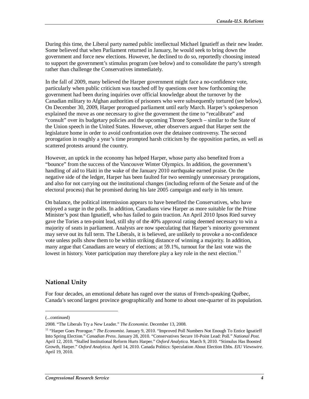During this time, the Liberal party named public intellectual Michael Ignatieff as their new leader. Some believed that when Parliament returned in January, he would seek to bring down the government and force new elections. However, he declined to do so, reportedly choosing instead to support the government's stimulus program (see below) and to consolidate the party's strength rather than challenge the Conservatives immediately.

In the fall of 2009, many believed the Harper government might face a no-confidence vote, particularly when public criticism was touched off by questions over how forthcoming the government had been during inquiries over official knowledge about the turnover by the Canadian military to Afghan authorities of prisoners who were subsequently tortured (see below). On December 30, 2009, Harper prorogued parliament until early March. Harper's spokesperson explained the move as one necessary to give the government the time to "recalibrate" and "consult" over its budgetary policies and the upcoming Throne Speech – similar to the State of the Union speech in the United States. However, other observers argued that Harper sent the legislature home in order to avoid confrontation over the detainee controversy. The second prorogation in roughly a year's time prompted harsh criticism by the opposition parties, as well as scattered protests around the country.

However, an uptick in the economy has helped Harper, whose party also benefited from a "bounce" from the success of the Vancouver Winter Olympics. In addition, the government's handling of aid to Haiti in the wake of the January 2010 earthquake earned praise. On the negative side of the ledger, Harper has been faulted for two seemingly unnecessary prorogations, and also for not carrying out the institutional changes (including reform of the Senate and of the electoral process) that he promised during his late 2005 campaign and early in his tenure.

On balance, the political intermission appears to have benefited the Conservatives, who have enjoyed a surge in the polls. In addition, Canadians view Harper as more suitable for the Prime Minister's post than Ignatieff, who has failed to gain traction. An April 2010 Ipsos Ried survey gave the Tories a ten-point lead, still shy of the 40% approval rating deemed necessary to win a majority of seats in parliament. Analysts are now speculating that Harper's minority government may serve out its full term. The Liberals, it is believed, are unlikely to provoke a no-confidence vote unless polls show them to be within striking distance of winning a majority. In addition, many argue that Canadians are weary of elections; at 59.1%, turnout for the last vote was the lowest in history. Voter participation may therefore play a key role in the next election.<sup>11</sup>

#### **National Unity**

For four decades, an emotional debate has raged over the status of French-speaking Québec, Canada's second largest province geographically and home to about one-quarter of its population.

<sup>(...</sup>continued)

<sup>2008. &</sup>quot;The Liberals Try a New Leader." *The Economist*. December 13, 2008.

<sup>&</sup>lt;sup>11</sup> "Harper Goes Prorogue." *The Economist*. January 9, 2010. "Improved Poll Numbers Not Enough To Entice Ignatieff Into Spring Election." *Canadian Press*. January 28, 2010. "Conservatives Secure 10-Point Lead: Poll." *National Post*. April 12, 2010. "Stalled Institutional Reform Hurts Harper." *Oxford Analytica*. March 9, 2010. "Stimulus Has Boosted Growth, Harper." *Oxford Analytica*. April 14, 2010. Canada Politics: Speculation About Election Ebbs. *EIU Viewswire*. April 19, 2010.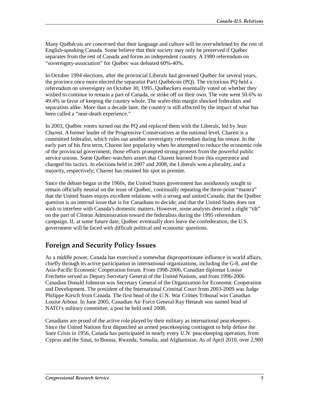Many Québécois are concerned that their language and culture will be overwhelmed by the rest of English-speaking Canada. Some believe that their society may only be preserved if Québec separates from the rest of Canada and forms an independent country. A 1980 referendum on "sovereignty-association" for Québec was defeated 60%-40%.

In October 1994 elections, after the provincial Liberals had governed Québec for several years, the province once more elected the separatist Parti Québécois (PQ). The victorious PQ held a referendum on sovereignty on October 30, 1995. Québeckers essentially voted on whether they wished to continue to remain a part of Canada, or strike off on their own. The vote went 50.6% to 49.4% in favor of keeping the country whole. The wafer-thin margin shocked federalists and separatists alike. More than a decade later, the country is still affected by the impact of what has been called a "near-death experience."

In 2003, Québec voters turned out the PQ and replaced them with the Liberals, led by Jean Charest. A former leader of the Progressive Conservatives at the national level, Charest is a committed federalist, which rules out another sovereignty referendum during his tenure. In the early part of his first term, Charest lost popularity when he attempted to reduce the economic role of the provincial government; those efforts prompted strong protests from the powerful public service unions. Some Québec-watchers assert that Charest learned from this experience and changed his tactics. In elections held in 2007 and 2008, the Liberals won a plurality, and a majority, respectively; Charest has retained his spot as premier.

Since the debate began in the 1960s, the United States government has assiduously sought to remain officially neutral on the issue of Québec, continually repeating the three-point "mantra" that the United States enjoys excellent relations with a strong and united Canada; that the Québec question is an internal issue that is for Canadians to decide; and that the United States does not wish to interfere with Canada's domestic matters. However, some analysts detected a slight "tilt" on the part of Clinton Administration toward the federalists during the 1995 referendum campaign. If, at some future date, Québec eventually *does* leave the confederation, the U.S. government will be faced with difficult political and economic questions.

## **Foreign and Security Policy Issues**

As a middle power, Canada has exercised a somewhat disproportionate influence in world affairs, chiefly through its active participation in international organizations, including the G-8, and the Asia-Pacific Economic Cooperation forum. From 1998-2006, Canadian diplomat Louise Frechette served as Deputy Secretary General of the United Nations, and from 1996-2006 Canadian Donald Johnston was Secretary General of the Organization for Economic Cooperation and Development. The president of the International Criminal Court from 2003-2009 was Judge Philippe Kirsch from Canada. The first head of the U.N. War Crimes Tribunal was Canadian Louise Arbour. In June 2005, Canadian Air Force General Ray Henault was named head of NATO's military committee, a post he held until 2008.

Canadians are proud of the active role played by their military as international peacekeepers. Since the United Nations first dispatched an armed peacekeeping contingent to help defuse the Suez Crisis in 1956, Canada has participated in nearly every U.N. peacekeeping operation, from Cyprus and the Sinai, to Bosnia, Rwanda, Somalia, and Afghanistan. As of April 2010, over 2,900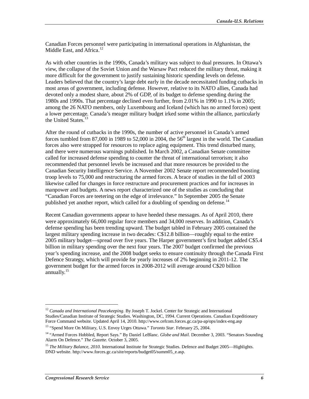Canadian Forces personnel were participating in international operations in Afghanistan, the Middle East, and Africa.<sup>12</sup>

As with other countries in the 1990s, Canada's military was subject to dual pressures. In Ottawa's view, the collapse of the Soviet Union and the Warsaw Pact reduced the military threat, making it more difficult for the government to justify sustaining historic spending levels on defense. Leaders believed that the country's large debt early in the decade necessitated funding cutbacks in most areas of government, including defense. However, relative to its NATO allies, Canada had devoted only a modest share, about 2% of GDP, of its budget to defense spending during the 1980s and 1990s. That percentage declined even further, from 2.01% in 1990 to 1.1% in 2005; among the 26 NATO members, only Luxembourg and Iceland (which has no armed forces) spent a lower percentage. Canada's meager military budget irked some within the alliance, particularly the United States.<sup>13</sup>

After the round of cutbacks in the 1990s, the number of active personnel in Canada's armed forces tumbled from 87,000 in 1989 to 52,000 in 2004, the  $56<sup>th</sup>$  largest in the world. The Canadian forces also were strapped for resources to replace aging equipment. This trend disturbed many, and there were numerous warnings published. In March 2002, a Canadian Senate committee called for increased defense spending to counter the threat of international terrorism; it also recommended that personnel levels be increased and that more resources be provided to the Canadian Security Intelligence Service. A November 2002 Senate report recommended boosting troop levels to 75,000 and restructuring the armed forces. A brace of studies in the fall of 2003 likewise called for changes in force restructure and procurement practices and for increases in manpower and budgets. A news report characterized one of the studies as concluding that "Canadian Forces are teetering on the edge of irrelevance." In September 2005 the Senate published yet another report, which called for a doubling of spending on defense.<sup>14</sup>

Recent Canadian governments appear to have heeded these messages. As of April 2010, there were approximately 66,000 regular force members and 34,000 reserves. In addition, Canada's defense spending has been trending upward. The budget tabled in February 2005 contained the largest military spending increase in two decades: C\$12.8 billion—roughly equal to the entire 2005 military budget—spread over five years. The Harper government's first budget added C\$5.4 billion in military spending over the next four years. The 2007 budget confirmed the previous year's spending increase, and the 2008 budget seeks to ensure continuity through the Canada First Defence Strategy, which will provide for yearly increases of 2% beginning in 2011-12. The government budget for the armed forces in 2008-2012 will average around C\$20 billion  $annually.<sup>15</sup>$ 

<sup>&</sup>lt;sup>12</sup> Canada and International Peacekeeping. By Joseph T. Jockel. Center for Strategic and International Studies/Canadian Institute of Strategic Studies. Washington, DC, 1994. Current Operations. Canadian Expeditionary Force Command website. Updated April 14, 2010. http://www.cefcom.forces.gc.ca/pa-ap/ops/index-eng.asp

<sup>13 &</sup>quot;Spend More On Military, U.S. Envoy Urges Ottawa." *Toronto Star.* February 25, 2004.

<sup>&</sup>lt;sup>14</sup> "Armed Forces Hobbled, Report Says." By Daniel LeBlanc. *Globe and Mail*. December 3, 2003. "Senators Sounding Alarm On Defence." *The Gazette*. October 3, 2005.

<sup>&</sup>lt;sup>15</sup> The Military Balance, 2010. International Institute for Strategic Studies. Defence and Budget 2005—Highlights. DND website. http://www.forces.gc.ca/site/reports/budget05/summ05\_e.asp.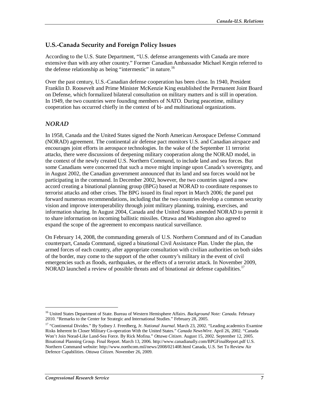#### **U.S.-Canada Security and Foreign Policy Issues**

According to the U.S. State Department, "U.S. defense arrangements with Canada are more extensive than with any other country." Former Canadian Ambassador Michael Kergin referred to the defense relationship as being "intermestic" in nature.<sup>16</sup>

Over the past century, U.S.-Canadian defense cooperation has been close. In 1940, President Franklin D. Roosevelt and Prime Minister McKenzie King established the Permanent Joint Board on Defense, which formalized bilateral consultation on military matters and is still in operation. In 1949, the two countries were founding members of NATO. During peacetime, military cooperation has occurred chiefly in the context of bi- and multinational organizations.

#### *NORAD*

In 1958, Canada and the United States signed the North American Aerospace Defense Command (NORAD) agreement. The continental air defense pact monitors U.S. and Canadian airspace and encourages joint efforts in aerospace technologies. In the wake of the September 11 terrorist attacks, there were discussions of deepening military cooperation along the NORAD model, in the context of the newly created U.S. Northern Command, to include land and sea forces. But some Canadians were concerned that such a move might impinge upon Canada's sovereignty, and in August 2002, the Canadian government announced that its land and sea forces would not be participating in the command. In December 2002, however, the two countries signed a new accord creating a binational planning group (BPG) based at NORAD to coordinate responses to terrorist attacks and other crises. The BPG issued its final report in March 2006; the panel put forward numerous recommendations, including that the two countries develop a common security vision and improve interoperability through joint military planning, training, exercises, and information sharing. In August 2004, Canada and the United States amended NORAD to permit it to share information on incoming ballistic missiles. Ottawa and Washington also agreed to expand the scope of the agreement to encompass nautical surveillance.

On February 14, 2008, the commanding generals of U.S. Northern Command and of its Canadian counterpart, Canada Command, signed a binational Civil Assistance Plan. Under the plan, the armed forces of each country, after appropriate consultation with civilian authorities on both sides of the border, may come to the support of the other country's military in the event of civil emergencies such as floods, earthquakes, or the effects of a terrorist attack. In November 2009, NORAD launched a review of possible threats and of binational air defense capabilities.<sup>17</sup>

<sup>16</sup> United States Department of State. Bureau of Western Hemisphere Affairs. *Background Note: Canada*. February 2010. "Remarks to the Center for Strategic and International Studies." February 28, 2005.

<sup>17 &</sup>quot;Continental Divides." By Sydney J. Freedberg, Jr. *National Journal*. March 23, 2002. "Leading academics Examine Risks Inherent In Closer Military Co-operation With the United States." *Canada NewsWire*. April 26, 2002. "Canada Won't Join Norad-Like Land-Sea Force. By Rick Mofina." *Ottawa Citizen*. August 15, 2002. September 12, 2005. Binational Planning Group. Final Report. March 13, 2006. http://www.canadianally.com/BPGFinalReport.pdf U.S. Northern Command website: http://www.northcom.mil/news/2008/021408.html Canada, U.S. Set To Review Air Defence Capabilities. *Ottawa Citizen*. November 26, 2009.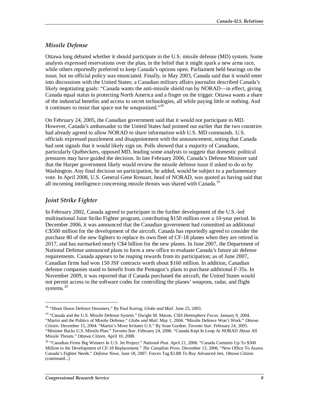#### *Missile Defense*

Ottawa long debated whether it should participate in the U.S. missile defense (MD) system. Some analysts expressed reservations over the plan, in the belief that it might spark a new arms race, while others reportedly preferred to keep Canada's options open. Parliament held hearings on the issue, but no official policy was enunciated. Finally, in May 2003, Canada said that it would enter into discussions with the United States; a Canadian military affairs journalist described Canada's likely negotiating goals: "Canada wants the anti-missile shield run by NORAD—in effect, giving Canada equal status in protecting North America and a finger on the trigger. Ottawa wants a share of the industrial benefits and access to secret technologies, all while paying little or nothing. And it continues to insist that space not be weaponized."<sup>18</sup>

On February 24, 2005, the Canadian government said that it would not participate in MD. However, Canada's ambassador to the United States had pointed out earlier that the two countries had already agreed to allow NORAD to share information with U.S. MD commands. U.S. officials expressed puzzlement and disappointment with the announcement, noting that Canada had sent signals that it would likely sign on. Polls showed that a majority of Canadians, particularly Québeckers, opposed MD, leading some analysts to suggest that domestic political pressures may have guided the decision. In late February 2006, Canada's Defense Minister said that the Harper government likely would review the missile defense issue if asked to do so by Washington. Any final decision on participation, he added, would be subject to a parliamentary vote. In April 2008, U.S. General Gene Renuart, head of NORAD, was quoted as having said that all incoming intelligence concerning missile threats was shared with Canada.<sup>19</sup>

#### *Joint Strike Fighter*

1

In February 2002, Canada agreed to participate in the further development of the U.S.-led multinational Joint Strike Fighter program, contributing \$150 million over a 10-year period. In December 2006, it was announced that the Canadian government had committed an additional C\$500 million for the development of the aircraft. Canada has reportedly agreed to consider the purchase 80 of the new fighters to replace its own fleet of CF-18 planes when they are retired in 2017, and has earmarked nearly C\$4 billion for the new planes. In June 2007, the Department of National Defense announced plans to form a new office to evaluate Canada's future air defense requirements. Canada appears to be reaping rewards from its participation; as of June 2007, Canadian firms had won 150 JSF contracts worth about \$160 million. In addition, Canadian defense companies stand to benefit from the Pentagon's plans to purchase additional F-35s. In November 2009, it was reported that if Canada purchased the aircraft, the United States would not permit access to the software codes for controlling the planes' weapons, radar, and flight systems.<sup>20</sup>

<sup>&</sup>lt;sup>18</sup> "Shoot Down Defence Dreamers." By Paul Koring. *Globe and Mail*. June 25, 2003.

<sup>19 &</sup>quot;Canada and the U.S. Missile Defense System." Dwight M. Mason. *CSIS Hemisphere Focus*. January 9, 2004. "Martin and the Politics of Missile Defense." *Globe and Mail*. May 1, 2004. "Missile Defence Won't Work." *Ottawa Citizen*. December 15, 2004. "Martin's Move Irritates U.S." By Sean Gordon. *Toronto Star*. February 24, 2005. "Minister Backs U.S. Missile Plan." *Toronto Star*. February 24, 2006. "Canada Kept In Loop At NORAD About All Missile Threats." *Ottawa Citizen*. April 10, 2008.

<sup>20 &</sup>quot;Canadian Firms Big Winners In U.S. Jet Project." *National Post*. April 21, 2006. "Canada Commits Up To \$500 Million to the Development of CF-18 Replacement." *The Canadian Press*. December 13, 2006. "New Office To Assess Canada's Fighter Needs." *Defense News*. June 18, 2007. Forces Tag \$3.8B To Buy Advanced Jets. *Ottawa Citizen*. (continued...)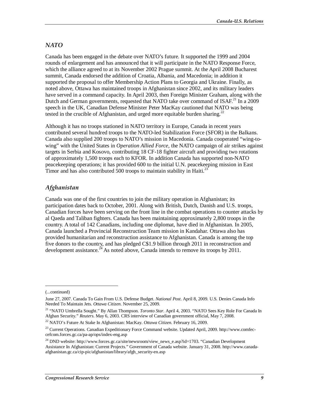#### *NATO*

Canada has been engaged in the debate over NATO's future. It supported the 1999 and 2004 rounds of enlargement and has announced that it will participate in the NATO Response Force, which the alliance agreed to at its November 2002 Prague summit. At the April 2008 Bucharest summit, Canada endorsed the addition of Croatia, Albania, and Macedonia; in addition it supported the proposal to offer Membership Action Plans to Georgia and Ukraine. Finally, as noted above, Ottawa has maintained troops in Afghanistan since 2002, and its military leaders have served in a command capacity. In April 2003, then Foreign Minister Graham, along with the Dutch and German governments, requested that NATO take over command of ISAF.<sup>21</sup> In a 2009 speech in the UK, Canadian Defense Minister Peter MacKay cautioned that NATO was being tested in the crucible of Afghanistan, and urged more equitable burden sharing.<sup>22</sup>

Although it has no troops stationed in NATO territory in Europe, Canada in recent years contributed several hundred troops to the NATO-led Stabilization Force (SFOR) in the Balkans. Canada also supplied 200 troops to NATO's mission in Macedonia. Canada cooperated "wing-towing" with the United States in *Operation Allied Force*, the NATO campaign of air strikes against targets in Serbia and Kosovo, contributing 18 CF-18 fighter aircraft and providing two rotations of approximately 1,500 troops each to KFOR. In addition Canada has supported non-NATO peacekeeping operations; it has provided 600 to the initial U.N. peacekeeping mission in East Timor and has also contributed 500 troops to maintain stability in Haiti.<sup>23</sup>

#### *Afghanistan*

Canada was one of the first countries to join the military operation in Afghanistan; its participation dates back to October, 2001. Along with British, Dutch, Danish and U.S. troops, Canadian forces have been serving on the front line in the combat operations to counter attacks by al Qaeda and Taliban fighters. Canada has been maintaining approximately 2,800 troops in the country. A total of 142 Canadians, including one diplomat, have died in Afghanistan. In 2005, Canada launched a Provincial Reconstruction Team mission in Kandahar. Ottawa also has provided humanitarian and reconstruction assistance to Afghanistan. Canada is among the top five donors to the country, and has pledged C\$1.9 billion through 2011 in reconstruction and development assistance.<sup>24</sup> As noted above, Canada intends to remove its troops by 2011.

<sup>(...</sup>continued)

June 27, 2007. Canada To Gain From U.S. Defense Budget. *National Post*. April 8, 2009. U.S. Denies Canada Info Needed To Maintain Jets. *Ottawa Citizen*. November 25, 2009.

<sup>&</sup>lt;sup>21</sup> "NATO Umbrella Sought." By Allan Thompson. *Toronto Star*. April 4, 2003. "NATO Sees Key Role For Canada In Afghan Security." *Reuters*. May 6, 2003. CRS interview of Canadian government official, May 7, 2008.

<sup>&</sup>lt;sup>22</sup> NATO's Future At Stake In Afghanistan: MacKay. *Ottawa Citizen*. February 16, 2009.

 $^{23}$  Current Operations. Canadian Expeditionary Force Command website. Updated April, 2009. http://www.comfeccefcom.forces.gc.ca/pa-ap/ops/index-eng.asp

<sup>&</sup>lt;sup>24</sup> DND website: http://www.forces.gc.ca/site/newsroom/view\_news\_e.asp?id=1703. "Canadian Development Assistance In Afghanistan: Current Projects." Government of Canada website. January 31, 2008. http://www.canadaafghanistan.gc.ca/cip-pic/afghanistan/library/afgh\_security-en.asp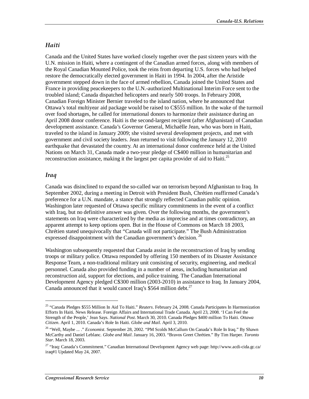#### *Haiti*

Canada and the United States have worked closely together over the past sixteen years with the U.N. mission in Haiti, where a contingent of the Canadian armed forces, along with members of the Royal Canadian Mounted Police, took the reins from departing U.S. forces who had helped restore the democratically elected government in Haiti in 1994. In 2004, after the Aristide government stepped down in the face of armed rebellion, Canada joined the United States and France in providing peacekeepers to the U.N.-authorized Multinational Interim Force sent to the troubled island; Canada dispatched helicopters and nearly 500 troops. In February 2008, Canadian Foreign Minister Bernier traveled to the island nation, where he announced that Ottawa's total multiyear aid package would be raised to C\$555 million. In the wake of the turmoil over food shortages, he called for international donors to harmonize their assistance during an April 2008 donor conference. Haiti is the second-largest recipient (after Afghanistan) of Canadian development assistance. Canada's Governor General, Michaëlle Jean, who was born in Haiti, traveled to the island in January 2009; she visited several development projects, and met with government and civil society leaders. Jean returned to visit following the January 12, 2010 earthquake that devastated the country. At an international donor conference held at the United Nations on March 31, Canada made a two-year pledge of C\$400 million in humanitarian and reconstruction assistance, making it the largest per capita provider of aid to Haiti.<sup>25</sup>

#### *Iraq*

<u>.</u>

Canada was disinclined to expand the so-called war on terrorism beyond Afghanistan to Iraq. In September 2002, during a meeting in Detroit with President Bush, Chrétien reaffirmed Canada's preference for a U.N. mandate, a stance that strongly reflected Canadian public opinion. Washington later requested of Ottawa specific military commitments in the event of a conflict with Iraq, but no definitive answer was given. Over the following months, the government's statements on Iraq were characterized by the media as imprecise and at times contradictory, an apparent attempt to keep options open. But in the House of Commons on March 18 2003, Chrétien stated unequivocally that "Canada will not participate." The Bush Administration expressed disappointment with the Canadian government's decision.<sup>26</sup>

Washington subsequently requested that Canada assist in the reconstruction of Iraq by sending troops or military police. Ottawa responded by offering 150 members of its Disaster Assistance Response Team, a non-traditional military unit consisting of security, engineering, and medical personnel. Canada also provided funding in a number of areas, including humanitarian and reconstruction aid, support for elections, and police training. The Canadian International Development Agency pledged C\$300 million (2003-2010) in assistance to Iraq. In January 2004, Canada announced that it would cancel Iraq's  $$564$  million debt.<sup>27</sup>

<sup>25 &</sup>quot;Canada Pledges \$555 Million In Aid To Haiti." *Reuters*. February 24, 2008. Canada Participates In Harmonization Efforts In Haiti. News Release. Foreign Affairs and International Trade Canada. April 23, 2008. 'I Can Feel the Strength of the People,' Jean Says. *National Post*. March 30, 2010. Canada Pledges \$400 million To Haiti. *Ottawa Citizen*. April 1, 2010. Canada's Role In Haiti. *Globe and Mail*. April 3, 2010.

<sup>26 &</sup>quot;Well, Maybe ... ." *Economist*. September 28, 2002. "PM Scolds McCallum On Canada's Role In Iraq." By Shawn McCarthy and Daniel Leblanc. *Globe and Mail*. January 16, 2003. "Bravos Greet Chrétien." By Tim Harper. *Toronto Star*. March 18, 2003.

<sup>27 &</sup>quot;Iraq: Canada's Commitment." Canadian International Development Agency web page: http://www.acdi-cida.gc.ca/ iraq#1 Updated May 24, 2007.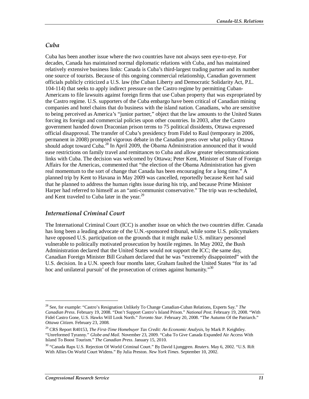#### *Cuba*

Cuba has been another issue where the two countries have not always seen eye-to-eye. For decades, Canada has maintained normal diplomatic relations with Cuba, and has maintained relatively extensive business links: Canada is Cuba's third-largest trading partner and its number one source of tourists. Because of this ongoing commercial relationship, Canadian government officials publicly criticized a U.S. law (the Cuban Liberty and Democratic Solidarity Act, P.L. 104-114) that seeks to apply indirect pressure on the Castro regime by permitting Cuban-Americans to file lawsuits against foreign firms that use Cuban property that was expropriated by the Castro regime. U.S. supporters of the Cuba embargo have been critical of Canadian mining companies and hotel chains that do business with the island nation. Canadians, who are sensitive to being perceived as America's "junior partner," object that the law amounts to the United States forcing its foreign and commercial policies upon other countries. In 2003, after the Castro government handed down Draconian prison terms to 75 political dissidents, Ottawa expressed official disapproval. The transfer of Cuba's presidency from Fidel to Raul (temporary in 2006, permanent in 2008) prompted vigorous debate in the Canadian press over what policy Ottawa should adopt toward Cuba.<sup>28</sup> In April 2009, the Obama Administration announced that it would ease restrictions on family travel and remittances to Cuba and allow greater telecommunications links with Cuba. The decision was welcomed by Ottawa; Peter Kent, Minister of State of Foreign Affairs for the Americas, commented that "the election of the Obama Administration has given real momentum to the sort of change that Canada has been encouraging for a long time." A planned trip by Kent to Havana in May 2009 was cancelled, reportedly because Kent had said that he planned to address the human rights issue during his trip, and because Prime Minister Harper had referred to himself as an "anti-communist conservative." The trip was re-scheduled, and Kent traveled to Cuba later in the year.<sup>29</sup>

#### *International Criminal Court*

The International Criminal Court (ICC) is another issue on which the two countries differ. Canada has long been a leading advocate of the U.N.-sponsored tribunal, while some U.S. policymakers have opposed U.S. participation on the grounds that it might make U.S. military personnel vulnerable to politically motivated prosecution by hostile regimes. In May 2002, the Bush Administration declared that the United States would not support the ICC; the same day, Canadian Foreign Minister Bill Graham declared that he was "extremely disappointed" with the U.S. decision. In a U.N. speech four months later, Graham faulted the United States "for its 'ad hoc and unilateral pursuit' of the prosecution of crimes against humanity.<sup>30</sup>

<sup>28</sup> See, for example: "Castro's Resignation Unlikely To Change Canadian-Cuban Relations, Experts Say." *The Canadian Press*. February 19, 2008. "Don't Support Castro's Island Prison." *National Post*. February 19, 2008. "With Fidel Castro Gone, U.S. Hawks Will Look North." *Toronto Star*. February 20, 2008. "The Autumn Of the Patriarch." *Ottawa Citizen*. February 23, 2008.

<sup>29</sup> CRS Report R40153, *The First-Time Homebuyer Tax Credit: An Economic Analysis*, by Mark P. Keightley. "Unreformed Tyranny." *Globe and Mail*. November 23, 2009. "Cuba To Give Canada Expanded Air Access With Island To Boost Tourism." *The Canadian Press*. January 15, 2010.

<sup>30 &</sup>quot;Canada Raps U.S. Rejection Of World Criminal Court." By David Ljunggren. *Reuters*. May 6, 2002. "U.S. Rift With Allies On World Court Widens." By Julia Preston. *New York Times*. September 10, 2002.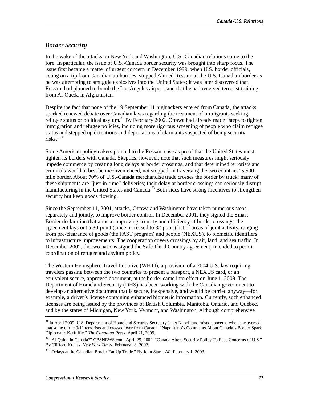#### *Border Security*

In the wake of the attacks on New York and Washington, U.S.-Canadian relations came to the fore. In particular, the issue of U.S.-Canada border security was brought into sharp focus. The issue first became a matter of urgent concern in December 1999, when U.S. border officials, acting on a tip from Canadian authorities, stopped Ahmed Ressam at the U.S.-Canadian border as he was attempting to smuggle explosives into the United States; it was later discovered that Ressam had planned to bomb the Los Angeles airport, and that he had received terrorist training from Al-Qaeda in Afghanistan.

Despite the fact that none of the 19 September 11 highjackers entered from Canada, the attacks sparked renewed debate over Canadian laws regarding the treatment of immigrants seeking refugee status or political asylum.<sup>31</sup> By February 2002, Ottawa had already made "steps to tighten" immigration and refugee policies, including more rigorous screening of people who claim refugee status and stepped up detentions and deportations of claimants suspected of being security risks."32

Some American policymakers pointed to the Ressam case as proof that the United States must tighten its borders with Canada. Skeptics, however, note that such measures might seriously impede commerce by creating long delays at border crossings, and that determined terrorists and criminals would at best be inconvenienced, not stopped, in traversing the two countries' 5,500 mile border. About 70% of U.S.-Canada merchandise trade crosses the border by truck; many of these shipments are "just-in-time" deliveries; their delay at border crossings can seriously disrupt manufacturing in the United States and Canada.<sup>33</sup> Both sides have strong incentives to strengthen security but keep goods flowing.

Since the September 11, 2001, attacks, Ottawa and Washington have taken numerous steps, separately and jointly, to improve border control. In December 2001, they signed the Smart Border declaration that aims at improving security and efficiency at border crossings; the agreement lays out a 30-point (since increased to 32-point) list of areas of joint activity, ranging from pre-clearance of goods (the FAST program) and people (NEXUS), to biometric identifiers, to infrastructure improvements. The cooperation covers crossings by air, land, and sea traffic. In December 2002, the two nations signed the Safe Third Country agreement, intended to permit coordination of refugee and asylum policy.

The Western Hemisphere Travel Initiative (WHTI), a provision of a 2004 U.S. law requiring travelers passing between the two countries to present a passport, a NEXUS card, or an equivalent secure, approved document, at the border came into effect on June 1, 2009. The Department of Homeland Security (DHS) has been working with the Canadian government to develop an alternative document that is secure, inexpensive, and would be carried anyway—for example, a driver's license containing enhanced biometric information. Currently, such enhanced licenses are being issued by the provinces of British Columbia, Manitoba, Ontario, and Québec, and by the states of Michigan, New York, Vermont, and Washington. Although comprehensive

<sup>&</sup>lt;sup>31</sup> In April 2009, U.S. Department of Homeland Security Secretary Janet Napolitano raised concerns when she averred that some of the 9/11 terrorists and crossed over from Canada. "Napolitano's Comments About Canada's Border Spark Diplomatic Kerfuffle." *The Canadian Press*. April 21, 2009.

<sup>32 &</sup>quot;Al-Qaida In Canada?" CBSNEWS.com. April 25, 2002. "Canada Alters Security Policy To Ease Concerns of U.S." By Clifford Krauss. *New York Times*. February 18, 2002.

<sup>33 &</sup>quot;Delays at the Canadian Border Eat Up Trade." By John Stark. *AP*. February 1, 2003.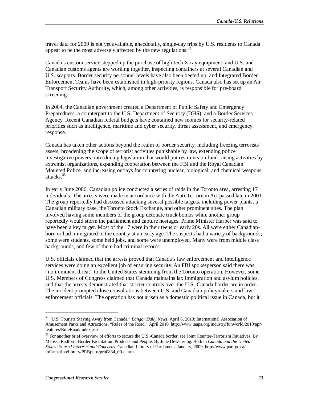travel data for 2009 is not yet available, anecdotally, single-day trips by U.S. residents to Canada appear to be the most adversely affected by the new regulations.<sup>34</sup>

Canada's custom service stepped up the purchase of high-tech X-ray equipment, and U.S. and Canadian customs agents are working together, inspecting containers at several Canadian and U.S. seaports. Border security personnel levels have also been beefed up, and Integrated Border Enforcement Teams have been established in high-priority regions. Canada also has set up an Air Transport Security Authority, which, among other activities, is responsible for pre-board screening.

In 2004, the Canadian government created a Department of Public Safety and Emergency Preparedness, a counterpart to the U.S. Department of Security (DHS), and a Border Services Agency. Recent Canadian federal budgets have contained new monies for security-related priorities such as intelligence, maritime and cyber security, threat assessment, and emergency response.

Canada has taken other actions beyond the realm of border security, including freezing terrorists' assets, broadening the scope of terrorist activities punishable by law, extending police investigative powers, introducing legislation that would put restraints on fund-raising activities by extremist organizations, expanding cooperation between the FBI and the Royal Canadian Mounted Police, and increasing outlays for countering nuclear, biological, and chemical weapons attacks.<sup>35</sup>

In early June 2006, Canadian police conducted a series of raids in the Toronto area, arresting 17 individuals. The arrests were made in accordance with the Anti-Terrorism Act passed late in 2001. The group reportedly had discussed attacking several possible targets, including power plants, a Canadian military base, the Toronto Stock Exchange, and other prominent sites. The plan involved having some members of the group detonate truck bombs while another group reportedly would storm the parliament and capture hostages. Prime Minister Harper was said to have been a key target. Most of the 17 were in their teens or early 20s. All were either Canadianborn or had immigrated to the country at an early age. The suspects had a variety of backgrounds; some were students, some held jobs, and some were unemployed. Many were from middle class backgrounds, and few of them had criminal records.

U.S. officials claimed that the arrests proved that Canada's law enforcement and intelligence services were doing an excellent job of ensuring security. An FBI spokesperson said there was "no imminent threat" to the United States stemming from the Toronto operation. However, some U.S. Members of Congress claimed that Canada maintains lax immigration and asylum policies, and that the arrests demonstrated that stricter controls over the U.S.-Canada border are in order. The incident prompted close consultations between U.S. and Canadian policymakers and law enforcement officials. The operation has not arisen as a domestic political issue in Canada, but it

<sup>34 &</sup>quot;U.S. Tourists Staying Away from Canada," *Bangor Daily News,* April 6, 2010; International Association of Amusement Parks and Attractions, "Rules of the Road," April 2010, http://www.iaapa.org/industry/funworld/2010/apr/ features/RuleRoad/index.asp

<sup>&</sup>lt;sup>35</sup> For another brief overview of efforts to secure the U.S.-Canada border, see Joint Counter-Terrorism Initiatives. By Melissa Radford. Border Facilitation: Products and People. By June Dewetering. Both in *Canada and the United States: Shared Interests and Concerns*. Canadian Library of Parliament. January, 2009. http://www.parl.gc.ca/ information/library/PRBpubs/prb0834\_00-e.htm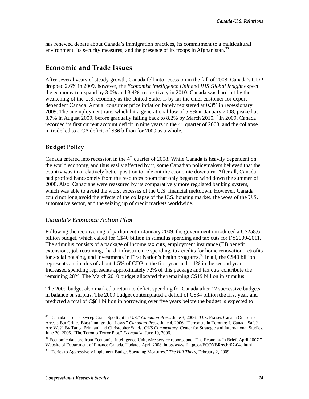has renewed debate about Canada's immigration practices, its commitment to a multicultural environment, its security measures, and the presence of its troops in Afghanistan.<sup>36</sup>

### **Economic and Trade Issues**

After several years of steady growth, Canada fell into recession in the fall of 2008. Canada's GDP dropped 2.6% in 2009, however, the *Economist Intelligence Unit* and *IHS Global Insight* expect the economy to expand by 3.0% and 3.4%, respectively in 2010. Canada was hard-hit by the weakening of the U.S. economy as the United States is by far the chief customer for exportdependent Canada. Annual consumer price inflation barely registered at 0.3% in recessionary 2009. The unemployment rate, which hit a generational low of 5.8% in January 2008, peaked at 8.7% in August 2009, before gradually falling back to 8.2% by March 2010.<sup>37</sup> In 2009, Canada recorded its first current account deficit in nine years in the  $4<sup>th</sup>$  quarter of 2008, and the collapse in trade led to a CA deficit of \$36 billion for 2009 as a whole.

#### **Budget Policy**

Canada entered into recession in the  $4<sup>th</sup>$  quarter of 2008. While Canada is heavily dependent on the world economy, and thus easily affected by it, some Canadian policymakers believed that the country was in a relatively better position to ride out the economic downturn. After all, Canada had profited handsomely from the resources boom that only began to wind down the summer of 2008. Also, Canadians were reassured by its comparatively more regulated banking system, which was able to avoid the worst excesses of the U.S. financial meltdown. However, Canada could not long avoid the effects of the collapse of the U.S. housing market, the woes of the U.S. automotive sector, and the seizing up of credit markets worldwide.

#### *Canada's Economic Action Plan*

Following the reconvening of parliament in January 2009, the government introduced a C\$258.6 billion budget, which called for C\$40 billion in stimulus spending and tax cuts for FY2009-2011. The stimulus consists of a package of income tax cuts, employment insurance (EI) benefit extensions, job retraining, 'hard' infrastructure spending, tax credits for home renovation, retrofits for social housing, and investments in First Nation's health programs.<sup>38</sup> In all, the C\$40 billion represents a stimulus of about 1.5% of GDP in the first year and 1.1% in the second year. Increased spending represents approximately 72% of this package and tax cuts contribute the remaining 28%. The March 2010 budget allocated the remaining C\$19 billion in stimulus.

The 2009 budget also marked a return to deficit spending for Canada after 12 successive budgets in balance or surplus. The 2009 budget contemplated a deficit of C\$34 billion the first year, and predicted a total of C\$81 billion in borrowing over five years before the budget is expected to

<sup>36 &</sup>quot;Canada's Terror Sweep Grabs Spotlight in U.S." *Canadian Press*. June 3, 2006. "U.S. Praises Canada On Terror Arrests But Critics Blast Immigration Laws." *Canadian Press*. June 4, 2006. "Terrorists In Toronto: Is Canada Safe? Are We?" By Tanya Primiani and Christopher Sands. *CSIS Commentary*. Center for Strategic and International Studies. June 20, 2006. "The Toronto Terror Plot." *Economist*. June 10, 2006.

<sup>&</sup>lt;sup>37</sup> Economic data are from Economist Intelligence Unit, wire service reports, and "The Economy In Brief, April 2007." Website of Department of Finance Canada. Updated April 2008. http://www.fin.gc.ca/ECONBR/ecbr07-04e.html

<sup>38 &</sup>quot;Tories to Aggressively Implement Budget Spending Measures," *The Hill Times*, February 2, 2009.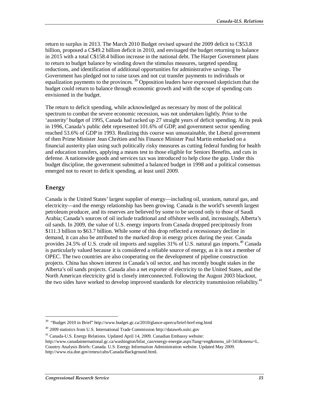return to surplus in 2013. The March 2010 Budget revised upward the 2009 deficit to C\$53.8 billion, proposed a C\$49.2 billion deficit in 2010, and envisaged the budget returning to balance in 2015 with a total C\$158.4 billion increase in the national debt. The Harper Government plans to return to budget balance by winding down the stimulus measures, targeted spending reductions, and identification of additional opportunities for administrative savings. The Government has pledged not to raise taxes and not cut transfer payments to individuals or equalization payments to the provinces.  $39$  Opposition leaders have expressed skepticism that the budget could return to balance through economic growth and with the scope of spending cuts envisioned in the budget.

The return to deficit spending, while acknowledged as necessary by most of the political spectrum to combat the severe economic recession, was not undertaken lightly. Prior to the 'austerity' budget of 1995, Canada had racked up 27 straight years of deficit spending. At its peak in 1996, Canada's public debt represented 101.6% of GDP, and government sector spending reached 53.6% of GDP in 1993. Realizing this course was unsustainable, the Liberal government of then Prime Minister Jean Chrétien and his Finance Minister Paul Martin embarked on a financial austerity plan using such politically risky measures as cutting federal funding for health and education transfers, applying a means test to those eligible for Seniors Benefits, and cuts in defense. A nationwide goods and services tax was introduced to help close the gap. Under this budget discipline, the government submitted a balanced budget in 1998 and a political consensus emerged not to resort to deficit spending, at least until 2009.

#### **Energy**

1

Canada is the United States' largest supplier of energy—including oil, uranium, natural gas, and electricity—and the energy relationship has been growing. Canada is the world's seventh largest petroleum producer, and its reserves are believed by some to be second only to those of Saudi Arabia; Canada's sources of oil include traditional and offshore wells and, increasingly, Alberta's oil sands. In 2009, the value of U.S. energy imports from Canada dropped precipitously from \$111.3 billion to \$63.7 billion. While some of this drop reflected a recessionary decline in demand, it can also be attributed to the marked drop in energy prices during the year. Canada provides 24.5% of U.S. crude oil imports and supplies  $31\%$  of U.S. natural gas imports.<sup>40</sup> Canada is particularly valued because it is considered a reliable source of energy, as it is not a member of OPEC. The two countries are also cooperating on the development of pipeline construction projects. China has shown interest in Canada's oil sector, and has recently bought stakes in the Alberta's oil sands projects. Canada also a net exporter of electricity to the United States, and the North American electricity grid is closely interconnected. Following the August 2003 blackout, the two sides have worked to develop improved standards for electricity transmission reliability.<sup>41</sup>

 $39$  "Budget 2010 in Brief" http://www.budget.gc.ca/2010/glance-apercu/brief-bref-eng.html

<sup>40 2009</sup> statistics from U.S. International Trade Commission http://dataweb.usitc.gov

<sup>&</sup>lt;sup>41</sup> Canada-U.S. Energy Relations. Updated April 14, 2009. Canadian Embassy website:

http://www.canadainternational.gc.ca/washington/bilat\_can/energy-energie.aspx?lang=eng&menu\_id=341&menu=L. Country Analysis Briefs: Canada. U.S. Energy Information Administration website. Updated May 2009. http://www.eia.doe.gov/emeu/cabs/Canada/Background.html.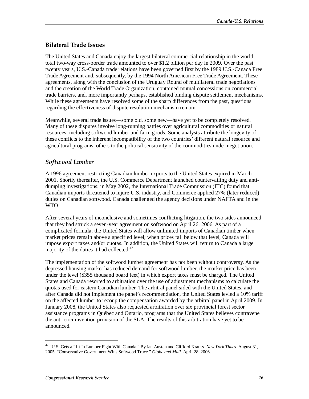#### **Bilateral Trade Issues**

The United States and Canada enjoy the largest bilateral commercial relationship in the world; total two-way cross-border trade amounted to over \$1.2 billion per day in 2009. Over the past twenty years, U.S.-Canada trade relations have been governed first by the 1989 U.S.-Canada Free Trade Agreement and, subsequently, by the 1994 North American Free Trade Agreement. These agreements, along with the conclusion of the Uruguay Round of multilateral trade negotiations and the creation of the World Trade Organization, contained mutual concessions on commercial trade barriers, and, more importantly perhaps, established binding dispute settlement mechanisms. While these agreements have resolved some of the sharp differences from the past, questions regarding the effectiveness of dispute resolution mechanism remain.

Meanwhile, several trade issues—some old, some new—have yet to be completely resolved. Many of these disputes involve long-running battles over agricultural commodities or natural resources, including softwood lumber and farm goods. Some analysts attribute the longevity of these conflicts to the inherent incompatibility of the two countries' different natural resource and agricultural programs, others to the political sensitivity of the commodities under negotiation.

#### *Softwood Lumber*

A 1996 agreement restricting Canadian lumber exports to the United States expired in March 2001. Shortly thereafter, the U.S. Commerce Department launched countervailing duty and antidumping investigations; in May 2002, the International Trade Commission (ITC) found that Canadian imports threatened to injure U.S. industry, and Commerce applied 27% (later reduced) duties on Canadian softwood. Canada challenged the agency decisions under NAFTA and in the WTO.

After several years of inconclusive and sometimes conflicting litigation, the two sides announced that they had struck a seven-year agreement on softwood on April 26, 2006. As part of a complicated formula, the United States will allow unlimited imports of Canadian timber when market prices remain above a specified level; when prices fall below that level, Canada will impose export taxes and/or quotas. In addition, the United States will return to Canada a large majority of the duties it had collected.<sup>42</sup>

The implementation of the softwood lumber agreement has not been without controversy. As the depressed housing market has reduced demand for softwood lumber, the market price has been under the level (\$355 thousand board feet) in which export taxes must be charged. The United States and Canada resorted to arbitration over the use of adjustment mechanisms to calculate the quotas used for eastern Canadian lumber. The arbitral panel sided with the United States, and after Canada did not implement the panel's recommendation, the United States levied a 10% tariff on the affected lumber to recoup the compensation awarded by the arbitral panel in April 2009. In January 2008, the United States also requested arbitration over six provincial forest sector assistance programs in Québec and Ontario, programs that the United States believes contravene the anti-circumvention provision of the SLA. The results of this arbitration have yet to be announced.

<sup>42 &</sup>quot;U.S. Gets a Lift In Lumber Fight With Canada." By Ian Austen and Clifford Krauss. *New York Times*. August 31, 2005. "Conservative Government Wins Softwood Truce." *Globe and Mail*. April 28, 2006.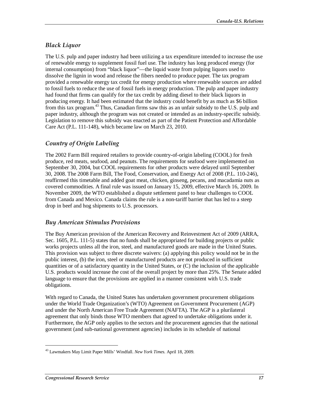#### *Black Liquor*

The U.S. pulp and paper industry had been utilizing a tax expenditure intended to increase the use of renewable energy to supplement fossil fuel use. The industry has long produced energy (for internal consumption) from "black liquor"—the liquid waste from pulping liquors used to dissolve the lignin in wood and release the fibers needed to produce paper. The tax program provided a renewable energy tax credit for energy production where renewable sources are added to fossil fuels to reduce the use of fossil fuels in energy production. The pulp and paper industry had found that firms can qualify for the tax credit by adding diesel to their black liquors in producing energy. It had been estimated that the industry could benefit by as much as \$6 billion from this tax program.43 Thus, Canadian firms saw this as an unfair subsidy to the U.S. pulp and paper industry, although the program was not created or intended as an industry-specific subsidy. Legislation to remove this subsidy was enacted as part of the Patient Protection and Affordable Care Act (P.L. 111-148), which became law on March 23, 2010.

### *Country of Origin Labeling*

The 2002 Farm Bill required retailers to provide country-of-origin labeling (COOL) for fresh produce, red meats, seafood, and peanuts. The requirements for seafood were implemented on September 30, 2004, but COOL requirements for other products were delayed until September 30, 2008. The 2008 Farm Bill, The Food, Conservation, and Energy Act of 2008 (P.L. 110-246), reaffirmed this timetable and added goat meat, chicken, ginseng, pecans, and macadamia nuts as covered commodities. A final rule was issued on January 15, 2009, effective March 16, 2009. In November 2009, the WTO established a dispute settlement panel to hear challenges to COOL from Canada and Mexico. Canada claims the rule is a non-tariff barrier that has led to a steep drop in beef and hog shipments to U.S. processors.

#### *Buy American Stimulus Provisions*

The Buy American provision of the American Recovery and Reinvestment Act of 2009 (ARRA, Sec. 1605, P.L. 111-5) states that no funds shall be appropriated for building projects or public works projects unless all the iron, steel, and manufactured goods are made in the United States. This provision was subject to three discrete waivers: (a) applying this policy would not be in the public interest, (b) the iron, steel or manufactured products are not produced in sufficient quantities or of a satisfactory quantity in the United States, or (C) the inclusion of the applicable U.S. products would increase the cost of the overall project by more than 25%. The Senate added language to ensure that the provisions are applied in a manner consistent with U.S. trade obligations.

With regard to Canada, the United States has undertaken government procurement obligations under the World Trade Organization's (WTO) Agreement on Government Procurement (AGP) and under the North American Free Trade Agreement (NAFTA). The AGP is a plurilateral agreement that only binds those WTO members that agreed to undertake obligations under it. Furthermore, the AGP only applies to the sectors and the procurement agencies that the national government (and sub-national government agencies) includes in its schedule of national

<sup>43</sup> Lawmakers May Limit Paper Mills' Windfall. *New York Times*. April 18, 2009.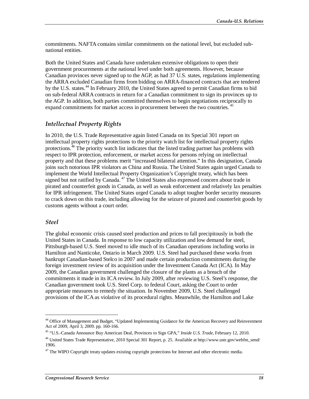commitments. NAFTA contains similar commitments on the national level, but excluded subnational entities.

Both the United States and Canada have undertaken extensive obligations to open their government procurements at the national level under both agreements. However, because Canadian provinces never signed up to the AGP, as had 37 U.S. states, regulations implementing the ARRA excluded Canadian firms from bidding on ARRA-financed contracts that are tendered by the U.S. states.<sup>44</sup> In February 2010, the United States agreed to permit Canadian firms to bid on sub-federal ARRA contracts in return for a Canadian commitment to sign its provinces up to the AGP. In addition, both parties committed themselves to begin negotiations reciprocally to expand commitments for market access in procurement between the two countries.<sup>45</sup>

#### *Intellectual Property Rights*

In 2010, the U.S. Trade Representative again listed Canada on its Special 301 report on intellectual property rights protections to the priority watch list for intellectual property rights protections.<sup>46</sup> The priority watch list indicates that the listed trading partner has problems with respect to IPR protection, enforcement, or market access for persons relying on intellectual property and that these problems merit "increased bilateral attention." In this designation, Canada joins such notorious IPR violators as China and Russia. The United States again urged Canada to implement the World Intellectual Property Organization's Copyright treaty, which has been signed but not ratified by Canada.<sup>47</sup> The United States also expressed concern about trade in pirated and counterfeit goods in Canada, as well as weak enforcement and relatively lax penalties for IPR infringement. The United States urged Canada to adopt tougher border security measures to crack down on this trade, including allowing for the seizure of pirated and counterfeit goods by customs agents without a court order.

#### *Steel*

<u>.</u>

The global economic crisis caused steel production and prices to fall precipitously in both the United States in Canada. In response to low capacity utilization and low demand for steel, Pittsburgh-based U.S. Steel moved to idle much of its Canadian operations including works in Hamilton and Nanticoke, Ontario in March 2009. U.S. Steel had purchased these works from bankrupt Canadian-based Stelco in 2007 and made certain production commitments during the foreign investment review of its acquisition under the Investment Canada Act (ICA). In May 2009, the Canadian government challenged the closure of the plants as a breach of the commitments it made in its ICA review. In July 2009, after reviewing U.S. Steel's response, the Canadian government took U.S. Steel Corp. to federal Court, asking the Court to order appropriate measures to remedy the situation. In November 2009, U.S. Steel challenged provisions of the ICA as violative of its procedural rights. Meanwhile, the Hamilton and Lake

<sup>44</sup> Office of Management and Budget, "Updated Implementing Guidance for the American Recovery and Reinvestment Act of 2009, April 3, 2009. pp. 160-166.

<sup>45 &</sup>quot;U.S.-Canada Announce Buy American Deal, Provinces to Sign GPA," *Inside U.S. Trade,* February 12, 2010.

<sup>46</sup> United States Trade Representative, 2010 Special 301 Report, p. 25. Available at http://www.ustr.gov/webfm\_send/ 1906.

 $47$  The WIPO Copyright treaty updates existing copyright protections for Internet and other electronic media.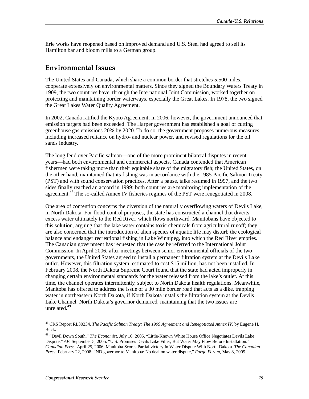Erie works have reopened based on improved demand and U.S. Steel had agreed to sell its Hamilton bar and bloom mills to a German group.

### **Environmental Issues**

The United States and Canada, which share a common border that stretches 5,500 miles, cooperate extensively on environmental matters. Since they signed the Boundary Waters Treaty in 1909, the two countries have, through the International Joint Commission, worked together on protecting and maintaining border waterways, especially the Great Lakes. In 1978, the two signed the Great Lakes Water Quality Agreement.

In 2002, Canada ratified the Kyoto Agreement; in 2006, however, the government announced that emission targets had been exceeded. The Harper government has established a goal of cutting greenhouse gas emissions 20% by 2020. To do so, the government proposes numerous measures, including increased reliance on hydro- and nuclear power, and revised regulations for the oil sands industry.

The long feud over Pacific salmon—one of the more prominent bilateral disputes in recent years—had both environmental and commercial aspects. Canada contended that American fishermen were taking more than their equitable share of the migratory fish; the United States, on the other hand, maintained that its fishing was in accordance with the 1985 Pacific Salmon Treaty (PST) and with sound conservation practices. After a pause, talks resumed in 1997, and the two sides finally reached an accord in 1999; both countries are monitoring implementation of the agreement.<sup>48</sup> The so-called Annex IV fisheries regimes of the PST were renegotiated in 2008.

One area of contention concerns the diversion of the naturally overflowing waters of Devils Lake, in North Dakota. For flood-control purposes, the state has constructed a channel that diverts excess water ultimately to the Red River, which flows northward. Manitobans have objected to this solution, arguing that the lake water contains toxic chemicals from agricultural runoff; they are also concerned that the introduction of alien species of aquatic life may disturb the ecological balance and endanger recreational fishing in Lake Winnipeg, into which the Red River empties. The Canadian government has requested that the case be referred to the International Joint Commission. In April 2006, after meetings between senior environmental officials of the two governments, the United States agreed to install a permanent filtration system at the Devils Lake outlet. However, this filtration system, estimated to cost \$15 million, has not been installed. In February 2008, the North Dakota Supreme Court found that the state had acted improperly in changing certain environmental standards for the water released from the lake's outlet. At this time, the channel operates intermittently, subject to North Dakota health regulations. Meanwhile, Manitoba has offered to address the issue of a 30 mile border road that acts as a dike, trapping water in northeastern North Dakota, if North Dakota installs the filtration system at the Devils Lake Channel. North Dakota's governor demurred, maintaining that the two issues are unrelated.<sup>49</sup>

<sup>48</sup> CRS Report RL30234, *The Pacific Salmon Treaty: The 1999 Agreement and Renegotiated Annex IV*, by Eugene H. Buck.

<sup>49 &</sup>quot;Devil Down South." *The Economist*. July 16, 2005. "Little-Known White House Office Negotiates Devils Lake Dispute." *AP*. September 5, 2005. "U.S. Promises Devils Lake Filter, But Water May Flow Before Installation." *Canadian Press*. April 25, 2006. Manitoba Scores Partial victory In Water Dispute With North Dakota. *The Canadian Press*. February 22, 2008; "ND governor to Manitoba: No deal on water dispute," *Fargo Forum*, May 8, 2009.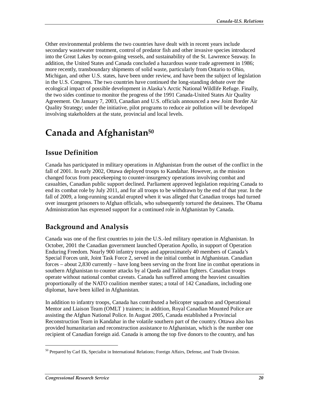Other environmental problems the two countries have dealt with in recent years include secondary wastewater treatment, control of predator fish and other invasive species introduced into the Great Lakes by ocean-going vessels, and sustainability of the St. Lawrence Seaway. In addition, the United States and Canada concluded a hazardous waste trade agreement in 1986; more recently, transboundary shipments of solid waste, particularly from Ontario to Ohio, Michigan, and other U.S. states, have been under review, and have been the subject of legislation in the U.S. Congress. The two countries have continued the long-standing debate over the ecological impact of possible development in Alaska's Arctic National Wildlife Refuge. Finally, the two sides continue to monitor the progress of the 1991 Canada-United States Air Quality Agreement. On January 7, 2003, Canadian and U.S. officials announced a new Joint Border Air Quality Strategy; under the initiative, pilot programs to reduce air pollution will be developed involving stakeholders at the state, provincial and local levels.

# **Canada and Afghanistan50**

### **Issue Definition**

Canada has participated in military operations in Afghanistan from the outset of the conflict in the fall of 2001. In early 2002, Ottawa deployed troops to Kandahar. However, as the mission changed focus from peacekeeping to counter-insurgency operations involving combat and casualties, Canadian public support declined. Parliament approved legislation requiring Canada to end its combat role by July 2011, and for all troops to be withdrawn by the end of that year. In the fall of 2009, a long-running scandal erupted when it was alleged that Canadian troops had turned over insurgent prisoners to Afghan officials, who subsequently tortured the detainees. The Obama Administration has expressed support for a continued role in Afghanistan by Canada.

## **Background and Analysis**

Canada was one of the first countries to join the U.S.-led military operation in Afghanistan. In October, 2001 the Canadian government launched Operation Apollo, in support of Operation Enduring Freedom. Nearly 900 infantry troops and approximately 40 members of Canada's Special Forces unit, Joint Task Force 2, served in the initial combat in Afghanistan. Canadian forces – about 2,830 currently – have long been serving on the front line in combat operations in southern Afghanistan to counter attacks by al Qaeda and Taliban fighters. Canadian troops operate without national combat caveats. Canada has suffered among the heaviest casualties proportionally of the NATO coalition member states; a total of 142 Canadians, including one diplomat, have been killed in Afghanistan.

In addition to infantry troops, Canada has contributed a helicopter squadron and Operational Mentor and Liaison Team (OMLT ) trainers; in addition, Royal Canadian Mounted Police are assisting the Afghan National Police. In August 2005, Canada established a Provincial Reconstruction Team in Kandahar in the volatile southern part of the country. Ottawa also has provided humanitarian and reconstruction assistance to Afghanistan, which is the number one recipient of Canadian foreign aid. Canada is among the top five donors to the country, and has

<sup>50</sup> Prepared by Carl Ek, Specialist in International Relations; Foreign Affairs, Defense, and Trade Division.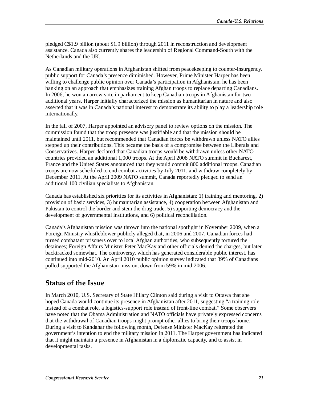pledged C\$1.9 billion (about \$1.9 billion) through 2011 in reconstruction and development assistance. Canada also currently shares the leadership of Regional Command-South with the Netherlands and the UK.

As Canadian military operations in Afghanistan shifted from peacekeeping to counter-insurgency, public support for Canada's presence diminished. However, Prime Minister Harper has been willing to challenge public opinion over Canada's participation in Afghanistan; he has been banking on an approach that emphasizes training Afghan troops to replace departing Canadians. In 2006, he won a narrow vote in parliament to keep Canadian troops in Afghanistan for two additional years. Harper initially characterized the mission as humanitarian in nature and also asserted that it was in Canada's national interest to demonstrate its ability to play a leadership role internationally.

In the fall of 2007, Harper appointed an advisory panel to review options on the mission. The commission found that the troop presence was justifiable and that the mission should be maintained until 2011, but recommended that Canadian forces be withdrawn unless NATO allies stepped up their contributions. This became the basis of a compromise between the Liberals and Conservatives. Harper declared that Canadian troops would be withdrawn unless other NATO countries provided an additional 1,000 troops. At the April 2008 NATO summit in Bucharest, France and the United States announced that they would commit 800 additional troops. Canadian troops are now scheduled to end combat activities by July 2011, and withdraw completely by December 2011. At the April 2009 NATO summit, Canada reportedly pledged to send an additional 100 civilian specialists to Afghanistan.

Canada has established six priorities for its activities in Afghanistan: 1) training and mentoring, 2) provision of basic services, 3) humanitarian assistance, 4) cooperation between Afghanistan and Pakistan to control the border and stem the drug trade, 5) supporting democracy and the development of governmental institutions, and 6) political reconciliation.

Canada's Afghanistan mission was thrown into the national spotlight in November 2009, when a Foreign Ministry whistleblower publicly alleged that, in 2006 and 2007, Canadian forces had turned combatant prisoners over to local Afghan authorities, who subsequently tortured the detainees; Foreign Affairs Minister Peter MacKay and other officials denied the charges, but later backtracked somewhat. The controversy, which has generated considerable public interest, has continued into mid-2010. An April 2010 public opinion survey indicated that 39% of Canadians polled supported the Afghanistan mission, down from 59% in mid-2006.

### **Status of the Issue**

In March 2010, U.S. Secretary of State Hillary Clinton said during a visit to Ottawa that she hoped Canada would continue its presence in Afghanistan after 2011, suggesting "a training role instead of a combat role, a logistics-support role instead of front-line combat." Some observers have noted that the Obama Administration and NATO officials have privately expressed concerns that the withdrawal of Canadian troops might prompt other allies to bring their troops home. During a visit to Kandahar the following month, Defense Minister MacKay reiterated the government's intention to end the military mission in 2011. The Harper government has indicated that it might maintain a presence in Afghanistan in a diplomatic capacity, and to assist in developmental tasks.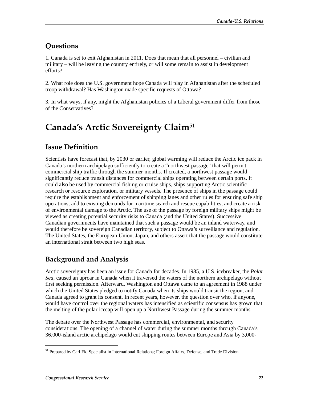# **Questions**

1. Canada is set to exit Afghanistan in 2011. Does that mean that all personnel – civilian and military – will be leaving the country entirely, or will some remain to assist in development efforts?

2. What role does the U.S. government hope Canada will play in Afghanistan after the scheduled troop withdrawal? Has Washington made specific requests of Ottawa?

3. In what ways, if any, might the Afghanistan policies of a Liberal government differ from those of the Conservatives?

# **Canada's Arctic Sovereignty Claim**<sup>51</sup>

## **Issue Definition**

Scientists have forecast that, by 2030 or earlier, global warming will reduce the Arctic ice pack in Canada's northern archipelago sufficiently to create a "northwest passage" that will permit commercial ship traffic through the summer months. If created, a northwest passage would significantly reduce transit distances for commercial ships operating between certain ports. It could also be used by commercial fishing or cruise ships, ships supporting Arctic scientific research or resource exploration, or military vessels. The presence of ships in the passage could require the establishment and enforcement of shipping lanes and other rules for ensuring safe ship operations, add to existing demands for maritime search and rescue capabilities, and create a risk of environmental damage to the Arctic. The use of the passage by foreign military ships might be viewed as creating potential security risks to Canada (and the United States). Successive Canadian governments have maintained that such a passage would be an inland waterway, and would therefore be sovereign Canadian territory, subject to Ottawa's surveillance and regulation. The United States, the European Union, Japan, and others assert that the passage would constitute an international strait between two high seas.

## **Background and Analysis**

Arctic sovereignty has been an issue for Canada for decades. In 1985, a U.S. icebreaker, the *Polar Sea*, caused an uproar in Canada when it traversed the waters of the northern archipelago without first seeking permission. Afterward, Washington and Ottawa came to an agreement in 1988 under which the United States pledged to notify Canada when its ships would transit the region, and Canada agreed to grant its consent. In recent years, however, the question over who, if anyone, would have control over the regional waters has intensified as scientific consensus has grown that the melting of the polar icecap will open up a Northwest Passage during the summer months.

The debate over the Northwest Passage has commercial, environmental, and security considerations. The opening of a channel of water during the summer months through Canada's 36,000-island arctic archipelago would cut shipping routes between Europe and Asia by 3,000-

<sup>51</sup> Prepared by Carl Ek, Specialist in International Relations; Foreign Affairs, Defense, and Trade Division.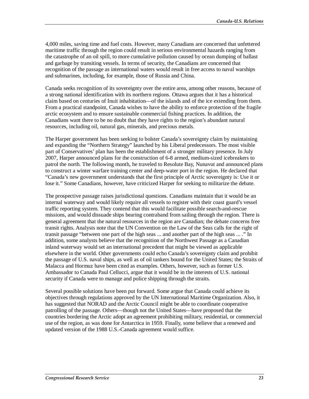4,000 miles, saving time and fuel costs. However, many Canadians are concerned that unfettered maritime traffic through the region could result in serious environmental hazards ranging from the catastrophe of an oil spill, to more cumulative pollution caused by ocean dumping of ballast and garbage by transiting vessels. In terms of security, the Canadians are concerned that recognition of the passage as international waters would result in free access to naval warships and submarines, including, for example, those of Russia and China.

Canada seeks recognition of its sovereignty over the entire area, among other reasons, because of a strong national identification with its northern regions. Ottawa argues that it has a historical claim based on centuries of Inuit inhabitation—of the islands and of the ice extending from them. From a practical standpoint, Canada wishes to have the ability to enforce protection of the fragile arctic ecosystem and to ensure sustainable commercial fishing practices. In addition, the Canadians want there to be no doubt that they have rights to the region's abundant natural resources, including oil, natural gas, minerals, and precious metals.

The Harper government has been seeking to bolster Canada's sovereignty claim by maintaining and expanding the "Northern Strategy" launched by his Liberal predecessors. The most visible part of Conservatives' plan has been the establishment of a stronger military presence. In July 2007, Harper announced plans for the construction of 6-8 armed, medium-sized icebreakers to patrol the north. The following month, he traveled to Resolute Bay, Nunavut and announced plans to construct a winter warfare training center and deep-water port in the region. He declared that "Canada's new government understands that the first principle of Arctic sovereignty is: Use it or lose it." Some Canadians, however, have criticized Harper for seeking to militarize the debate.

The prospective passage raises jurisdictional questions. Canadians maintain that it would be an internal waterway and would likely require all vessels to register with their coast guard's vessel traffic reporting system. They contend that this would facilitate possible search-and-rescue missions, and would dissuade ships bearing contraband from sailing through the region. There is general agreement that the natural resources in the region are Canadian; the debate concerns free transit rights. Analysts note that the UN Convention on the Law of the Seas calls for the right of transit passage "between one part of the high seas ... and another part of the high seas ... ." In addition, some analysts believe that the recognition of the Northwest Passage as a Canadian inland waterway would set an international precedent that might be viewed as applicable elsewhere in the world. Other governments could echo Canada's sovereignty claim and prohibit the passage of U.S. naval ships, as well as of oil tankers bound for the United States; the Straits of Malacca and Hormuz have been cited as examples. Others, however, such as former U.S. Ambassador to Canada Paul Cellucci, argue that it would be in the interests of U.S. national security if Canada were to manage and police shipping through the straits.

Several possible solutions have been put forward. Some argue that Canada could achieve its objectives through regulations approved by the UN International Maritime Organization. Also, it has suggested that NORAD and the Arctic Council might be able to coordinate cooperative patrolling of the passage. Others—though not the United States—have proposed that the countries bordering the Arctic adopt an agreement prohibiting military, residential, or commercial use of the region, as was done for Antarctica in 1959. Finally, some believe that a renewed and updated version of the 1988 U.S.-Canada agreement would suffice.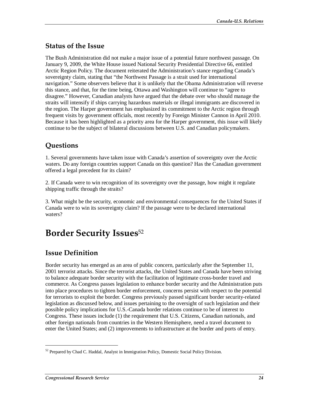## **Status of the Issue**

The Bush Administration did not make a major issue of a potential future northwest passage. On January 9, 2009, the White House issued National Security Presidential Directive 66, entitled Arctic Region Policy. The document reiterated the Administration's stance regarding Canada's sovereignty claim, stating that "the Northwest Passage is a strait used for international navigation." Some observers believe that it is unlikely that the Obama Administration will reverse this stance, and that, for the time being, Ottawa and Washington will continue to "agree to disagree." However, Canadian analysts have argued that the debate over who should manage the straits will intensify if ships carrying hazardous materials or illegal immigrants are discovered in the region. The Harper government has emphasized its commitment to the Arctic region through frequent visits by government officials, most recently by Foreign Minister Cannon in April 2010. Because it has been highlighted as a priority area for the Harper government, this issue will likely continue to be the subject of bilateral discussions between U.S. and Canadian policymakers.

# **Questions**

1. Several governments have taken issue with Canada's assertion of sovereignty over the Arctic waters. Do any foreign countries support Canada on this question? Has the Canadian government offered a legal precedent for its claim?

2. If Canada were to win recognition of its sovereignty over the passage, how might it regulate shipping traffic through the straits?

3. What might be the security, economic and environmental consequences for the United States if Canada were to win its sovereignty claim? If the passage were to be declared international waters?

# **Border Security Issues**<sup>52</sup>

# **Issue Definition**

Border security has emerged as an area of public concern, particularly after the September 11, 2001 terrorist attacks. Since the terrorist attacks, the United States and Canada have been striving to balance adequate border security with the facilitation of legitimate cross-border travel and commerce. As Congress passes legislation to enhance border security and the Administration puts into place procedures to tighten border enforcement, concerns persist with respect to the potential for terrorists to exploit the border. Congress previously passed significant border security-related legislation as discussed below, and issues pertaining to the oversight of such legislation and their possible policy implications for U.S.-Canada border relations continue to be of interest to Congress. These issues include (1) the requirement that U.S. Citizens, Canadian nationals, and other foreign nationals from countries in the Western Hemisphere, need a travel document to enter the United States; and (2) improvements to infrastructure at the border and ports of entry.

 $52$  Prepared by Chad C. Haddal, Analyst in Immigration Policy, Domestic Social Policy Division.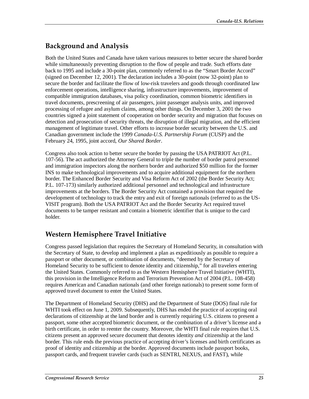# **Background and Analysis**

Both the United States and Canada have taken various measures to better secure the shared border while simultaneously preventing disruption to the flow of people and trade. Such efforts date back to 1995 and include a 30-point plan, commonly referred to as the "Smart Border Accord" (signed on December 12, 2001). The declaration includes a 30-point (now 32-point) plan to secure the border and facilitate the flow of low-risk travelers and goods through coordinated law enforcement operations, intelligence sharing, infrastructure improvements, improvement of compatible immigration databases, visa policy coordination, common biometric identifiers in travel documents, prescreening of air passengers, joint passenger analysis units, and improved processing of refugee and asylum claims, among other things. On December 3, 2001 the two countries signed a joint statement of cooperation on border security and migration that focuses on detection and prosecution of security threats, the disruption of illegal migration, and the efficient management of legitimate travel. Other efforts to increase border security between the U.S. and Canadian government include the 1999 *Canada-U.S. Partnership Forum* (CUSP) and the February 24, 1995, joint accord, *Our Shared Border*.

Congress also took action to better secure the border by passing the USA PATRIOT Act (P.L. 107-56). The act authorized the Attorney General to triple the number of border patrol personnel and immigration inspectors along the northern border and authorized \$50 million for the former INS to make technological improvements and to acquire additional equipment for the northern border. The Enhanced Border Security and Visa Reform Act of 2002 (the Border Security Act; P.L. 107-173) similarly authorized additional personnel and technological and infrastructure improvements at the borders. The Border Security Act contained a provision that required the development of technology to track the entry and exit of foreign nationals (referred to as the US-VISIT program). Both the USA PATRIOT Act and the Border Security Act required travel documents to be tamper resistant and contain a biometric identifier that is unique to the card holder.

## **Western Hemisphere Travel Initiative**

Congress passed legislation that requires the Secretary of Homeland Security, in consultation with the Secretary of State, to develop and implement a plan as expeditiously as possible to require a passport or other document, or combination of documents, "deemed by the Secretary of Homeland Security to be sufficient to denote identity and citizenship," for all travelers entering the United States. Commonly referred to as the Western Hemisphere Travel Initiative (WHTI), this provision in the Intelligence Reform and Terrorism Prevention Act of 2004 (P.L. 108-458) requires American and Canadian nationals (and other foreign nationals) to present some form of approved travel document to enter the United States.

The Department of Homeland Security (DHS) and the Department of State (DOS) final rule for WHTI took effect on June 1, 2009. Subsequently, DHS has ended the practice of accepting oral declarations of citizenship at the land border and is currently requiring U.S. citizens to present a passport, some other accepted biometric document, or the combination of a driver's license and a birth certificate, in order to reenter the country. Moreover, the WHTI final rule requires that U.S. citizens present an approved secure document that denotes identity *and* citizenship at the land border. This rule ends the previous practice of accepting driver's licenses and birth certificates as proof of identity and citizenship at the border. Approved documents include passport books, passport cards, and frequent traveler cards (such as SENTRI, NEXUS, and FAST), while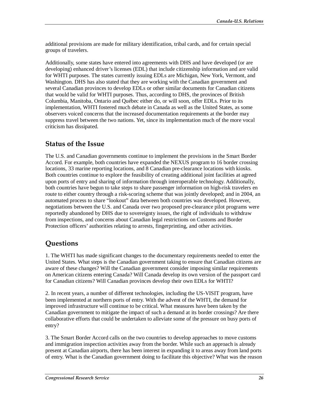additional provisions are made for military identification, tribal cards, and for certain special groups of travelers.

Additionally, some states have entered into agreements with DHS and have developed (or are developing) enhanced driver's licenses (EDL) that include citizenship information and are valid for WHTI purposes. The states currently issuing EDLs are Michigan, New York, Vermont, and Washington. DHS has also stated that they are working with the Canadian government and several Canadian provinces to develop EDLs or other similar documents for Canadian citizens that would be valid for WHTI purposes. Thus, according to DHS, the provinces of British Columbia, Manitoba, Ontario and Québec either do, or will soon, offer EDLs. Prior to its implementation, WHTI fostered much debate in Canada as well as the United States, as some observers voiced concerns that the increased documentation requirements at the border may suppress travel between the two nations. Yet, since its implementation much of the more vocal criticism has dissipated.

### **Status of the Issue**

The U.S. and Canadian governments continue to implement the provisions in the Smart Border Accord. For example, both countries have expanded the NEXUS program to 16 border crossing locations, 33 marine reporting locations, and 8 Canadian pre-clearance locations with kiosks. Both countries continue to explore the feasibility of creating additional joint facilities at agreed upon ports of entry and sharing of information through interoperable technology. Additionally, both countries have begun to take steps to share passenger information on high-risk travelers en route to either country through a risk-scoring scheme that was jointly developed; and in 2004, an automated process to share "lookout" data between both countries was developed. However, negotiations between the U.S. and Canada over two proposed pre-clearance pilot programs were reportedly abandoned by DHS due to sovereignty issues, the right of individuals to withdraw from inspections, and concerns about Canadian legal restrictions on Customs and Border Protection officers' authorities relating to arrests, fingerprinting, and other activities.

## **Questions**

1. The WHTI has made significant changes to the documentary requirements needed to enter the United States. What steps is the Canadian government taking to ensure that Canadian citizens are aware of these changes? Will the Canadian government consider imposing similar requirements on American citizens entering Canada? Will Canada develop its own version of the passport card for Canadian citizens? Will Canadian provinces develop their own EDLs for WHTI?

2. In recent years, a number of different technologies, including the US-VISIT program, have been implemented at northern ports of entry. With the advent of the WHTI, the demand for improved infrastructure will continue to be critical. What measures have been taken by the Canadian government to mitigate the impact of such a demand at its border crossings? Are there collaborative efforts that could be undertaken to alleviate some of the pressure on busy ports of entry?

3. The Smart Border Accord calls on the two countries to develop approaches to move customs and immigration inspection activities away from the border. While such an approach is already present at Canadian airports, there has been interest in expanding it to areas away from land ports of entry. What is the Canadian government doing to facilitate this objective? What was the reason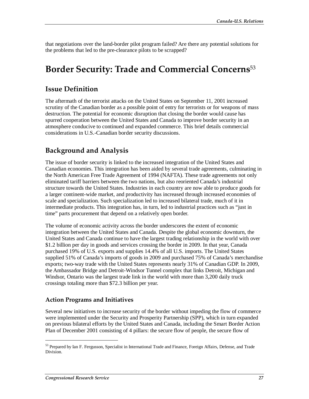that negotiations over the land-border pilot program failed? Are there any potential solutions for the problems that led to the pre-clearance pilots to be scrapped?

# **Border Security: Trade and Commercial Concerns**<sup>53</sup>

### **Issue Definition**

The aftermath of the terrorist attacks on the United States on September 11, 2001 increased scrutiny of the Canadian border as a possible point of entry for terrorists or for weapons of mass destruction. The potential for economic disruption that closing the border would cause has spurred cooperation between the United States and Canada to improve border security in an atmosphere conducive to continued and expanded commerce. This brief details commercial considerations in U.S.-Canadian border security discussions.

## **Background and Analysis**

The issue of border security is linked to the increased integration of the United States and Canadian economies. This integration has been aided by several trade agreements, culminating in the North American Free Trade Agreement of 1994 (NAFTA). These trade agreements not only eliminated tariff barriers between the two nations, but also reoriented Canada's industrial structure towards the United States. Industries in each country are now able to produce goods for a larger continent-wide market, and productivity has increased through increased economies of scale and specialization. Such specialization led to increased bilateral trade, much of it in intermediate products. This integration has, in turn, led to industrial practices such as "just in time" parts procurement that depend on a relatively open border.

The volume of economic activity across the border underscores the extent of economic integration between the United States and Canada. Despite the global economic downturn, the United States and Canada continue to have the largest trading relationship in the world with over \$1.2 billion per day in goods and services crossing the border in 2009. In that year, Canada purchased 19% of U.S. exports and supplies 14.4% of all U.S. imports. The United States supplied 51% of Canada's imports of goods in 2009 and purchased 75% of Canada's merchandise exports; two-way trade with the United States represents nearly 31% of Canadian GDP. In 2009, the Ambassador Bridge and Detroit-Windsor Tunnel complex that links Detroit, Michigan and Windsor, Ontario was the largest trade link in the world with more than 3,200 daily truck crossings totaling more than \$72.3 billion per year.

#### **Action Programs and Initiatives**

Several new initiatives to increase security of the border without impeding the flow of commerce were implemented under the Security and Prosperity Partnership (SPP), which in turn expanded on previous bilateral efforts by the United States and Canada, including the Smart Border Action Plan of December 2001 consisting of 4 pillars: the secure flow of people, the secure flow of

<sup>53</sup> Prepared by Ian F. Fergusson, Specialist in International Trade and Finance, Foreign Affairs, Defense, and Trade Division.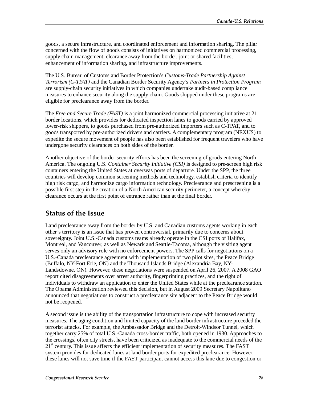goods, a secure infrastructure, and coordinated enforcement and information sharing. The pillar concerned with the flow of goods consists of initiatives on harmonized commercial processing, supply chain management, clearance away from the border, joint or shared facilities, enhancement of information sharing, and infrastructure improvements.

The U.S. Bureau of Customs and Border Protection's *Customs-Trade Partnership Against Terrorism (C-TPAT)* and the Canadian Border Security Agency's *Partners in Protection Program* are supply-chain security initiatives in which companies undertake audit-based compliance measures to enhance security along the supply chain. Goods shipped under these programs are eligible for preclearance away from the border.

The *Free and Secure Trade (FAST)* is a joint harmonized commercial processing initiative at 21 border locations, which provides for dedicated inspection lanes to goods carried by approved lower-risk shippers, to goods purchased from pre-authorized importers such as C-TPAT, and to goods transported by pre-authorized drivers and carriers. A complementary program (NEXUS) to expedite the secure movement of people has also been established for frequent travelers who have undergone security clearances on both sides of the border.

Another objective of the border security efforts has been the screening of goods entering North America. The ongoing U.S. *Container Security Initiative (CSI)* is designed to pre-screen high risk containers entering the United States at overseas ports of departure. Under the SPP, the three countries will develop common screening methods and technology, establish criteria to identify high risk cargo, and harmonize cargo information technology. Preclearance and prescreening is a possible first step in the creation of a North American security perimeter, a concept whereby clearance occurs at the first point of entrance rather than at the final border.

### **Status of the Issue**

Land preclearance away from the border by U.S. and Canadian customs agents working in each other's territory is an issue that has proven controversial, primarily due to concerns about sovereignty. Joint U.S.-Canada customs teams already operate in the CSI ports of Halifax, Montreal, and Vancouver, as well as Newark and Seattle-Tacoma, although the visiting agent serves only an advisory role with no enforcement powers. The SPP calls for negotiations on a U.S.-Canada preclearance agreement with implementation of two pilot sites, the Peace Bridge (Buffalo, NY-Fort Erie, ON) and the Thousand Islands Bridge (Alexandria Bay, NY-Landsdowne, ON). However, these negotiations were suspended on April 26, 2007. A 2008 GAO report cited disagreements over arrest authority, fingerprinting practices, and the right of individuals to withdraw an application to enter the United States while at the preclearance station. The Obama Administration reviewed this decision, but in August 2009 Secretary Napolitano announced that negotiations to construct a preclearance site adjacent to the Peace Bridge would not be reopened.

A second issue is the ability of the transportation infrastructure to cope with increased security measures. The aging condition and limited capacity of the land border infrastructure preceded the terrorist attacks. For example, the Ambassador Bridge and the Detroit-Windsor Tunnel, which together carry 25% of total U.S.-Canada cross-border traffic, both opened in 1930. Approaches to the crossings, often city streets, have been criticized as inadequate to the commercial needs of the  $21<sup>st</sup>$  century. This issue affects the efficient implementation of security measures. The FAST system provides for dedicated lanes at land border ports for expedited preclearance. However, these lanes will not save time if the FAST participant cannot access this lane due to congestion or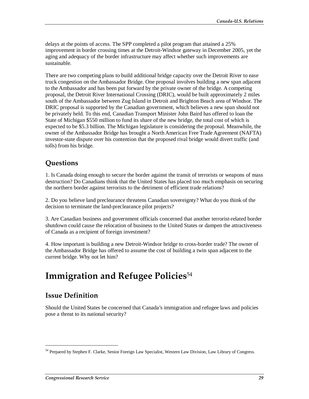delays at the points of access. The SPP completed a pilot program that attained a 25% improvement in border crossing times at the Detroit-Windsor gateway in December 2005, yet the aging and adequacy of the border infrastructure may affect whether such improvements are sustainable.

There are two competing plans to build additional bridge capacity over the Detroit River to ease truck congestion on the Ambassador Bridge. One proposal involves building a new span adjacent to the Ambassador and has been put forward by the private owner of the bridge. A competing proposal, the Detroit River International Crossing (DRIC), would be built approximately 2 miles south of the Ambassador between Zug Island in Detroit and Brighton Beach area of Windsor. The DRIC proposal is supported by the Canadian government, which believes a new span should not be privately held. To this end, Canadian Transport Minister John Baird has offered to loan the State of Michigan \$550 million to fund its share of the new bridge, the total cost of which is expected to be \$5.3 billion. The Michigan legislature is considering the proposal. Meanwhile, the owner of the Ambassador Bridge has brought a North American Free Trade Agreement (NAFTA) investor-state dispute over his contention that the proposed rival bridge would divert traffic (and tolls) from his bridge.

## **Questions**

1. Is Canada doing enough to secure the border against the transit of terrorists or weapons of mass destruction? Do Canadians think that the United States has placed too much emphasis on securing the northern border against terrorists to the detriment of efficient trade relations?

2. Do you believe land preclearance threatens Canadian sovereignty? What do you think of the decision to terminate the land-preclearance pilot projects?

3. Are Canadian business and government officials concerned that another terrorist-related border shutdown could cause the relocation of business to the United States or dampen the attractiveness of Canada as a recipient of foreign investment?

4. How important is building a new Detroit-Windsor bridge to cross-border trade? The owner of the Ambassador Bridge has offered to assume the cost of building a twin span adjacent to the current bridge. Why not let him?

# **Immigration and Refugee Policies**<sup>54</sup>

## **Issue Definition**

1

Should the United States be concerned that Canada's immigration and refugee laws and policies pose a threat to its national security?

<sup>54</sup> Prepared by Stephen F. Clarke, Senior Foreign Law Specialist, Western Law Division, Law Library of Congress.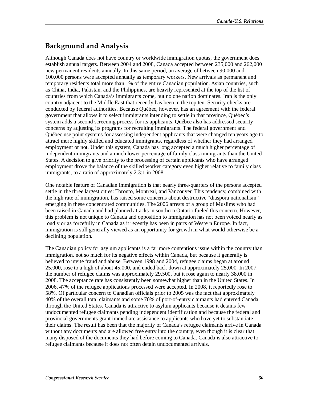# **Background and Analysis**

Although Canada does not have country or worldwide immigration quotas, the government does establish annual targets. Between 2004 and 2008, Canada accepted between 235,000 and 262,000 new permanent residents annually. In this same period, an average of between 90,000 and 100,000 persons were accepted annually as temporary workers. New arrivals as permanent and temporary residents total more than 1% of the entire Canadian population. Asian countries, such as China, India, Pakistan, and the Philippines, are heavily represented at the top of the list of countries from which Canada's immigrants come, but no one nation dominates. Iran is the only country adjacent to the Middle East that recently has been in the top ten. Security checks are conducted by federal authorities. Because Québec, however, has an agreement with the federal government that allows it to select immigrants intending to settle in that province, Québec's system adds a second screening process for its applicants. Québec also has addressed security concerns by adjusting its programs for recruiting immigrants. The federal government and Québec use point systems for assessing independent applicants that were changed ten years ago to attract more highly skilled and educated immigrants, regardless of whether they had arranged employment or not. Under this system, Canada has long accepted a much higher percentage of independent immigrants and a much lower percentage of family class immigrants than the United States. A decision to give priority to the processing of certain applicants who have arranged employment drove the balance of the skilled worker category even higher relative to family class immigrants, to a ratio of approximately 2.3:1 in 2008.

One notable feature of Canadian immigration is that nearly three-quarters of the persons accepted settle in the three largest cities: Toronto, Montreal, and Vancouver. This tendency, combined with the high rate of immigration, has raised some concerns about destructive "diaspora nationalism" emerging in these concentrated communities. The 2006 arrests of a group of Muslims who had been raised in Canada and had planned attacks in southern Ontario fueled this concern. However, this problem is not unique to Canada and opposition to immigration has not been voiced nearly as loudly or as forcefully in Canada as it recently has been in parts of Western Europe. In fact, immigration is still generally viewed as an opportunity for growth in what would otherwise be a declining population.

The Canadian policy for asylum applicants is a far more contentious issue within the country than immigration, not so much for its negative effects within Canada, but because it generally is believed to invite fraud and abuse. Between 1998 and 2004, refugee claims began at around 25,000, rose to a high of about 45,000, and ended back down at approximately 25,000. In 2007, the number of refugee claims was approximately 29,500, but it rose again to nearly 38,000 in 2008. The acceptance rate has consistently been somewhat higher than in the United States. In 2006, 47% of the refugee applications processed were accepted. In 2008, it reportedly rose to 58%. Of particular concern to Canadian officials prior to 2005 was the fact that approximately 40% of the overall total claimants and some 70% of port-of-entry claimants had entered Canada through the United States. Canada is attractive to asylum applicants because it detains few undocumented refugee claimants pending independent identification and because the federal and provincial governments grant immediate assistance to applicants who have yet to substantiate their claims. The result has been that the majority of Canada's refugee claimants arrive in Canada without any documents and are allowed free entry into the country, even though it is clear that many disposed of the documents they had before coming to Canada. Canada is also attractive to refugee claimants because it does not often detain undocumented arrivals.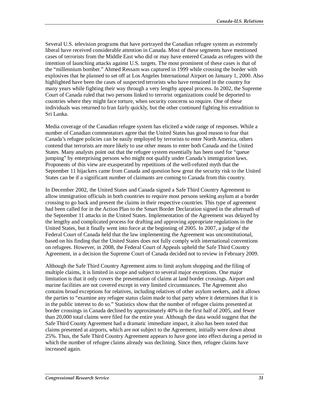Several U.S. television programs that have portrayed the Canadian refugee system as extremely liberal have received considerable attention in Canada. Most of these segments have mentioned cases of terrorists from the Middle East who did or may have entered Canada as refugees with the intention of launching attacks against U.S. targets. The most prominent of these cases is that of the "millennium bomber." Ahmed Ressam was captured in 1999 while crossing the border with explosives that he planned to set off at Los Angeles International Airport on January 1, 2000. Also highlighted have been the cases of suspected terrorists who have remained in the country for many years while fighting their way through a very lengthy appeal process. In 2002, the Supreme Court of Canada ruled that two persons linked to terrorist organizations could be deported to countries where they might face torture, when security concerns so require. One of these individuals was returned to Iran fairly quickly, but the other continued fighting his extradition to Sri Lanka.

Media coverage of the Canadian refugee system has elicited a wide range of responses. While a number of Canadian commentators agree that the United States has good reason to fear that Canada's refugee policies can be easily employed by terrorists to enter North America, others contend that terrorists are more likely to use other means to enter both Canada and the United States. Many analysts point out that the refugee system essentially has been used for "queue jumping" by enterprising persons who might not qualify under Canada's immigration laws. Proponents of this view are exasperated by repetitions of the well-refuted myth that the September 11 hijackers came from Canada and question how great the security risk to the United States can be if a significant number of claimants are coming to Canada from this country.

In December 2002, the United States and Canada signed a Safe Third Country Agreement to allow immigration officials in both countries to require most persons seeking asylum at a border crossing to go back and present the claims in their respective countries. This type of agreement had been called for in the Action Plan to the Smart Border Declaration signed in the aftermath of the September 11 attacks in the United States. Implementation of the Agreement was delayed by the lengthy and complicated process for drafting and approving appropriate regulations in the United States, but it finally went into force at the beginning of 2005. In 2007, a judge of the Federal Court of Canada held that the law implementing the Agreement was unconstitutional, based on his finding that the United States does not fully comply with international conventions on refugees. However, in 2008, the Federal Court of Appeals upheld the Safe Third Country Agreement, in a decision the Supreme Court of Canada decided not to review in February 2009.

Although the Safe Third Country Agreement aims to limit asylum shopping and the filing of multiple claims, it is limited in scope and subject to several major exceptions. One major limitation is that it only covers the presentation of claims at land border crossings. Airport and marine facilities are not covered except in very limited circumstances. The Agreement also contains broad exceptions for relatives, including relatives of other asylum seekers, and it allows the parties to "examine any refugee status claim made to that party where it determines that it is in the public interest to do so." Statistics show that the number of refugee claims presented at border crossings in Canada declined by approximately 40% in the first half of 2005, and fewer than 20,000 total claims were filed for the entire year. Although the data would suggest that the Safe Third County Agreement had a dramatic immediate impact, it also has been noted that claims presented at airports, which are not subject to the Agreement, initially were down about 25%. Thus, the Safe Third Country Agreement appears to have gone into effect during a period in which the number of refugee claims already was declining. Since then, refugee claims have increased again.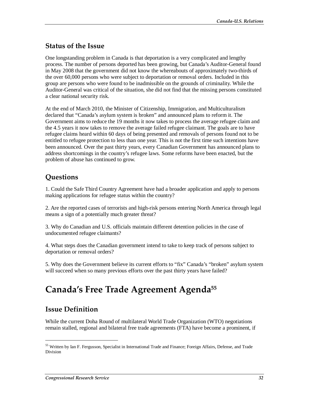#### **Status of the Issue**

One longstanding problem in Canada is that deportation is a very complicated and lengthy process. The number of persons deported has been growing, but Canada's Auditor-General found in May 2008 that the government did not know the whereabouts of approximately two-thirds of the over 60,000 persons who were subject to deportation or removal orders. Included in this group are persons who were found to be inadmissible on the grounds of criminality. While the Auditor-General was critical of the situation, she did not find that the missing persons constituted a clear national security risk.

At the end of March 2010, the Minister of Citizenship, Immigration, and Multiculturalism declared that "Canada's asylum system is broken" and announced plans to reform it. The Government aims to reduce the 19 months it now takes to process the average refugee claim and the 4.5 years it now takes to remove the average failed refugee claimant. The goals are to have refugee claims heard within 60 days of being presented and removals of persons found not to be entitled to refugee protection to less than one year. This is not the first time such intentions have been announced. Over the past thirty years, every Canadian Government has announced plans to address shortcomings in the country's refugee laws. Some reforms have been enacted, but the problem of abuse has continued to grow.

## **Questions**

1. Could the Safe Third Country Agreement have had a broader application and apply to persons making applications for refugee status within the country?

2. Are the reported cases of terrorists and high-risk persons entering North America through legal means a sign of a potentially much greater threat?

3. Why do Canadian and U.S. officials maintain different detention policies in the case of undocumented refugee claimants?

4. What steps does the Canadian government intend to take to keep track of persons subject to deportation or removal orders?

5. Why does the Government believe its current efforts to "fix" Canada's "broken" asylum system will succeed when so many previous efforts over the past thirty years have failed?

# **Canada's Free Trade Agreement Agenda55**

### **Issue Definition**

1

While the current Doha Round of multilateral World Trade Organization (WTO) negotiations remain stalled, regional and bilateral free trade agreements (FTA) have become a prominent, if

<sup>55</sup> Written by Ian F. Fergusson, Specialist in International Trade and Finance; Foreign Affairs, Defense, and Trade Division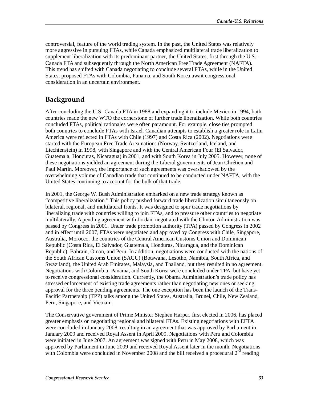controversial, feature of the world trading system. In the past, the United States was relatively more aggressive in pursuing FTAs, while Canada emphasized multilateral trade liberalization to supplement liberalization with its predominant partner, the United States, first through the U.S.- Canada FTA and subsequently through the North American Free Trade Agreement (NAFTA). This trend has shifted with Canada negotiating to conclude several FTAs, while in the United States, proposed FTAs with Colombia, Panama, and South Korea await congressional consideration in an uncertain environment.

## **Background**

After concluding the U.S.-Canada FTA in 1988 and expanding it to include Mexico in 1994, both countries made the new WTO the cornerstone of further trade liberalization. While both countries concluded FTAs, political rationales were often paramount. For example, close ties prompted both countries to conclude FTAs with Israel. Canadian attempts to establish a greater role in Latin America were reflected in FTAs with Chile (1997) and Costa Rica (2002). Negotiations were started with the European Free Trade Area nations (Norway, Switzerland, Iceland, and Liechtenstein) in 1998, with Singapore and with the Central American Four (El Salvador, Guatemala, Honduras, Nicaragua) in 2001, and with South Korea in July 2005. However, none of these negotiations yielded an agreement during the Liberal governments of Jean Chrétien and Paul Martin. Moreover, the importance of such agreements was overshadowed by the overwhelming volume of Canadian trade that continued to be conducted under NAFTA, with the United States continuing to account for the bulk of that trade.

In 2001, the George W. Bush Administration embarked on a new trade strategy known as "competitive liberalization." This policy pushed forward trade liberalization simultaneously on bilateral, regional, and multilateral fronts. It was designed to spur trade negotiations by liberalizing trade with countries willing to join FTAs, and to pressure other countries to negotiate multilaterally. A pending agreement with Jordan, negotiated with the Clinton Administration was passed by Congress in 2001. Under trade promotion authority (TPA) passed by Congress in 2002 and in effect until 2007, FTAs were negotiated and approved by Congress with Chile, Singapore, Australia, Morocco, the countries of the Central American Customs Union and Dominican Republic (Costa Rica, El Salvador, Guatemala, Honduras, Nicaragua, and the Dominican Republic), Bahrain, Oman, and Peru. In addition, negotiations were conducted with the nations of the South African Customs Union (SACU) (Botswana, Lesotho, Namibia, South Africa, and Swaziland), the United Arab Emirates, Malaysia, and Thailand, but they resulted in no agreement. Negotiations with Colombia, Panama, and South Korea were concluded under TPA, but have yet to receive congressional consideration. Currently, the Obama Administration's trade policy has stressed enforcement of existing trade agreements rather than negotiating new ones or seeking approval for the three pending agreements. The one exception has been the launch of the Trans-Pacific Partnership (TPP) talks among the United States, Australia, Brunei, Chile, New Zealand, Peru, Singapore, and Vietnam.

The Conservative government of Prime Minister Stephen Harper, first elected in 2006, has placed greater emphasis on negotiating regional and bilateral FTAs. Existing negotiations with EFTA were concluded in January 2008, resulting in an agreement that was approved by Parliament in January 2009 and received Royal Assent in April 2009. Negotiations with Peru and Colombia were initiated in June 2007. An agreement was signed with Peru in May 2008, which was approved by Parliament in June 2009 and received Royal Assent later in the month. Negotiations with Colombia were concluded in November 2008 and the bill received a procedural  $2<sup>nd</sup>$  reading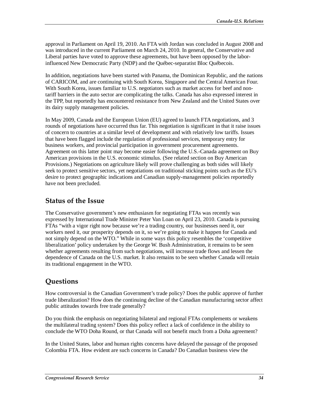approval in Parliament on April 19, 2010. An FTA with Jordan was concluded in August 2008 and was introduced in the current Parliament on March 24, 2010. In general, the Conservative and Liberal parties have voted to approve these agreements, but have been opposed by the laborinfluenced New Democratic Party (NDP) and the Québec-separatist Bloc Québecois.

In addition, negotiations have been started with Panama, the Dominican Republic, and the nations of CARICOM, and are continuing with South Korea, Singapore and the Central American Four. With South Korea, issues familiar to U.S. negotiators such as market access for beef and nontariff barriers in the auto sector are complicating the talks. Canada has also expressed interest in the TPP, but reportedly has encountered resistance from New Zealand and the United States over its dairy supply management policies.

In May 2009, Canada and the European Union (EU) agreed to launch FTA negotiations, and 3 rounds of negotiations have occurred thus far. This negotiation is significant in that it raise issues of concern to countries at a similar level of development and with relatively low tariffs. Issues that have been flagged include the regulation of professional services, temporary entry for business workers, and provincial participation in government procurement agreements. Agreement on this latter point may become easier following the U.S.-Canada agreement on Buy American provisions in the U.S. economic stimulus. (See related section on Buy American Provisions.) Negotiations on agriculture likely will prove challenging as both sides will likely seek to protect sensitive sectors, yet negotiations on traditional sticking points such as the EU's desire to protect geographic indications and Canadian supply-management policies reportedly have not been precluded.

#### **Status of the Issue**

The Conservative government's new enthusiasm for negotiating FTAs was recently was expressed by International Trade Minister Peter Van Loan on April 23, 2010. Canada is pursuing FTAs "with a vigor right now because we're a trading country, our businesses need it, our workers need it, our prosperity depends on it, so we're going to make it happen for Canada and not simply depend on the WTO." While in some ways this policy resembles the 'competitive liberalization' policy undertaken by the George W. Bush Administration, it remains to be seen whether agreements resulting from such negotiations, will increase trade flows and lessen the dependence of Canada on the U.S. market. It also remains to be seen whether Canada will retain its traditional engagement in the WTO.

### **Questions**

How controversial is the Canadian Government's trade policy? Does the public approve of further trade liberalization? How does the continuing decline of the Canadian manufacturing sector affect public attitudes towards free trade generally?

Do you think the emphasis on negotiating bilateral and regional FTAs complements or weakens the multilateral trading system? Does this policy reflect a lack of confidence in the ability to conclude the WTO Doha Round, or that Canada will not benefit much from a Doha agreement?

In the United States, labor and human rights concerns have delayed the passage of the proposed Colombia FTA. How evident are such concerns in Canada? Do Canadian business view the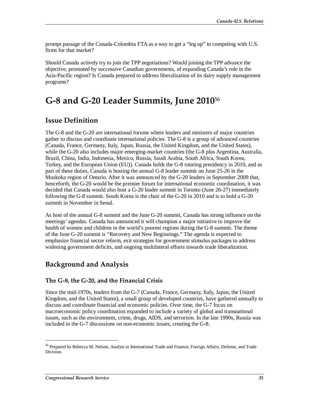prompt passage of the Canada-Colombia FTA as a way to get a "leg up" in competing with U.S. firms for that market?

Should Canada actively try to join the TPP negotiations? Would joining the TPP advance the objective, promoted by successive Canadian governments, of expanding Canada's role in the Asia-Pacific region? Is Canada prepared to address liberalization of its dairy supply management programs?

# **G-8 and G-20 Leader Summits, June 2010**<sup>56</sup>

#### **Issue Definition**

The G-8 and the G-20 are international forums where leaders and ministers of major countries gather to discuss and coordinate international policies. The G-8 is a group of advanced countries (Canada, France, Germany, Italy, Japan, Russia, the United Kingdom, and the United States), while the G-20 also includes major emerging-market countries (the G-8 plus Argentina, Australia, Brazil, China, India, Indonesia, Mexico, Russia, Saudi Arabia, South Africa, South Korea, Turkey, and the European Union (EU)). Canada holds the G-8 rotating presidency in 2010, and as part of these duties, Canada is hosting the annual G-8 leader summit on June 25-26 in the Muskoka region of Ontario. After it was announced by the G-20 leaders in September 2009 that, henceforth, the G-20 would be the premier forum for international economic coordination, it was decided that Canada would also host a G-20 leader summit in Toronto (June 26-27) immediately following the G-8 summit. South Korea is the chair of the G-20 in 2010 and is to hold a G-20 summit in November in Seoul.

As host of the annual G-8 summit and the June G-20 summit, Canada has strong influence on the meetings' agendas. Canada has announced it will champion a major initiative to improve the health of women and children in the world's poorest regions during the G-8 summit. The theme of the June G-20 summit is "Recovery and New Beginnings." The agenda is expected to emphasize financial sector reform, exit strategies for government stimulus packages to address widening government deficits, and ongoing multilateral efforts towards trade liberalization.

### **Background and Analysis**

#### **The G-8, the G-20, and the Financial Crisis**

Since the mid-1970s, leaders from the G-7 (Canada, France, Germany, Italy, Japan, the United Kingdom, and the United States), a small group of developed countries, have gathered annually to discuss and coordinate financial and economic policies. Over time, the G-7 focus on macroeconomic policy coordination expanded to include a variety of global and transnational issues, such as the environment, crime, drugs, AIDS, and terrorism. In the late 1990s, Russia was included in the G-7 discussions on non-economic issues, creating the G-8.

<sup>56</sup> Prepared by Rebecca M. Nelson, Analyst in International Trade and Finance, Foreign Affairs, Defense, and Trade Division.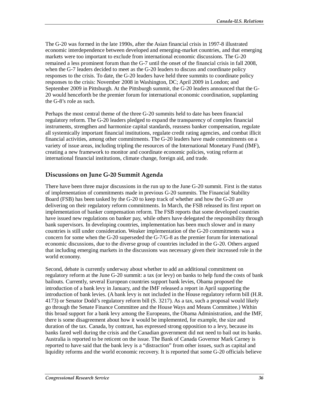The G-20 was formed in the late 1990s, after the Asian financial crisis in 1997-8 illustrated economic interdependence between developed and emerging-market countries, and that emerging markets were too important to exclude from international economic discussions. The G-20 remained a less prominent forum than the G-7 until the onset of the financial crisis in fall 2008, when the G-7 leaders decided to meet as the G-20 leaders to discuss and coordinate policy responses to the crisis. To date, the G-20 leaders have held three summits to coordinate policy responses to the crisis: November 2008 in Washington, DC; April 2009 in London; and September 2009 in Pittsburgh. At the Pittsburgh summit, the G-20 leaders announced that the G-20 would henceforth be the premier forum for international economic coordination, supplanting the G-8's role as such.

Perhaps the most central theme of the three G-20 summits held to date has been financial regulatory reform. The G-20 leaders pledged to expand the transparency of complex financial instruments, strengthen and harmonize capital standards, reassess banker compensation, regulate all systemically important financial institutions, regulate credit rating agencies, and combat illicit financial activities, among other commitments. The G-20 leaders have made commitments on a variety of issue areas, including tripling the resources of the International Monetary Fund (IMF), creating a new framework to monitor and coordinate economic policies, voting reform at international financial institutions, climate change, foreign aid, and trade.

#### **Discussions on June G-20 Summit Agenda**

There have been three major discussions in the run up to the June G-20 summit. First is the status of implementation of commitments made in previous G-20 summits. The Financial Stability Board (FSB) has been tasked by the G-20 to keep track of whether and how the G-20 are delivering on their regulatory reform commitments. In March, the FSB released its first report on implementation of banker compensation reform. The FSB reports that some developed countries have issued new regulations on banker pay, while others have delegated the responsibility through bank supervisors. In developing countries, implementation has been much slower and in many countries is still under consideration. Weaker implementation of the G-20 commitments was a concern for some when the G-20 superseded the G-7/G-8 as the premier forum for international economic discussions, due to the diverse group of countries included in the G-20. Others argued that including emerging markets in the discussions was necessary given their increased role in the world economy.

Second, debate is currently underway about whether to add an additional commitment on regulatory reform at the June G-20 summit: a tax (or levy) on banks to help fund the costs of bank bailouts. Currently, several European countries support bank levies, Obama proposed the introduction of a bank levy in January, and the IMF released a report in April supporting the introduction of bank levies. (A bank levy is not included in the House regulatory reform bill (H.R. 4173) or Senator Dodd's regulatory reform bill (S. 3217). As a tax, such a proposal would likely go through the Senate Finance Committee and the House Ways and Means Committee.) Within this broad support for a bank levy among the Europeans, the Obama Administration, and the IMF, there is some disagreement about how it would be implemented, for example, the size and duration of the tax. Canada, by contrast, has expressed strong opposition to a levy, because its banks fared well during the crisis and the Canadian government did not need to bail out its banks. Australia is reported to be reticent on the issue. The Bank of Canada Governor Mark Carney is reported to have said that the bank levy is a "distraction" from other issues, such as capital and liquidity reforms and the world economic recovery. It is reported that some G-20 officials believe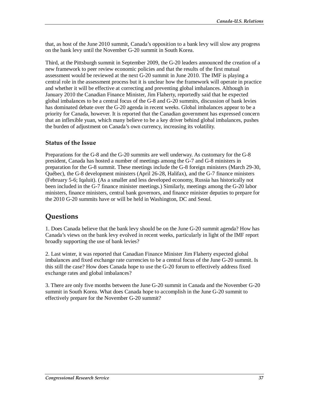that, as host of the June 2010 summit, Canada's opposition to a bank levy will slow any progress on the bank levy until the November G-20 summit in South Korea.

Third, at the Pittsburgh summit in September 2009, the G-20 leaders announced the creation of a new framework to peer review economic policies and that the results of the first mutual assessment would be reviewed at the next G-20 summit in June 2010. The IMF is playing a central role in the assessment process but it is unclear how the framework will operate in practice and whether it will be effective at correcting and preventing global imbalances. Although in January 2010 the Canadian Finance Minister, Jim Flaherty, reportedly said that he expected global imbalances to be a central focus of the G-8 and G-20 summits, discussion of bank levies has dominated debate over the G-20 agenda in recent weeks. Global imbalances appear to be a priority for Canada, however. It is reported that the Canadian government has expressed concern that an inflexible yuan, which many believe to be a key driver behind global imbalances, pushes the burden of adjustment on Canada's own currency, increasing its volatility.

#### **Status of the Issue**

Preparations for the G-8 and the G-20 summits are well underway. As customary for the G-8 president, Canada has hosted a number of meetings among the G-7 and G-8 ministers in preparation for the G-8 summit. These meetings include the G-8 foreign ministers (March 29-30, Québec), the G-8 development ministers (April 26-28, Halifax), and the G-7 finance ministers (February 5-6; Iqaluit). (As a smaller and less developed economy, Russia has historically not been included in the G-7 finance minister meetings.) Similarly, meetings among the G-20 labor ministers, finance ministers, central bank governors, and finance minister deputies to prepare for the 2010 G-20 summits have or will be held in Washington, DC and Seoul.

### **Questions**

1. Does Canada believe that the bank levy should be on the June G-20 summit agenda? How has Canada's views on the bank levy evolved in recent weeks, particularly in light of the IMF report broadly supporting the use of bank levies?

2. Last winter, it was reported that Canadian Finance Minister Jim Flaherty expected global imbalances and fixed exchange rate currencies to be a central focus of the June G-20 summit. Is this still the case? How does Canada hope to use the G-20 forum to effectively address fixed exchange rates and global imbalances?

3. There are only five months between the June G-20 summit in Canada and the November G-20 summit in South Korea. What does Canada hope to accomplish in the June G-20 summit to effectively prepare for the November G-20 summit?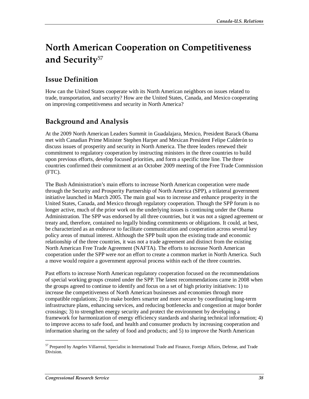# **North American Cooperation on Competitiveness and Security**<sup>57</sup>

## **Issue Definition**

How can the United States cooperate with its North American neighbors on issues related to trade, transportation, and security? How are the United States, Canada, and Mexico cooperating on improving competitiveness and security in North America?

## **Background and Analysis**

At the 2009 North American Leaders Summit in Guadalajara, Mexico, President Barack Obama met with Canadian Prime Minister Stephen Harper and Mexican President Felipe Calderón to discuss issues of prosperity and security in North America. The three leaders renewed their commitment to regulatory cooperation by instructing ministers in the three countries to build upon previous efforts, develop focused priorities, and form a specific time line. The three countries confirmed their commitment at an October 2009 meeting of the Free Trade Commission (FTC).

The Bush Administration's main efforts to increase North American cooperation were made through the Security and Prosperity Partnership of North America (SPP), a trilateral government initiative launched in March 2005. The main goal was to increase and enhance prosperity in the United States, Canada, and Mexico through regulatory cooperation. Though the SPP forum is no longer active, much of the prior work on the underlying issues is continuing under the Obama Administration. The SPP was endorsed by all three countries, but it was not a signed agreement or treaty and, therefore, contained no legally binding commitments or obligations. It could, at best, be characterized as an endeavor to facilitate communication and cooperation across several key policy areas of mutual interest. Although the SPP built upon the existing trade and economic relationship of the three countries, it was not a trade agreement and distinct from the existing North American Free Trade Agreement (NAFTA). The efforts to increase North American cooperation under the SPP were *not* an effort to create a common market in North America. Such a move would require a government approval process within each of the three countries.

Past efforts to increase North American regulatory cooperation focused on the recommendations of special working groups created under the SPP. The latest recommendations came in 2008 when the groups agreed to continue to identify and focus on a set of high priority initiatives: 1) to increase the competitiveness of North American businesses and economies through more compatible regulations; 2) to make borders smarter and more secure by coordinating long-term infrastructure plans, enhancing services, and reducing bottlenecks and congestion at major border crossings; 3) to strengthen energy security and protect the environment by developing a framework for harmonization of energy efficiency standards and sharing technical information; 4) to improve access to safe food, and health and consumer products by increasing cooperation and information sharing on the safety of food and products; and 5) to improve the North American

<sup>57</sup> Prepared by Angeles Villarreal, Specialist in International Trade and Finance, Foreign Affairs, Defense, and Trade Division.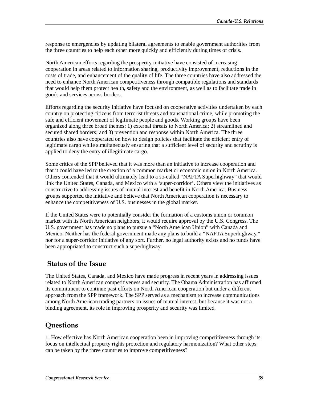response to emergencies by updating bilateral agreements to enable government authorities from the three countries to help each other more quickly and efficiently during times of crisis.

North American efforts regarding the prosperity initiative have consisted of increasing cooperation in areas related to information sharing, productivity improvement, reductions in the costs of trade, and enhancement of the quality of life. The three countries have also addressed the need to enhance North American competitiveness through compatible regulations and standards that would help them protect health, safety and the environment, as well as to facilitate trade in goods and services across borders.

Efforts regarding the security initiative have focused on cooperative activities undertaken by each country on protecting citizens from terrorist threats and transnational crime, while promoting the safe and efficient movement of legitimate people and goods. Working groups have been organized along three broad themes: 1) external threats to North America; 2) streamlined and secured shared borders; and 3) prevention and response within North America. The three countries also have cooperated on how to design policies that facilitate the efficient entry of legitimate cargo while simultaneously ensuring that a sufficient level of security and scrutiny is applied to deny the entry of illegitimate cargo.

Some critics of the SPP believed that it was more than an initiative to increase cooperation and that it could have led to the creation of a common market or economic union in North America. Others contended that it would ultimately lead to a so-called "NAFTA Superhighway" that would link the United States, Canada, and Mexico with a 'super-corridor'. Others view the initiatives as constructive to addressing issues of mutual interest and benefit in North America. Business groups supported the initiative and believe that North American cooperation is necessary to enhance the competitiveness of U.S. businesses in the global market.

If the United States were to potentially consider the formation of a customs union or common market with its North American neighbors, it would require approval by the U.S. Congress. The U.S. government has made no plans to pursue a "North American Union" with Canada and Mexico. Neither has the federal government made any plans to build a "NAFTA Superhighway," nor for a super-corridor initiative of any sort. Further, no legal authority exists and no funds have been appropriated to construct such a superhighway.

#### **Status of the Issue**

The United States, Canada, and Mexico have made progress in recent years in addressing issues related to North American competitiveness and security. The Obama Administration has affirmed its commitment to continue past efforts on North American cooperation but under a different approach from the SPP framework. The SPP served as a mechanism to increase communications among North American trading partners on issues of mutual interest, but because it was not a binding agreement, its role in improving prosperity and security was limited.

### **Questions**

1. How effective has North American cooperation been in improving competitiveness through its focus on intellectual property rights protection and regulatory harmonization? What other steps can be taken by the three countries to improve competitiveness?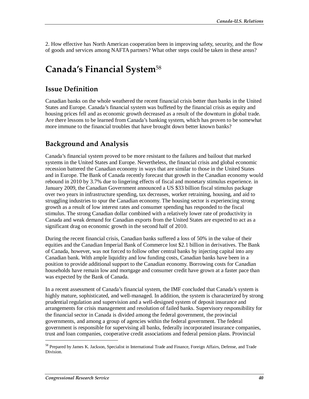2. How effective has North American cooperation been in improving safety, security, and the flow of goods and services among NAFTA partners? What other steps could be taken in these areas?

# **Canada's Financial System**<sup>58</sup>

#### **Issue Definition**

Canadian banks on the whole weathered the recent financial crisis better than banks in the United States and Europe. Canada's financial system was buffeted by the financial crisis as equity and housing prices fell and as economic growth decreased as a result of the downturn in global trade. Are there lessons to be learned from Canada's banking system, which has proven to be somewhat more immune to the financial troubles that have brought down better known banks?

### **Background and Analysis**

Canada's financial system proved to be more resistant to the failures and bailout that marked systems in the United States and Europe. Nevertheless, the financial crisis and global economic recession battered the Canadian economy in ways that are similar to those in the United States and in Europe. The Bank of Canada recently forecast that growth in the Canadian economy would rebound in 2010 by 3.7% due to lingering effects of fiscal and monetary stimulus experience. in January 2009, the Canadian Government announced a US \$33 billion fiscal stimulus package over two years in infrastructure spending, tax decreases, worker retraining, housing, and aid to struggling industries to spur the Canadian economy. The housing sector is experiencing strong growth as a result of low interest rates and consumer spending has responded to the fiscal stimulus. The strong Canadian dollar combined with a relatively lower rate of productivity in Canada and weak demand for Canadian exports from the United States are expected to act as a significant drag on economic growth in the second half of 2010.

During the recent financial crisis, Canadian banks suffered a loss of 50% in the value of their equities and the Canadian Imperial Bank of Commerce lost \$2.1 billion in derivatives. The Bank of Canada, however, was not forced to follow other central banks by injecting capital into any Canadian bank. With ample liquidity and low funding costs, Canadian banks have been in a position to provide additional support to the Canadian economy. Borrowing costs for Canadian households have remain low and mortgage and consumer credit have grown at a faster pace than was expected by the Bank of Canada.

In a recent assessment of Canada's financial system, the IMF concluded that Canada's system is highly mature, sophisticated, and well-managed. In addition, the system is characterized by strong prudential regulation and supervision and a well-designed system of deposit insurance and arrangements for crisis management and resolution of failed banks. Supervisory responsibility for the financial sector in Canada is divided among the federal government, the provincial governments, and among a group of agencies within the federal government. The federal government is responsible for supervising all banks, federally incorporated insurance companies, trust and loan companies, cooperative credit associations and federal pension plans. Provincial

<sup>58</sup> Prepared by James K. Jackson, Specialist in International Trade and Finance, Foreign Affairs, Defense, and Trade Division.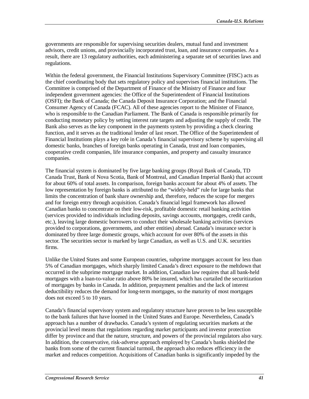governments are responsible for supervising securities dealers, mutual fund and investment advisors, credit unions, and provincially incorporated trust, loan, and insurance companies. As a result, there are 13 regulatory authorities, each administering a separate set of securities laws and regulations.

Within the federal government, the Financial Institutions Supervisory Committee (FISC) acts as the chief coordinating body that sets regulatory policy and supervises financial institutions. The Committee is comprised of the Department of Finance of the Ministry of Finance and four independent government agencies: the Office of the Superintendent of Financial Institutions (OSFI); the Bank of Canada; the Canada Deposit Insurance Corporation; and the Financial Consumer Agency of Canada (FCAC). All of these agencies report to the Minister of Finance, who is responsible to the Canadian Parliament. The Bank of Canada is responsible primarily for conducting monetary policy by setting interest rate targets and adjusting the supply of credit. The Bank also serves as the key component in the payments system by providing a check clearing function, and it serves as the traditional lender of last resort. The Office of the Superintendent of Financial Institutions plays a key role in Canada's financial supervisory scheme by supervising all domestic banks, branches of foreign banks operating in Canada, trust and loan companies, cooperative credit companies, life insurance companies, and property and casualty insurance companies.

The financial system is dominated by five large banking groups (Royal Bank of Canada, TD Canada Trust, Bank of Nova Scotia, Bank of Montreal, and Canadian Imperial Bank) that account for about 60% of total assets. In comparison, foreign banks account for about 4% of assets. The low representation by foreign banks is attributed to the "widely-held" rule for large banks that limits the concentration of bank share ownership and, therefore, reduces the scope for mergers and for foreign entry through acquisition. Canada's financial legal framework has allowed Canadian banks to concentrate on their low-risk, profitable domestic retail banking activities (services provided to individuals including deposits, savings accounts, mortgages, credit cards, etc.), leaving large domestic borrowers to conduct their wholesale banking activities (services provided to corporations, governments, and other entities) abroad. Canada's insurance sector is dominated by three large domestic groups, which account for over 80% of the assets in this sector. The securities sector is marked by large Canadian, as well as U.S. and U.K. securities firms.

Unlike the United States and some European countries, subprime mortgages account for less than 5% of Canadian mortgages, which sharply limited Canada's direct exposure to the meltdown that occurred in the subprime mortgage market. In addition, Canadian law requires that all bank-held mortgages with a loan-to-value ratio above 80% be insured, which has curtailed the securitization of mortgages by banks in Canada. In addition, prepayment penalties and the lack of interest deductibility reduces the demand for long-term mortgages, so the maturity of most mortgages does not exceed 5 to 10 years.

Canada's financial supervisory system and regulatory structure have proven to be less susceptible to the bank failures that have loomed in the United States and Europe. Nevertheless, Canada's approach has a number of drawbacks. Canada's system of regulating securities markets at the provincial level means that regulations regarding market participants and investor protection differ by province and that the nature, structure, and powers of the provincial regulators also vary. In addition, the conservative, risk-adverse approach employed by Canada's banks shielded the banks from some of the current financial turmoil, the approach also reduces efficiency in the market and reduces competition. Acquisitions of Canadian banks is significantly impeded by the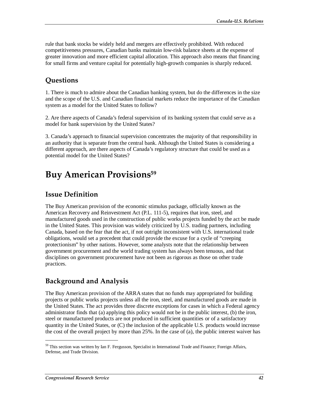rule that bank stocks be widely held and mergers are effectively prohibited. With reduced competitiveness pressures, Canadian banks maintain low-risk balance sheets at the expense of greater innovation and more efficient capital allocation. This approach also means that financing for small firms and venture capital for potentially high-growth companies is sharply reduced.

## **Questions**

1. There is much to admire about the Canadian banking system, but do the differences in the size and the scope of the U.S. and Canadian financial markets reduce the importance of the Canadian system as a model for the United States to follow?

2. Are there aspects of Canada's federal supervision of its banking system that could serve as a model for bank supervision by the United States?

3. Canada's approach to financial supervision concentrates the majority of that responsibility in an authority that is separate from the central bank. Although the United States is considering a different approach, are there aspects of Canada's regulatory structure that could be used as a potential model for the United States?

# **Buy American Provisions59**

### **Issue Definition**

The Buy American provision of the economic stimulus package, officially known as the American Recovery and Reinvestment Act (P.L. 111-5), requires that iron, steel, and manufactured goods used in the construction of public works projects funded by the act be made in the United States. This provision was widely criticized by U.S. trading partners, including Canada, based on the fear that the act, if not outright inconsistent with U.S. international trade obligations, would set a precedent that could provide the excuse for a cycle of "creeping protectionism" by other nations. However, some analysts note that the relationship between government procurement and the world trading system has always been tenuous, and that disciplines on government procurement have not been as rigorous as those on other trade practices.

## **Background and Analysis**

The Buy American provision of the ARRA states that no funds may appropriated for building projects or public works projects unless all the iron, steel, and manufactured goods are made in the United States. The act provides three discrete exceptions for cases in which a Federal agency administrator finds that (a) applying this policy would not be in the public interest, (b) the iron, steel or manufactured products are not produced in sufficient quantities or of a satisfactory quantity in the United States, or (C) the inclusion of the applicable U.S. products would increase the cost of the overall project by more than 25%. In the case of (a), the public interest waiver has

<sup>&</sup>lt;sup>59</sup> This section was written by Ian F. Fergusson, Specialist in International Trade and Finance; Foreign Affairs, Defense, and Trade Division.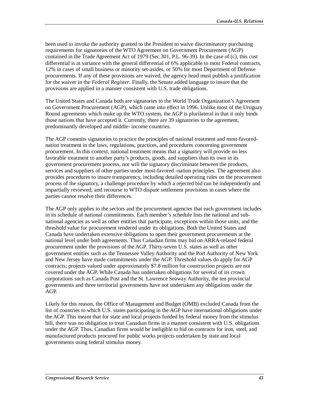been used to invoke the authority granted to the President to waive discriminatory purchasing requirements for signatories of the WTO Agreement on Government Procurement (AGP) contained in the Trade Agreement Act of 1979 (Sec.301, P.L. 96-39). In the case of (c), this cost differential is at variance with the general differential of 6% applicable to most Federal contracts, 12% in cases of small business or minority set-asides, or 50% for most Department of Defense procurements. If any of these provisions are waived, the agency head must publish a justification for the waiver in the *Federal Register*. Finally, the Senate added language to insure that the provisions are applied in a manner consistent with U.S. trade obligations.

The United States and Canada both are signatories to the World Trade Organization's Agreement on Government Procurement (AGP), which came into effect in 1996. Unlike most of the Uruguay Round agreements which make up the WTO system, the AGP is plurilateral in that it only binds those nations that have accepted it. Currently, there are 39 signatories to the agreement, predominantly developed and middle- income countries.

The AGP commits signatories to practice the principles of national treatment and most-favorednation treatment in the laws, regulations, practices, and procedures concerning government procurement. In this context, national treatment means that a signatory will provide no less favorable treatment to another party's products, goods, and suppliers than its own in its government procurement process, nor will the signatory discriminate between the products, services and suppliers of other parties under most-favored -nation principles. The agreement also provides procedures to insure transparency, including detailed operating rules on the procurement process of the signatory, a challenge procedure by which a rejected bid can be independently and impartially reviewed, and recourse to WTO dispute settlement provisions in cases where the parties cannot resolve their differences.

The AGP only applies to the sectors and the procurement agencies that each government includes in its schedule of national commitments. Each member's schedule lists the national and subnational agencies as well as other entities that participate, exceptions within those units, and the threshold value for procurement tendered under its obligations. Both the United States and Canada have undertaken extensive obligations to open their government procurements at the national level under both agreements. Thus Canadian firms may bid on ARRA-related federal procurement under the provisions of the AGP. Thirty-seven U.S. states as well as other government entities such as the Tennessee Valley Authority and the Port Authority of New York and New Jersey have made commitments under the AGP. Threshold values do apply for AGP contracts; projects valued under approximately \$7.8 million for construction projects are not covered under the AGP. While Canada has undertaken obligations for several of its crown corporations such as Canada Post and the St. Lawrence Seaway Authority, the ten provincial governments and three territorial governments have not undertaken any obligations under the AGP.

Likely for this reason, the Office of Management and Budget (OMB) excluded Canada from the list of countries to which U.S. states participating in the AGP have international obligations under the AGP. This meant that for state and local projects funded by federal money from the stimulus bill, there was no obligation to treat Canadian firms in a manner consistent with U.S. obligations under the AGP. Thus, Canadian firms would be ineligible to bid on contracts for iron, steel, and manufactured products procured for public works projects undertaken by state and local governments using federal stimulus money.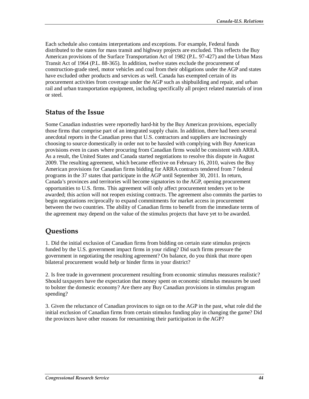Each schedule also contains interpretations and exceptions. For example, Federal funds distributed to the states for mass transit and highway projects are excluded. This reflects the Buy American provisions of the Surface Transportation Act of 1982 (P.L. 97-427) and the Urban Mass Transit Act of 1964 (P.L. 88-365). In addition, twelve states exclude the procurement of construction-grade steel, motor vehicles and coal from their obligations under the AGP and states have excluded other products and services as well. Canada has exempted certain of its procurement activities from coverage under the AGP such as shipbuilding and repair, and urban rail and urban transportation equipment, including specifically all project related materials of iron or steel.

#### **Status of the Issue**

Some Canadian industries were reportedly hard-hit by the Buy American provisions, especially those firms that comprise part of an integrated supply chain. In addition, there had been several anecdotal reports in the Canadian press that U.S. contractors and suppliers are increasingly choosing to source domestically in order not to be hassled with complying with Buy American provisions even in cases where procuring from Canadian firms would be consistent with ARRA. As a result, the United States and Canada started negotiations to resolve this dispute in August 2009. The resulting agreement, which became effective on February 16, 2010, waives the Buy American provisions for Canadian firms bidding for ARRA contracts tendered from 7 federal programs in the 37 states that participate in the AGP until September 30, 2011. In return, Canada's provinces and territories will become signatories to the AGP, opening procurement opportunities to U.S. firms. This agreement will only affect procurement tenders yet to be awarded; this action will not reopen existing contracts. The agreement also commits the parties to begin negotiations reciprocally to expand commitments for market access in procurement between the two countries. The ability of Canadian firms to benefit from the immediate terms of the agreement may depend on the value of the stimulus projects that have yet to be awarded.

### **Questions**

1. Did the initial exclusion of Canadian firms from bidding on certain state stimulus projects funded by the U.S. government impact firms in your riding? Did such firms pressure the government in negotiating the resulting agreement? On balance, do you think that more open bilateral procurement would help or hinder firms in your district?

2. Is free trade in government procurement resulting from economic stimulus measures realistic? Should taxpayers have the expectation that money spent on economic stimulus measures be used to bolster the domestic economy? Are there any Buy Canadian provisions in stimulus program spending?

3. Given the reluctance of Canadian provinces to sign on to the AGP in the past, what role did the initial exclusion of Canadian firms from certain stimulus funding play in changing the game? Did the provinces have other reasons for reexamining their participation in the AGP?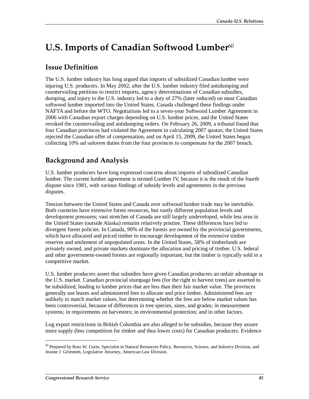# **U.S. Imports of Canadian Softwood Lumber**<sup>60</sup>

### **Issue Definition**

The U.S. lumber industry has long argued that imports of subsidized Canadian lumber were injuring U.S. producers. In May 2002, after the U.S. lumber industry filed antidumping and countervailing petitions to restrict imports, agency determinations of Canadian subsidies, dumping, and injury to the U.S. industry led to a duty of 27% (later reduced) on most Canadian softwood lumber imported into the United States. Canada challenged these findings under NAFTA and before the WTO. Negotiations led to a seven-year Softwood Lumber Agreement in 2006 with Canadian export charges depending on U.S. lumber prices, and the United States revoked the countervailing and antidumping orders. On February 26, 2009, a tribunal found that four Canadian provinces had violated the Agreement in calculating 2007 quotas; the United States rejected the Canadian offer of compensation, and on April 15, 2009, the United States began collecting 10% *ad valorem* duties from the four provinces to compensate for the 2007 breach.

## **Background and Analysis**

U.S. lumber producers have long expressed concerns about imports of subsidized Canadian lumber. The current lumber agreement is termed Lumber IV, because it is the result of the fourth dispute since 1981, with various findings of subsidy levels and agreements in the previous disputes.

Tension between the United States and Canada over softwood lumber trade may be inevitable. Both countries have extensive forest resources, but vastly different population levels and development pressures; vast stretches of Canada are still largely undeveloped, while less area in the United States (outside Alaska) remains relatively pristine. These differences have led to divergent forest policies. In Canada, 90% of the forests are owned by the provincial governments, which have allocated and priced timber to encourage development of the extensive timber reserves and settlement of unpopulated areas. In the United States, 58% of timberlands are privately owned, and private markets dominate the allocation and pricing of timber. U.S. federal and other government-owned forests are regionally important, but the timber is typically sold in a competitive market.

U.S. lumber producers assert that subsidies have given Canadian producers an unfair advantage in the U.S. market. Canadian provincial stumpage fees (for the right to harvest trees) are asserted to be subsidized, leading to lumber prices that are less than their fair market value. The provinces generally use leases and administered fees to allocate and price timber. Administered fees are unlikely to match market values, but determining whether the fees are below market values has been controversial, because of differences in tree species, sizes, and grades; in measurement systems; in requirements on harvesters; in environmental protection; and in other factors.

Log export restrictions in British Columbia are also alleged to be subsidies, because they assure more supply (less competition for timber and thus lower costs) for Canadian producers. Evidence

<sup>&</sup>lt;sup>60</sup> Prepared by Ross W. Gorte, Specialist in Natural Resources Policy, Resources, Science, and Industry Division, and Jeanne J. Grimmett, Legislative Attorney, American Law Division.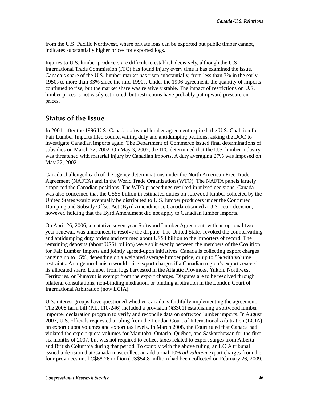from the U.S. Pacific Northwest, where private logs can be exported but public timber cannot, indicates substantially higher prices for exported logs.

Injuries to U.S. lumber producers are difficult to establish decisively, although the U.S. International Trade Commission (ITC) has found injury every time it has examined the issue. Canada's share of the U.S. lumber market has risen substantially, from less than 7% in the early 1950s to more than 33% since the mid-1990s. Under the 1996 agreement, the quantity of imports continued to rise, but the market share was relatively stable. The impact of restrictions on U.S. lumber prices is not easily estimated, but restrictions have probably put upward pressure on prices.

#### **Status of the Issue**

In 2001, after the 1996 U.S.-Canada softwood lumber agreement expired, the U.S. Coalition for Fair Lumber Imports filed countervailing duty and antidumping petitions, asking the DOC to investigate Canadian imports again. The Department of Commerce issued final determinations of subsidies on March 22, 2002. On May 3, 2002, the ITC determined that the U.S. lumber industry was threatened with material injury by Canadian imports. A duty averaging 27% was imposed on May 22, 2002.

Canada challenged each of the agency determinations under the North American Free Trade Agreement (NAFTA) and in the World Trade Organization (WTO). The NAFTA panels largely supported the Canadian positions. The WTO proceedings resulted in mixed decisions. Canada was also concerned that the US\$5 billion in estimated duties on softwood lumber collected by the United States would eventually be distributed to U.S. lumber producers under the Continued Dumping and Subsidy Offset Act (Byrd Amendment). Canada obtained a U.S. court decision, however, holding that the Byrd Amendment did not apply to Canadian lumber imports.

On April 26, 2006, a tentative seven-year Softwood Lumber Agreement, with an optional twoyear renewal, was announced to resolve the dispute. The United States revoked the countervailing and antidumping duty orders and returned about US\$4 billion to the importers of record. The remaining deposits (about US\$1 billion) were split evenly between the members of the Coalition for Fair Lumber Imports and jointly agreed-upon initiatives. Canada is collecting export charges ranging up to 15%, depending on a weighted average lumber price, or up to 5% with volume restraints. A surge mechanism would raise export charges if a Canadian region's exports exceed its allocated share. Lumber from logs harvested in the Atlantic Provinces, Yukon, Northwest Territories, or Nunavut is exempt from the export charges. Disputes are to be resolved through bilateral consultations, non-binding mediation, or binding arbitration in the London Court of International Arbitration (now LCIA).

U.S. interest groups have questioned whether Canada is faithfully implementing the agreement. The 2008 farm bill (P.L. 110-246) included a provision (§3301) establishing a softwood lumber importer declaration program to verify and reconcile data on softwood lumber imports. In August 2007, U.S. officials requested a ruling from the London Court of International Arbitration (LCIA) on export quota volumes and export tax levels. In March 2008, the Court ruled that Canada had violated the export quota volumes for Manitoba, Ontario, Québec, and Saskatchewan for the first six months of 2007, but was not required to collect taxes related to export surges from Alberta and British Columbia during that period. To comply with the above ruling, an LCIA tribunal issued a decision that Canada must collect an additional 10% *ad valorem* export charges from the four provinces until C\$68.26 million (US\$54.8 million) had been collected on February 26, 2009.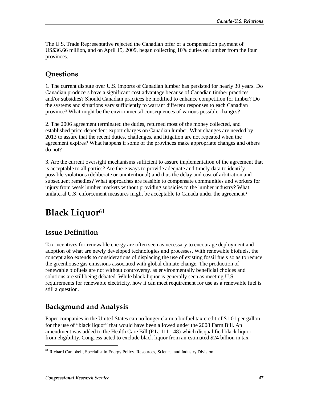The U.S. Trade Representative rejected the Canadian offer of a compensation payment of US\$36.66 million, and on April 15, 2009, began collecting 10% duties on lumber from the four provinces.

## **Questions**

1. The current dispute over U.S. imports of Canadian lumber has persisted for nearly 30 years. Do Canadian producers have a significant cost advantage because of Canadian timber practices and/or subsidies? Should Canadian practices be modified to enhance competition for timber? Do the systems and situations vary sufficiently to warrant different responses to each Canadian province? What might be the environmental consequences of various possible changes?

2. The 2006 agreement terminated the duties, returned most of the money collected, and established price-dependent export charges on Canadian lumber. What changes are needed by 2013 to assure that the recent duties, challenges, and litigation are not repeated when the agreement expires? What happens if some of the provinces make appropriate changes and others do not?

3. Are the current oversight mechanisms sufficient to assure implementation of the agreement that is acceptable to all parties? Are there ways to provide adequate and timely data to identify possible violations (deliberate or unintentional) and thus the delay and cost of arbitration and subsequent remedies? What approaches are feasible to compensate communities and workers for injury from weak lumber markets without providing subsidies to the lumber industry? What unilateral U.S. enforcement measures might be acceptable to Canada under the agreement?

# **Black Liquor**<sup>61</sup>

## **Issue Definition**

Tax incentives for renewable energy are often seen as necessary to encourage deployment and adoption of what are newly developed technologies and processes. With renewable biofuels, the concept also extends to considerations of displacing the use of existing fossil fuels so as to reduce the greenhouse gas emissions associated with global climate change. The production of renewable biofuels are not without controversy, as environmentally beneficial choices and solutions are still being debated. While black liquor is generally seen as meeting U.S. requirements for renewable electricity, how it can meet requirement for use as a renewable fuel is still a question.

## **Background and Analysis**

Paper companies in the United States can no longer claim a biofuel tax credit of \$1.01 per gallon for the use of "black liquor" that would have been allowed under the 2008 Farm Bill. An amendment was added to the Health Care Bill (P.L. 111-148) which disqualified black liquor from eligibility. Congress acted to exclude black liquor from an estimated \$24 billion in tax

<sup>&</sup>lt;sup>61</sup> Richard Campbell, Specialist in Energy Policy. Resources, Science, and Industry Division.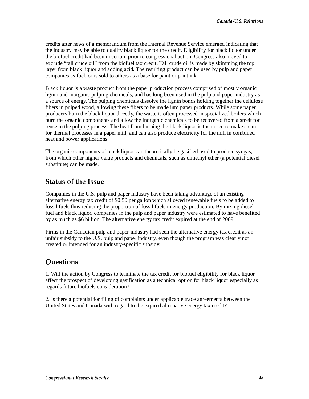credits after news of a memorandum from the Internal Revenue Service emerged indicating that the industry may be able to qualify black liquor for the credit. Eligibility for black liquor under the biofuel credit had been uncertain prior to congressional action. Congress also moved to exclude "tall crude oil" from the biofuel tax credit. Tall crude oil is made by skimming the top layer from black liquor and adding acid. The resulting product can be used by pulp and paper companies as fuel, or is sold to others as a base for paint or print ink.

Black liquor is a waste product from the paper production process comprised of mostly organic lignin and inorganic pulping chemicals, and has long been used in the pulp and paper industry as a source of energy. The pulping chemicals dissolve the lignin bonds holding together the cellulose fibers in pulped wood, allowing these fibers to be made into paper products. While some paper producers burn the black liquor directly, the waste is often processed in specialized boilers which burn the organic components and allow the inorganic chemicals to be recovered from a smelt for reuse in the pulping process. The heat from burning the black liquor is then used to make steam for thermal processes in a paper mill, and can also produce electricity for the mill in combined heat and power applications.

The organic components of black liquor can theoretically be gasified used to produce syngas, from which other higher value products and chemicals, such as dimethyl ether (a potential diesel substitute) can be made.

#### **Status of the Issue**

Companies in the U.S. pulp and paper industry have been taking advantage of an existing alternative energy tax credit of \$0.50 per gallon which allowed renewable fuels to be added to fossil fuels thus reducing the proportion of fossil fuels in energy production. By mixing diesel fuel and black liquor, companies in the pulp and paper industry were estimated to have benefited by as much as \$6 billion. The alternative energy tax credit expired at the end of 2009.

Firms in the Canadian pulp and paper industry had seen the alternative energy tax credit as an unfair subsidy to the U.S. pulp and paper industry, even though the program was clearly not created or intended for an industry-specific subsidy.

### **Questions**

1. Will the action by Congress to terminate the tax credit for biofuel eligibility for black liquor affect the prospect of developing gasification as a technical option for black liquor especially as regards future biofuels consideration?

2. Is there a potential for filing of complaints under applicable trade agreements between the United States and Canada with regard to the expired alternative energy tax credit?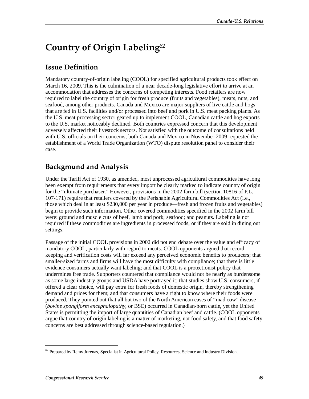# **Country of Origin Labeling**<sup>62</sup>

## **Issue Definition**

Mandatory country-of-origin labeling (COOL) for specified agricultural products took effect on March 16, 2009. This is the culmination of a near decade-long legislative effort to arrive at an accommodation that addresses the concerns of competing interests. Food retailers are now required to label the country of origin for fresh produce (fruits and vegetables), meats, nuts, and seafood, among other products. Canada and Mexico are major suppliers of live cattle and hogs that are fed in U.S. facilities and/or processed into beef and pork in U.S. meat packing plants. As the U.S. meat processing sector geared up to implement COOL, Canadian cattle and hog exports to the U.S. market noticeably declined. Both countries expressed concern that this development adversely affected their livestock sectors. Not satisfied with the outcome of consultations held with U.S. officials on their concerns, both Canada and Mexico in November 2009 requested the establishment of a World Trade Organization (WTO) dispute resolution panel to consider their case.

## **Background and Analysis**

Under the Tariff Act of 1930, as amended, most unprocessed agricultural commodities have long been exempt from requirements that every import be clearly marked to indicate country of origin for the "ultimate purchaser." However, provisions in the 2002 farm bill (section 10816 of P.L. 107-171) require that retailers covered by the Perishable Agricultural Commodities Act (i.e., those which deal in at least \$230,000 per year in produce—fresh and frozen fruits and vegetables) begin to provide such information. Other covered commodities specified in the 2002 farm bill were: ground and muscle cuts of beef, lamb and pork; seafood; and peanuts. Labeling is not required if these commodities are ingredients in processed foods, or if they are sold in dining out settings.

Passage of the initial COOL provisions in 2002 did not end debate over the value and efficacy of mandatory COOL, particularly with regard to meats. COOL opponents argued that recordkeeping and verification costs will far exceed any perceived economic benefits to producers; that smaller-sized farms and firms will have the most difficulty with compliance; that there is little evidence consumers actually want labeling; and that COOL is a protectionist policy that undermines free trade. Supporters countered that compliance would not be nearly as burdensome as some large industry groups and USDA have portrayed it; that studies show U.S. consumers, if offered a clear choice, will pay extra for fresh foods of domestic origin, thereby strengthening demand and prices for them; and that consumers have a right to know where their foods were produced. They pointed out that all but two of the North American cases of "mad cow" disease (*bovine spongiform encephalopathy*, or BSE) occurred in Canadian-born cattle, yet the United States is permitting the import of large quantities of Canadian beef and cattle. (COOL opponents argue that country of origin labeling is a matter of marketing, not food safety, and that food safety concerns are best addressed through science-based regulation.)

 $62$  Prepared by Remy Jurenas, Specialist in Agricultural Policy, Resources, Science and Industry Division.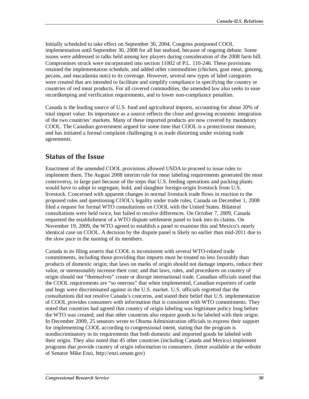Initially scheduled to take effect on September 30, 2004, Congress postponed COOL implementation until September 30, 2008 for all but seafood, because of ongoing debate. Some issues were addressed in talks held among key players during consideration of the 2008 farm bill. Compromises struck were incorporated into section 11002 of P.L. 110-246. These provisions retained the implementation schedule, and added other commodities (chicken, goat meat, ginseng, pecans, and macadamia nuts) to its coverage. However, several new types of label categories were created that are intended to facilitate and simplify compliance in specifying the country or countries of red meat products. For all covered commodities, the amended law also seeks to ease recordkeeping and verification requirements, and to lower non-compliance penalties.

Canada is the leading source of U.S. food and agricultural imports, accounting for about 20% of total import value. Its importance as a source reflects the close and growing economic integration of the two countries' markets. Many of these imported products are now covered by mandatory COOL. The Canadian government argued for some time that COOL is a protectionist measure, and has initiated a formal complaint challenging it as trade distorting under existing trade agreements.

### **Status of the Issue**

Enactment of the amended COOL provisions allowed USDA to proceed to issue rules to implement them. The August 2008 interim rule for meat labeling requirements generated the most controversy, in large part because of the steps that U.S. feeding operations and packing plants would have to adopt to segregate, hold, and slaughter foreign-origin livestock from U.S. livestock. Concerned with apparent changes in normal livestock trade flows in reaction to the proposed rules and questioning COOL's legality under trade rules, Canada on December 1, 2008 filed a request for formal WTO consultations on COOL with the United States. Bilateral consultations were held twice, but failed to resolve differences. On October 7, 2009, Canada requested the establishment of a WTO dispute settlement panel to look into its claims. On November 19, 2009, the WTO agreed to establish a panel to examine this and Mexico's nearly identical case on COOL. A decision by the dispute panel is likely no earlier than mid-2011 due to the slow pace in the naming of its members.

Canada in its filing asserts that COOL is inconsistent with several WTO-related trade commitments, including those providing that imports must be treated no less favorably than products of domestic origin; that laws on marks of origin should not damage imports, reduce their value, or unreasonably increase their cost; and that laws, rules, and procedures on country of origin should not "themselves" create or disrupt international trade. Canadian officials stated that the COOL requirements are "so onerous" that when implemented, Canadian exporters of cattle and hogs were discriminated against in the U.S. market. U.S. officials regretted that the consultations did not resolve Canada's concerns, and stated their belief that U.S. implementation of COOL provides consumers with information that is consistent with WTO commitments. They noted that countries had agreed that country of origin labeling was legitimate policy long before the WTO was created, and that other countries also require goods to be labeled with their origin. In December 2009, 25 senators wrote to Obama Administration officials to express their support for implementing COOL according to congressional intent, stating that the program is nondiscriminatory in its requirements that both domestic and imported goods be labeled with their origin. They also noted that 45 other countries (including Canada and Mexico) implement programs that provide country of origin information to consumers. (letter available at the website of Senator Mike Enzi, http://enzi.senate.gov)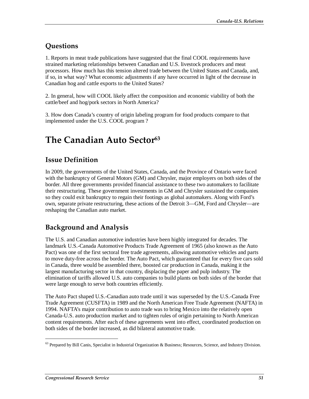## **Questions**

1. Reports in meat trade publications have suggested that the final COOL requirements have strained marketing relationships between Canadian and U.S. livestock producers and meat processors. How much has this tension altered trade between the United States and Canada, and, if so, in what way? What economic adjustments if any have occurred in light of the decrease in Canadian hog and cattle exports to the United States?

2. In general, how will COOL likely affect the composition and economic viability of both the cattle/beef and hog/pork sectors in North America?

3. How does Canada's country of origin labeling program for food products compare to that implemented under the U.S. COOL program ?

# **The Canadian Auto Sector63**

## **Issue Definition**

In 2009, the governments of the United States, Canada, and the Province of Ontario were faced with the bankruptcy of General Motors (GM) and Chrysler, major employers on both sides of the border. All three governments provided financial assistance to these two automakers to facilitate their restructuring. These government investments in GM and Chrysler sustained the companies so they could exit bankruptcy to regain their footings as global automakers. Along with Ford's own, separate private restructuring, these actions of the Detroit 3—GM, Ford and Chrysler—are reshaping the Canadian auto market.

### **Background and Analysis**

The U.S. and Canadian automotive industries have been highly integrated for decades. The landmark U.S.-Canada Automotive Products Trade Agreement of 1965 (also known as the Auto Pact) was one of the first sectoral free trade agreements, allowing automotive vehicles and parts to move duty-free across the border. The Auto Pact, which guaranteed that for every five cars sold in Canada, three would be assembled there, boosted car production in Canada, making it the largest manufacturing sector in that country, displacing the paper and pulp industry. The elimination of tariffs allowed U.S. auto companies to build plants on both sides of the border that were large enough to serve both countries efficiently.

The Auto Pact shaped U.S.-Canadian auto trade until it was superseded by the U.S.-Canada Free Trade Agreement (CUSFTA) in 1989 and the North American Free Trade Agreement (NAFTA) in 1994. NAFTA's major contribution to auto trade was to bring Mexico into the relatively open Canada-U.S. auto production market and to tighten rules of origin pertaining to North American content requirements. After each of these agreements went into effect, coordinated production on both sides of the border increased, as did bilateral automotive trade.

 $63$  Prepared by Bill Canis, Specialist in Industrial Organization & Business; Resources, Science, and Industry Division.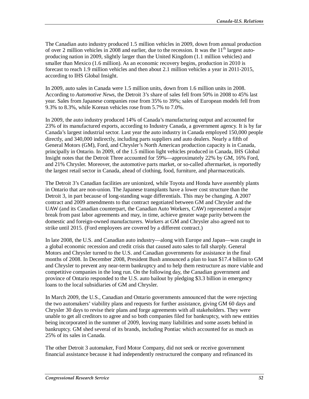The Canadian auto industry produced 1.5 million vehicles in 2009, down from annual production of over 2 million vehicles in 2008 and earlier, due to the recession. It was the  $11<sup>th</sup>$  largest autoproducing nation in 2009, slightly larger than the United Kingdom (1.1 million vehicles) and smaller than Mexico (1.6 million). As an economic recovery begins, production in 2010 is forecast to reach 1.9 million vehicles and then about 2.1 million vehicles a year in 2011-2015, according to IHS Global Insight.

In 2009, auto sales in Canada were 1.5 million units, down from 1.6 million units in 2008. According to *Automotive News*, the Detroit 3's share of sales fell from 50% in 2008 to 45% last year. Sales from Japanese companies rose from 35% to 39%; sales of European models fell from 9.3% to 8.3%, while Korean vehicles rose from 5.7% to 7.0%.

In 2009, the auto industry produced 14% of Canada's manufacturing output and accounted for 23% of its manufactured exports, according to Industry Canada, a government agency. It is by far Canada's largest industrial sector. Last year the auto industry in Canada employed 150,000 people directly, and 340,000 indirectly, including parts suppliers and auto dealers. Nearly a fifth of General Motors (GM), Ford, and Chrysler's North American production capacity is in Canada, principally in Ontario. In 2009, of the 1.5 million light vehicles produced in Canada, IHS Global Insight notes that the Detroit Three accounted for 59%—approximately 22% by GM, 16% Ford, and 21% Chrysler. Moreover, the automotive parts market, or so-called aftermarket, is reportedly the largest retail sector in Canada, ahead of clothing, food, furniture, and pharmaceuticals.

The Detroit 3's Canadian facilities are unionized, while Toyota and Honda have assembly plants in Ontario that are non-union. The Japanese transplants have a lower cost structure than the Detroit 3, in part because of long-standing wage differentials. This may be changing. A 2007 contract and 2009 amendments to that contract negotiated between GM and Chrysler and the UAW (and its Canadian counterpart, the Canadian Auto Workers, CAW) represented a major break from past labor agreements and may, in time, achieve greater wage parity between the domestic and foreign-owned manufacturers. Workers at GM and Chrysler also agreed not to strike until 2015. (Ford employees are covered by a different contract.)

In late 2008, the U.S. and Canadian auto industry—along with Europe and Japan—was caught in a global economic recession and credit crisis that caused auto sales to fall sharply. General Motors and Chrysler turned to the U.S. and Canadian governments for assistance in the final months of 2008. In December 2008, President Bush announced a plan to loan \$17.4 billion to GM and Chrysler to prevent any near-term bankruptcy and to help them restructure as more viable and competitive companies in the long run. On the following day, the Canadian government and province of Ontario responded to the U.S. auto bailout by pledging \$3.3 billion in emergency loans to the local subsidiaries of GM and Chrysler.

In March 2009, the U.S., Canadian and Ontario governments announced that the were rejecting the two automakers' viability plans and requests for further assistance, giving GM 60 days and Chrysler 30 days to revise their plans and forge agreements with all stakeholders. They were unable to get all creditors to agree and so both companies filed for bankruptcy, with new entities being incorporated in the summer of 2009, leaving many liabilities and some assets behind in bankruptcy. GM shed several of its brands, including Pontiac which accounted for as much as 25% of its sales in Canada.

The other Detroit 3 automaker, Ford Motor Company, did not seek or receive government financial assistance because it had independently restructured the company and refinanced its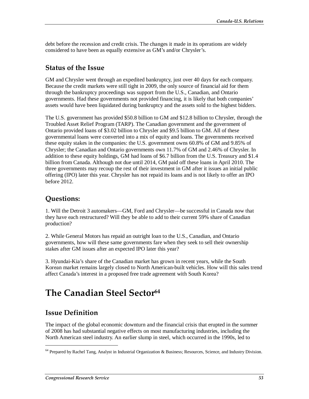debt before the recession and credit crisis. The changes it made in its operations are widely considered to have been as equally extensive as GM's and/or Chrysler's.

#### **Status of the Issue**

GM and Chrysler went through an expedited bankruptcy, just over 40 days for each company. Because the credit markets were still tight in 2009, the only source of financial aid for them through the bankruptcy proceedings was support from the U.S., Canadian, and Ontario governments. Had these governments not provided financing, it is likely that both companies' assets would have been liquidated during bankruptcy and the assets sold to the highest bidders.

The U.S. government has provided \$50.8 billion to GM and \$12.8 billion to Chrysler, through the Troubled Asset Relief Program (TARP). The Canadian government and the government of Ontario provided loans of \$3.02 billion to Chrysler and \$9.5 billion to GM. All of these governmental loans were converted into a mix of equity and loans. The governments received these equity stakes in the companies: the U.S. government owns 60.8% of GM and 9.85% of Chrysler; the Canadian and Ontario governments own 11.7% of GM and 2.46% of Chrysler. In addition to these equity holdings, GM had loans of \$6.7 billion from the U.S. Treasury and \$1.4 billion from Canada. Although not due until 2014, GM paid off these loans in April 2010. The three governments may recoup the rest of their investment in GM after it issues an initial public offering (IPO) later this year. Chrysler has not repaid its loans and is not likely to offer an IPO before 2012.

#### **Questions:**

1. Will the Detroit 3 automakers—GM, Ford and Chrysler—be successful in Canada now that they have each restructured? Will they be able to add to their current 59% share of Canadian production?

2. While General Motors has repaid an outright loan to the U.S., Canadian, and Ontario governments, how will these same governments fare when they seek to sell their ownership stakes after GM issues after an expected IPO later this year?

3. Hyundai-Kia's share of the Canadian market has grown in recent years, while the South Korean market remains largely closed to North American-built vehicles. How will this sales trend affect Canada's interest in a proposed free trade agreement with South Korea?

# **The Canadian Steel Sector64**

## **Issue Definition**

1

The impact of the global economic downturn and the financial crisis that erupted in the summer of 2008 has had substantial negative effects on most manufacturing industries, including the North American steel industry. An earlier slump in steel, which occurred in the 1990s, led to

<sup>&</sup>lt;sup>64</sup> Prepared by Rachel Tang, Analyst in Industrial Organization & Business; Resources, Science, and Industry Division.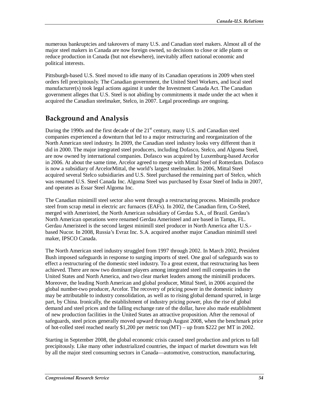numerous bankruptcies and takeovers of many U.S. and Canadian steel makers. Almost all of the major steel makers in Canada are now foreign owned, so decisions to close or idle plants or reduce production in Canada (but not elsewhere), inevitably affect national economic and political interests.

Pittsburgh-based U.S. Steel moved to idle many of its Canadian operations in 2009 when steel orders fell precipitously. The Canadian government, the United Steel Workers, and local steel manufacturer(s) took legal actions against it under the Investment Canada Act. The Canadian government alleges that U.S. Steel is not abiding by commitments it made under the act when it acquired the Canadian steelmaker, Stelco, in 2007. Legal proceedings are ongoing.

### **Background and Analysis**

During the 1990s and the first decade of the  $21<sup>st</sup>$  century, many U.S. and Canadian steel companies experienced a downturn that led to a major restructuring and reorganization of the North American steel industry. In 2009, the Canadian steel industry looks very different than it did in 2000. The major integrated steel producers, including Dofasco, Stelco, and Algoma Steel, are now owned by international companies. Dofasco was acquired by Luxemburg-based Arcelor in 2006. At about the same time, Arcelor agreed to merge with Mittal Steel of Rotterdam. Dofasco is now a subsidiary of ArcelorMittal, the world's largest steelmaker. In 2006, Mittal Steel acquired several Stelco subsidiaries and U.S. Steel purchased the remaining part of Stelco, which was renamed U.S. Steel Canada Inc. Algoma Steel was purchased by Essar Steel of India in 2007, and operates as Essar Steel Algoma Inc.

The Canadian minimill steel sector also went through a restructuring process. Minimills produce steel from scrap metal in electric arc furnaces (EAFs). In 2002, the Canadian firm, Co-Steel, merged with Ameristeel, the North American subsidiary of Gerdau S.A., of Brazil. Gerdau's North American operations were renamed Gerdau Ameristeel and are based in Tampa, FL. Gerdau Ameristeel is the second largest minimill steel producer in North America after U.S. based Nucor. In 2008, Russia's Evraz Inc. S.A. acquired another major Canadian minimill steel maker, IPSCO Canada.

The North American steel industry struggled from 1997 through 2002. In March 2002, President Bush imposed safeguards in response to surging imports of steel. One goal of safeguards was to effect a restructuring of the domestic steel industry. To a great extent, that restructuring has been achieved. There are now two dominant players among integrated steel mill companies in the United States and North America, and two clear market leaders among the minimill producers. Moreover, the leading North American and global producer, Mittal Steel, in 2006 acquired the global number-two producer, Arcelor. The recovery of pricing power in the domestic industry may be attributable to industry consolidation, as well as to rising global demand spurred, in large part, by China. Ironically, the establishment of industry pricing power, plus the rise of global demand and steel prices and the falling exchange rate of the dollar, have also made establishment of new production facilities in the United States an attractive proposition. After the removal of safeguards, steel prices generally moved upward through August 2008, when the benchmark price of hot-rolled steel reached nearly \$1,200 per metric ton (MT) – up from \$222 per MT in 2002.

Starting in September 2008, the global economic crisis caused steel production and prices to fall precipitously. Like many other industrialized countries, the impact of market downturn was felt by all the major steel consuming sectors in Canada—automotive, construction, manufacturing,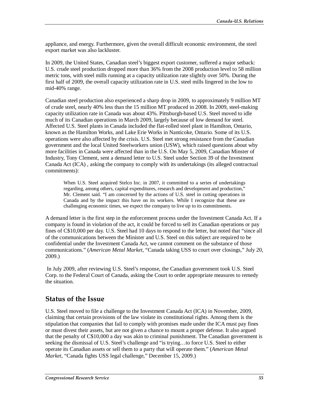appliance, and energy. Furthermore, given the overall difficult economic environment, the steel export market was also lackluster.

In 2009, the United States, Canadian steel's biggest export customer, suffered a major setback: U.S. crude steel production dropped more than 36% from the 2008 production level to 58 million metric tons, with steel mills running at a capacity utilization rate slightly over 50%. During the first half of 2009, the overall capacity utilization rate in U.S. steel mills lingered in the low to mid-40% range.

Canadian steel production also experienced a sharp drop in 2009, to approximately 9 million MT of crude steel, nearly 40% less than the 15 million MT produced in 2008. In 2009, steel-making capacity utilization rate in Canada was about 43%. Pittsburgh-based U.S. Steel moved to idle much of its Canadian operations in March 2009, largely because of low demand for steel. Affected U.S. Steel plants in Canada included the flat-rolled steel plant in Hamilton, Ontario, known as the Hamilton Works, and Lake Erie Works in Nanticoke, Ontario. Some of its U.S. operations were also affected by the crisis. U.S. Steel met strong resistance from the Canadian government and the local United Steelworkers union (USW), which raised questions about why more facilities in Canada were affected than in the U.S. On May 5, 2009, Canadian Minster of Industry, Tony Clement, sent a demand letter to U.S. Steel under Section 39 of the Investment Canada Act (ICA) , asking the company to comply with its undertakings (its alleged contractual commitments):

When U.S. Steel acquired Stelco Inc. in 2007, it committed to a series of undertakings regarding, among others, capital expenditures, research and development and production," Mr. Clement said. "I am concerned by the actions of U.S. steel in cutting operations in Canada and by the impact this have on its workers. While I recognize that these are challenging economic times, we expect the company to live up to its commitments.

A demand letter is the first step in the enforcement process under the Investment Canada Act. If a company is found in violation of the act, it could be forced to sell its Canadian operations or pay fines of C\$10,000 per day. U.S. Steel had 10 days to respond to the letter, but noted that "since all of the communications between the Minister and U.S. Steel on this subject are required to be confidential under the Investment Canada Act, we cannot comment on the substance of those communications." (*American Metal Market*, "Canada taking USS to court over closings," July 20, 2009.)

 In July 2009, after reviewing U.S. Steel's response, the Canadian government took U.S. Steel Corp. to the Federal Court of Canada, asking the Court to order appropriate measures to remedy the situation.

#### **Status of the Issue**

U.S. Steel moved to file a challenge to the Investment Canada Act (ICA) in November, 2009, claiming that certain provisions of the law violate its constitutional rights. Among them is the stipulation that companies that fail to comply with promises made under the ICA must pay fines or must divest their assets, but are not given a chance to mount a proper defense. It also argued that the penalty of C\$10,000 a day was akin to criminal punishment. The Canadian government is seeking the dismissal of U.S. Steel's challenge and "is trying…to force U.S. Steel to either operate its Canadian assets or sell them to a party that will operate them." (*American Metal Market*, "Canada fights USS legal challenge," December 15, 2009.)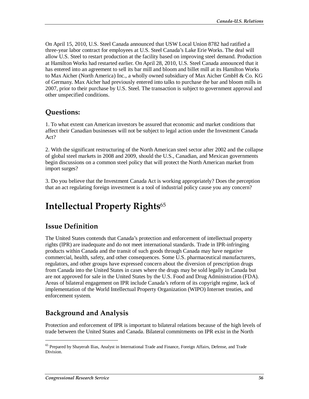On April 15, 2010, U.S. Steel Canada announced that USW Local Union 8782 had ratified a three-year labor contract for employees at U.S. Steel Canada's Lake Erie Works. The deal will allow U.S. Steel to restart production at the facility based on improving steel demand. Production at Hamilton Works had restarted earlier. On April 28, 2010, U.S. Steel Canada announced that it has entered into an agreement to sell its bar mill and bloom and billet mill at its Hamilton Works to Max Aicher (North America) Inc., a wholly owned subsidiary of Max Aicher GmbH & Co. KG of Germany. Max Aicher had previously entered into talks to purchase the bar and bloom mills in 2007, prior to their purchase by U.S. Steel. The transaction is subject to government approval and other unspecified conditions.

### **Questions:**

1. To what extent can American investors be assured that economic and market conditions that affect their Canadian businesses will not be subject to legal action under the Investment Canada Act?

2. With the significant restructuring of the North American steel sector after 2002 and the collapse of global steel markets in 2008 and 2009, should the U.S., Canadian, and Mexican governments begin discussions on a common steel policy that will protect the North American market from import surges?

3. Do you believe that the Investment Canada Act is working appropriately? Does the perception that an act regulating foreign investment is a tool of industrial policy cause you any concern?

# **Intellectual Property Rights**<sup>65</sup>

### **Issue Definition**

The United States contends that Canada's protection and enforcement of intellectual property rights (IPR) are inadequate and do not meet international standards. Trade in IPR-infringing products within Canada and the transit of such goods through Canada may have negative commercial, health, safety, and other consequences. Some U.S. pharmaceutical manufacturers, regulators, and other groups have expressed concern about the diversion of prescription drugs from Canada into the United States in cases where the drugs may be sold legally in Canada but are not approved for sale in the United States by the U.S. Food and Drug Administration (FDA). Areas of bilateral engagement on IPR include Canada's reform of its copyright regime, lack of implementation of the World Intellectual Property Organization (WIPO) Internet treaties, and enforcement system.

## **Background and Analysis**

Protection and enforcement of IPR is important to bilateral relations because of the high levels of trade between the United States and Canada. Bilateral commitments on IPR exist in the North

<sup>&</sup>lt;sup>65</sup> Prepared by Shayerah Ilias, Analyst in International Trade and Finance, Foreign Affairs, Defense, and Trade Division.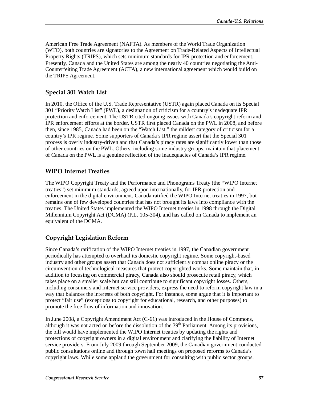American Free Trade Agreement (NAFTA). As members of the World Trade Organization (WTO), both countries are signatories to the Agreement on Trade-Related Aspects of Intellectual Property Rights (TRIPS), which sets minimum standards for IPR protection and enforcement. Presently, Canada and the United States are among the nearly 40 countries negotiating the Anti-Counterfeiting Trade Agreement (ACTA), a new international agreement which would build on the TRIPS Agreement.

#### **Special 301 Watch List**

In 2010, the Office of the U.S. Trade Representative (USTR) again placed Canada on its Special 301 "Priority Watch List" (PWL), a designation of criticism for a country's inadequate IPR protection and enforcement. The USTR cited ongoing issues with Canada's copyright reform and IPR enforcement efforts at the border. USTR first placed Canada on the PWL in 2008, and before then, since 1985, Canada had been on the "Watch List," the mildest category of criticism for a country's IPR regime. Some supporters of Canada's IPR regime assert that the Special 301 process is overly industry-driven and that Canada's piracy rates are significantly lower than those of other countries on the PWL. Others, including some industry groups, maintain that placement of Canada on the PWL is a genuine reflection of the inadequacies of Canada's IPR regime.

#### **WIPO Internet Treaties**

The WIPO Copyright Treaty and the Performance and Phonograms Treaty (the "WIPO Internet treaties") set minimum standards, agreed upon internationally, for IPR protection and enforcement in the digital environment. Canada ratified the WIPO Internet treaties in 1997, but remains one of few developed countries that has not brought its laws into compliance with the treaties. The United States implemented the WIPO Internet treaties in 1998 through the Digital Millennium Copyright Act (DCMA) (P.L. 105-304), and has called on Canada to implement an equivalent of the DCMA.

#### **Copyright Legislation Reform**

Since Canada's ratification of the WIPO Internet treaties in 1997, the Canadian government periodically has attempted to overhaul its domestic copyright regime. Some copyright-based industry and other groups assert that Canada does not sufficiently combat online piracy or the circumvention of technological measures that protect copyrighted works. Some maintain that, in addition to focusing on commercial piracy, Canada also should prosecute retail piracy, which takes place on a smaller scale but can still contribute to significant copyright losses. Others, including consumers and Internet service providers, express the need to reform copyright law in a way that balances the interests of both copyright. For instance, some argue that it is important to protect "fair use" (exceptions to copyright for educational, research, and other purposes) to promote the free flow of information and innovation.

In June 2008, a Copyright Amendment Act (C-61) was introduced in the House of Commons, although it was not acted on before the dissolution of the  $39<sup>th</sup>$  Parliament. Among its provisions, the bill would have implemented the WIPO Internet treaties by updating the rights and protections of copyright owners in a digital environment and clarifying the liability of Internet service providers. From July 2009 through September 2009, the Canadian government conducted public consultations online and through town hall meetings on proposed reforms to Canada's copyright laws. While some applaud the government for consulting with public sector groups,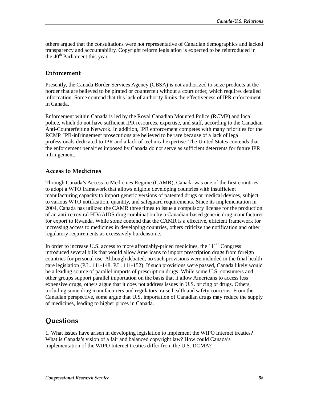others argued that the consultations were not representative of Canadian demographics and lacked transparency and accountability. Copyright reform legislation is expected to be reintroduced in the  $40<sup>th</sup>$  Parliament this year.

#### **Enforcement**

Presently, the Canada Border Services Agency (CBSA) is not authorized to seize products at the border that are believed to be pirated or counterfeit without a court order, which requires detailed information. Some contend that this lack of authority limits the effectiveness of IPR enforcement in Canada.

Enforcement within Canada is led by the Royal Canadian Mounted Police (RCMP) and local police, which do not have sufficient IPR resources, expertise, and staff, according to the Canadian Anti-Counterfeiting Network. In addition, IPR enforcement competes with many priorities for the RCMP. IPR-infringement prosecutions are believed to be rare because of a lack of legal professionals dedicated to IPR and a lack of technical expertise. The United States contends that the enforcement penalties imposed by Canada do not serve as sufficient deterrents for future IPR infringement.

#### **Access to Medicines**

Through Canada's Access to Medicines Regime (CAMR), Canada was one of the first countries to adopt a WTO framework that allows eligible developing countries with insufficient manufacturing capacity to import generic versions of patented drugs or medical devices, subject to various WTO notification, quantity, and safeguard requirements. Since its implementation in 2004, Canada has utilized the CAMR three times to issue a compulsory license for the production of an anti-retroviral HIV/AIDS drug combination by a Canadian-based generic drug manufacturer for export to Rwanda. While some contend that the CAMR is a effective, efficient framework for increasing access to medicines in developing countries, others criticize the notification and other regulatory requirements as excessively burdensome.

In order to increase U.S. access to more affordably-priced medicines, the  $111<sup>th</sup>$  Congress introduced several bills that would allow Americans to import prescription drugs from foreign countries for personal use. Although debated, no such provisions were included in the final health care legislation (P.L. 111-148, P.L. 111-152). If such provisions were passed, Canada likely would be a leading source of parallel imports of prescription drugs. While some U.S. consumers and other groups support parallel importation on the basis that it allow Americans to access less expensive drugs, others argue that it does not address issues in U.S. pricing of drugs. Others, including some drug manufacturers and regulators, raise health and safety concerns. From the Canadian perspective, some argue that U.S. importation of Canadian drugs may reduce the supply of medicines, leading to higher prices in Canada.

#### **Questions**

1. What issues have arisen in developing legislation to implement the WIPO Internet treaties? What is Canada's vision of a fair and balanced copyright law? How could Canada's implementation of the WIPO Internet treaties differ from the U.S. DCMA?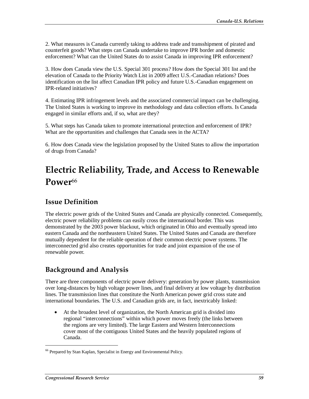2. What measures is Canada currently taking to address trade and transshipment of pirated and counterfeit goods? What steps can Canada undertake to improve IPR border and domestic enforcement? What can the United States do to assist Canada in improving IPR enforcement?

3. How does Canada view the U.S. Special 301 process? How does the Special 301 list and the elevation of Canada to the Priority Watch List in 2009 affect U.S.-Canadian relations? Does identification on the list affect Canadian IPR policy and future U.S.-Canadian engagement on IPR-related initiatives?

4. Estimating IPR infringement levels and the associated commercial impact can be challenging. The United States is working to improve its methodology and data collection efforts. Is Canada engaged in similar efforts and, if so, what are they?

5. What steps has Canada taken to promote international protection and enforcement of IPR? What are the opportunities and challenges that Canada sees in the ACTA?

6. How does Canada view the legislation proposed by the United States to allow the importation of drugs from Canada?

# **Electric Reliability, Trade, and Access to Renewable**  Power<sup>66</sup>

### **Issue Definition**

The electric power grids of the United States and Canada are physically connected. Consequently, electric power reliability problems can easily cross the international border. This was demonstrated by the 2003 power blackout, which originated in Ohio and eventually spread into eastern Canada and the northeastern United States. The United States and Canada are therefore mutually dependent for the reliable operation of their common electric power systems. The interconnected grid also creates opportunities for trade and joint expansion of the use of renewable power.

## **Background and Analysis**

There are three components of electric power delivery: generation by power plants, transmission over long-distances by high voltage power lines, and final delivery at low voltage by distribution lines. The transmission lines that constitute the North American power grid cross state and international boundaries. The U.S. and Canadian grids are, in fact, inextricably linked:

• At the broadest level of organization, the North American grid is divided into regional "interconnections" within which power moves freely (the links between the regions are very limited). The large Eastern and Western Interconnections cover most of the contiguous United States and the heavily populated regions of Canada.

<sup>&</sup>lt;sup>66</sup> Prepared by Stan Kaplan, Specialist in Energy and Environmental Policy.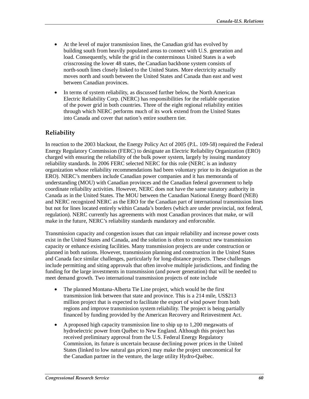- At the level of major transmission lines, the Canadian grid has evolved by building south from heavily populated areas to connect with U.S. generation and load. Consequently, while the grid in the conterminous United States is a web crisscrossing the lower 48 states, the Canadian backbone system consists of north-south lines closely linked to the United States. More electricity actually moves north and south between the United States and Canada than east and west between Canadian provinces.
- In terms of system reliability, as discussed further below, the North American Electric Reliability Corp. (NERC) has responsibilities for the reliable operation of the power grid in both countries. Three of the eight regional reliability entities through which NERC performs much of its work extend from the United States into Canada and cover that nation's entire southern tier.

#### **Reliability**

In reaction to the 2003 blackout, the Energy Policy Act of 2005 (P.L. 109-58) required the Federal Energy Regulatory Commission (FERC) to designate an Electric Reliability Organization (ERO) charged with ensuring the reliability of the bulk power system, largely by issuing mandatory reliability standards. In 2006 FERC selected NERC for this role (NERC is an industry organization whose reliability recommendations had been voluntary prior to its designation as the ERO). NERC's members include Canadian power companies and it has memoranda of understanding (MOU) with Canadian provinces and the Canadian federal government to help coordinate reliability activities. However, NERC does not have the same statutory authority in Canada as in the United States. The MOU between the Canadian National Energy Board (NEB) and NERC recognized NERC as the ERO for the Canadian part of international transmission lines but not for lines located entirely within Canada's borders (which are under provincial, not federal, regulation). NERC currently has agreements with most Canadian provinces that make, or will make in the future, NERC's reliability standards mandatory and enforceable.

Transmission capacity and congestion issues that can impair reliability and increase power costs exist in the United States and Canada, and the solution is often to construct new transmission capacity or enhance existing facilities. Many transmission projects are under construction or planned in both nations. However, transmission planning and construction in the United States and Canada face similar challenges, particularly for long-distance projects. These challenges include permitting and siting approvals that often involve multiple jurisdictions, and finding the funding for the large investments in transmission (and power generation) that will be needed to meet demand growth. Two international transmission projects of note include

- The planned Montana-Alberta Tie Line project, which would be the first transmission link between that state and province. This is a 214 mile, US\$213 million project that is expected to facilitate the export of wind power from both regions and improve transmission system reliability. The project is being partially financed by funding provided by the American Recovery and Reinvestment Act.
- A proposed high capacity transmission line to ship up to 1,200 megawatts of hydroelectric power from Québec to New England. Although this project has received preliminary approval from the U.S. Federal Energy Regulatory Commission, its future is uncertain because declining power prices in the United States (linked to low natural gas prices) may make the project uneconomical for the Canadian partner in the venture, the large utility Hydro-Québec.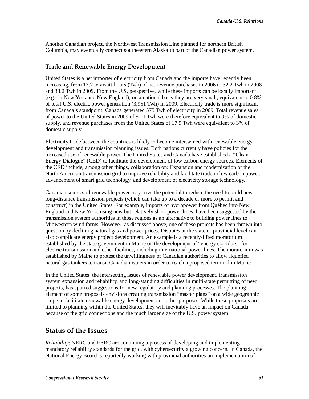Another Canadian project, the Northwest Transmission Line planned for northern British Columbia, may eventually connect southeastern Alaska to part of the Canadian power system.

#### **Trade and Renewable Energy Development**

United States is a net importer of electricity from Canada and the imports have recently been increasing, from 17.7 terawatt-hours (Twh) of net revenue purchases in 2006 to 32.2 Twh in 2008 and 33.2 Twh in 2009. From the U.S. perspective, while these imports can be locally important (e.g., in New York and New England), on a national basis they are very small, equivalent to 0.8% of total U.S. electric power generation (3,951 Twh) in 2009. Electricity trade is more significant from Canada's standpoint. Canada generated 575 Twh of electricity in 2009. Total revenue sales of power to the United States in 2009 of 51.1 Twh were therefore equivalent to 9% of domestic supply, and revenue purchases from the United States of 17.9 Twh were equivalent to 3% of domestic supply.

Electricity trade between the countries is likely to become intertwined with renewable energy development and transmission planning issues. Both nations currently have policies for the increased use of renewable power. The United States and Canada have established a "Clean Energy Dialogue" (CED) to facilitate the development of low carbon energy sources. Elements of the CED include, among other things, collaboration on: Expansion and modernization of the North American transmission grid to improve reliability and facilitate trade in low carbon power, advancement of smart grid technology, and development of electricity storage technology.

Canadian sources of renewable power may have the potential to reduce the need to build new, long-distance transmission projects (which can take up to a decade or more to permit and construct) in the United States. For example, imports of hydropower from Québec into New England and New York, using new but relatively short power lines, have been suggested by the transmission system authorities in those regions as an alternative to building power lines to Midwestern wind farms. However, as discussed above, one of these projects has been thrown into question by declining natural gas and power prices. Disputes at the state or provincial level can also complicate energy project development. An example is a recently-lifted moratorium established by the state government in Maine on the development of "energy corridors" for electric transmission and other facilities, including international power lines. The moratorium was established by Maine to protest the unwillingness of Canadian authorities to allow liquefied natural gas tankers to transit Canadian waters in order to reach a proposed terminal in Maine.

In the United States, the intersecting issues of renewable power development, transmission system expansion and reliability, and long-standing difficulties in multi-state permitting of new projects, has spurred suggestions for new regulatory and planning processes. The planning element of some proposals envisions creating transmission "master plans" on a wide geographic scope to facilitate renewable energy development and other purposes. While these proposals are limited to planning within the United States, they will inevitably have an impact on Canada because of the grid connections and the much larger size of the U.S. power system.

#### **Status of the Issues**

*Reliability*: NERC and FERC are continuing a process of developing and implementing mandatory reliability standards for the grid, with cybersecurity a growing concern. In Canada, the National Energy Board is reportedly working with provincial authorities on implementation of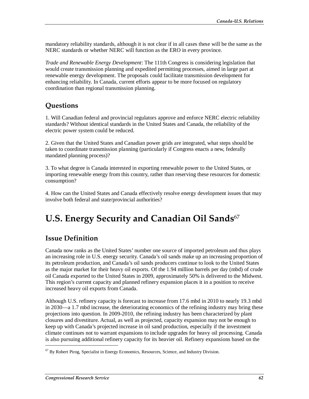mandatory reliability standards, although it is not clear if in all cases these will be the same as the NERC standards or whether NERC will function as the ERO in every province.

*Trade and Renewable Energy Development*: The 111th Congress is considering legislation that would create transmission planning and expedited permitting processes, aimed in large part at renewable energy development. The proposals could facilitate transmission development for enhancing reliability. In Canada, current efforts appear to be more focused on regulatory coordination than regional transmission planning.

## **Questions**

1. Will Canadian federal and provincial regulators approve and enforce NERC electric reliability standards? Without identical standards in the United States and Canada, the reliability of the electric power system could be reduced.

2. Given that the United States and Canadian power grids are integrated, what steps should be taken to coordinate transmission planning (particularly if Congress enacts a new, federally mandated planning process)?

3. To what degree is Canada interested in exporting renewable power to the United States, or importing renewable energy from this country, rather than reserving these resources for domestic consumption?

4. How can the United States and Canada effectively resolve energy development issues that may involve both federal and state/provincial authorities?

# **U.S. Energy Security and Canadian Oil Sands**<sup>67</sup>

### **Issue Definition**

Canada now ranks as the United States' number one source of imported petroleum and thus plays an increasing role in U.S. energy security. Canada's oil sands make up an increasing proportion of its petroleum production, and Canada's oil sands producers continue to look to the United States as the major market for their heavy oil exports. Of the 1.94 million barrels per day (mbd) of crude oil Canada exported to the United States in 2009, approximately 50% is delivered to the Midwest. This region's current capacity and planned refinery expansion places it in a position to receive increased heavy oil exports from Canada.

Although U.S. refinery capacity is forecast to increase from 17.6 mbd in 2010 to nearly 19.3 mbd in 2030—a 1.7 mbd increase, the deteriorating economics of the refining industry may bring these projections into question. In 2009-2010, the refining industry has been characterized by plant closures and divestiture. Actual, as well as projected, capacity expansion may not be enough to keep up with Canada's projected increase in oil sand production, especially if the investment climate continues not to warrant expansions to include upgrades for heavy oil processing. Canada is also pursuing additional refinery capacity for its heavier oil. Refinery expansions based on the

 $67$  By Robert Pirog, Specialist in Energy Economics, Resources, Science, and Industry Division.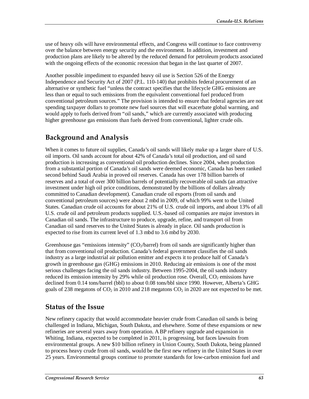use of heavy oils will have environmental effects, and Congress will continue to face controversy over the balance between energy security and the environment. In addition, investment and production plans are likely to be altered by the reduced demand for petroleum products associated with the ongoing effects of the economic recession that began in the last quarter of 2007.

Another possible impediment to expanded heavy oil use is Section 526 of the Energy Independence and Security Act of 2007 (P.L. 110-140) that prohibits federal procurement of an alternative or synthetic fuel "unless the contract specifies that the lifecycle GHG emissions are less than or equal to such emissions from the equivalent conventional fuel produced from conventional petroleum sources." The provision is intended to ensure that federal agencies are not spending taxpayer dollars to promote new fuel sources that will exacerbate global warming, and would apply to fuels derived from "oil sands," which are currently associated with producing higher greenhouse gas emissions than fuels derived from conventional, lighter crude oils.

## **Background and Analysis**

When it comes to future oil supplies, Canada's oil sands will likely make up a larger share of U.S. oil imports. Oil sands account for about 42% of Canada's total oil production, and oil sand production is increasing as conventional oil production declines. Since 2004, when production from a substantial portion of Canada's oil sands were deemed economic, Canada has been ranked second behind Saudi Arabia in proved oil reserves. Canada has over 178 billion barrels of reserves and a total of over 300 billion barrels of potentially recoverable oil sands (an attractive investment under high oil price conditions, demonstrated by the billions of dollars already committed to Canadian development). Canadian crude oil exports (from oil sands and conventional petroleum sources) were about 2 mbd in 2009, of which 99% went to the United States. Canadian crude oil accounts for about 21% of U.S. crude oil imports, and about 13% of all U.S. crude oil and petroleum products supplied. U.S.-based oil companies are major investors in Canadian oil sands. The infrastructure to produce, upgrade, refine, and transport oil from Canadian oil sand reserves to the United States is already in place. Oil sands production is expected to rise from its current level of 1.3 mbd to 3.6 mbd by 2030.

Greenhouse gas "emissions intensity"  $\text{CO}_2$ /barrel) from oil sands are significantly higher than that from conventional oil production. Canada's federal government classifies the oil sands industry as a large industrial air pollution emitter and expects it to produce half of Canada's growth in greenhouse gas (GHG) emissions in 2010. Reducing air emissions is one of the most serious challenges facing the oil sands industry. Between 1995-2004, the oil sands industry reduced its emission intensity by 29% while oil production rose. Overall,  $CO<sub>2</sub>$  emissions have declined from 0.14 tons/barrel (bbl) to about 0.08 tons/bbl since 1990. However, Alberta's GHG goals of 238 megatons of  $CO<sub>2</sub>$  in 2010 and 218 megatons  $CO<sub>2</sub>$  in 2020 are not expected to be met.

#### **Status of the Issue**

New refinery capacity that would accommodate heavier crude from Canadian oil sands is being challenged in Indiana, Michigan, South Dakota, and elsewhere. Some of these expansions or new refineries are several years away from operation. A BP refinery upgrade and expansion in Whiting, Indiana, expected to be completed in 2011, is progressing, but faces lawsuits from environmental groups. A new \$10 billion refinery in Union County, South Dakota, being planned to process heavy crude from oil sands, would be the first new refinery in the United States in over 25 years. Environmental groups continue to promote standards for low-carbon emission fuel and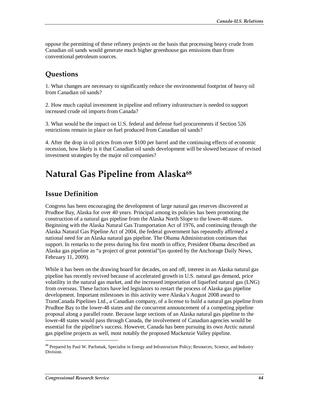oppose the permitting of these refinery projects on the basis that processing heavy crude from Canadian oil sands would generate much higher greenhouse gas emissions than from conventional petroleum sources.

## **Questions**

1. What changes are necessary to significantly reduce the environmental footprint of heavy oil from Canadian oil sands?

2. How much capital investment in pipeline and refinery infrastructure is needed to support increased crude oil imports from Canada?

3. What would be the impact on U.S. federal and defense fuel procurements if Section 526 restrictions remain in place on fuel produced from Canadian oil sands?

4. After the drop in oil prices from over \$100 per barrel and the continuing effects of economic recession, how likely is it that Canadian oil sands development will be slowed because of revised investment strategies by the major oil companies?

# **Natural Gas Pipeline from Alaska<sup>68</sup>**

### **Issue Definition**

Congress has been encouraging the development of large natural gas reserves discovered at Prudhoe Bay, Alaska for over 40 years. Principal among its policies has been promoting the construction of a natural gas pipeline from the Alaska North Slope to the lower-48 states. Beginning with the Alaska Natural Gas Transportation Act of 1976, and continuing through the Alaska Natural Gas Pipeline Act of 2004, the federal government has repeatedly affirmed a national need for an Alaska natural gas pipeline. The Obama Administration continues that support. In remarks to the press during his first month in office, President Obama described an Alaska gas pipeline as "a project of great potential"(as quoted by the Anchorage Daily News, February 11, 2009).

While it has been on the drawing board for decades, on and off, interest in an Alaska natural gas pipeline has recently revived because of accelerated growth in U.S. natural gas demand, price volatility in the natural gas market, and the increased importation of liquefied natural gas (LNG) from overseas. These factors have led legislators to restart the process of Alaska gas pipeline development. Important milestones in this activity were Alaska's August 2008 award to TransCanada Pipelines Ltd., a Canadian company, of a license to build a natural gas pipeline from Prudhoe Bay to the lower-48 states and the concurrent announcement of a competing pipeline proposal along a parallel route. Because large sections of an Alaska natural gas pipeline to the lower-48 states would pass through Canada, the involvement of Canadian agencies would be essential for the pipeline's success. However, Canada has been pursuing its own Arctic natural gas pipeline projects as well, most notably the proposed Mackenzie Valley pipeline.

<sup>&</sup>lt;sup>68</sup> Prepared by Paul W. Parfomak, Specialist in Energy and Infrastructure Policy; Resources, Science, and Industry Division.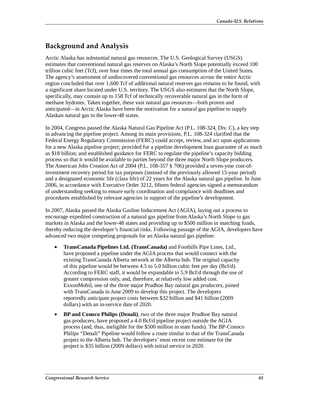## **Background and Analysis**

Arctic Alaska has substantial natural gas resources. The U.S. Geological Survey (USGS) estimates that conventional natural gas reserves on Alaska's North Slope potentially exceed 100 trillion cubic feet (Tcf), over four times the total annual gas consumption of the United States. The agency's assessment of undiscovered conventional gas resources across the entire Arctic region concluded that over 1,600 Tcf of additional natural reserves gas remains to be found, with a significant share located under U.S. territory. The USGS also estimates that the North Slope, specifically, may contain up to 158 Tcf of technically recoverable natural gas in the form of methane hydrates. Taken together, these vast natural gas resources—both proven and anticipated—in Arctic Alaska have been the motivation for a natural gas pipeline to supply Alaskan natural gas to the lower-48 states.

In 2004, Congress passed the Alaska Natural Gas Pipeline Act (P.L. 108-324, Div. C), a key step in advancing the pipeline project. Among its main provisions, P.L. 108-324 clarified that the Federal Energy Regulatory Commission (FERC) could accept, review, and act upon applications for a new Alaska pipeline project; provided for a pipeline development loan guarantee of as much as \$18 billion; and established guidance for FERC to regulate the pipeline's capacity bidding process so that it would be available to parties beyond the three major North Slope producers. The American Jobs Creation Act of 2004 (P.L. 108-357 § 706) provided a seven-year cost-ofinvestment recovery period for tax purposes (instead of the previously allowed 15-year period) and a designated economic life (class life) of 22 years for the Alaska natural gas pipeline. In June 2006, in accordance with Executive Order 3212, fifteen federal agencies signed a memorandum of understanding seeking to ensure early coordination and compliance with deadlines and procedures established by relevant agencies in support of the pipeline's development.

In 2007, Alaska passed the Alaska Gasline Inducement Act (AGIA), laying out a process to encourage expedited construction of a natural gas pipeline from Alaska's North Slope to gas markets in Alaska and the lower-48 states and providing up to \$500 million in matching funds, thereby reducing the developer's financial risks. Following passage of the AGIA, developers have advanced two major competing proposals for an Alaska natural gas pipeline:

- **TransCanada Pipelines Ltd. (TransCanada)** and Foothills Pipe Lines, Ltd., have proposed a pipeline under the AGIA process that would connect with the existing TransCanada Alberta network at the Alberta hub. The original capacity of this pipeline would be between 4.5 to 5.0 billion cubic feet per day (Bcf/d). According to FERC staff, it would be expandable to 5.9 Bcf/d through the use of greater compression only, and, therefore, at relatively low added cost. ExxonMobil, one of the three major Prudhoe Bay natural gas producers, joined with TransCanada in June 2009 to develop this project. The developers reportedly anticipate project costs between \$32 billion and \$41 billion (2009 dollars) with an in-service date of 2020.
- **BP and Conoco Philips (Denali)**, two of the three major Prudhoe Bay natural gas producers, have proposed a 4.0 Bcf/d pipeline project outside the AGIA process (and, thus, ineligible for the \$500 million in state funds). The BP-Conoco Philips "Denali" Pipeline would follow a route similar to that of the TransCanada project to the Alberta hub. The developers' most recent cost estimate for the project is \$35 billion (2009 dollars) with initial service in 2020.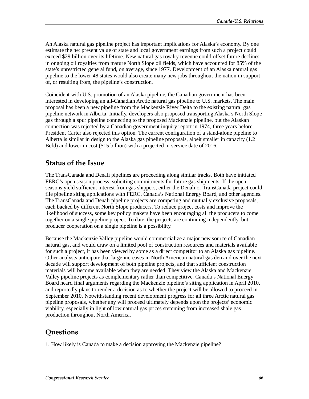An Alaska natural gas pipeline project has important implications for Alaska's economy. By one estimate the net present value of state and local government earnings from such a project could exceed \$29 billion over its lifetime. New natural gas royalty revenue could offset future declines in ongoing oil royalties from mature North Slope oil fields, which have accounted for 85% of the state's unrestricted general fund, on average, since 1977. Development of an Alaska natural gas pipeline to the lower-48 states would also create many new jobs throughout the nation in support of, or resulting from, the pipeline's construction.

Coincident with U.S. promotion of an Alaska pipeline, the Canadian government has been interested in developing an all-Canadian Arctic natural gas pipeline to U.S. markets. The main proposal has been a new pipeline from the Mackenzie River Delta to the existing natural gas pipeline network in Alberta. Initially, developers also proposed transporting Alaska's North Slope gas through a spur pipeline connecting to the proposed Mackenzie pipeline, but the Alaskan connection was rejected by a Canadian government inquiry report in 1974, three years before President Carter also rejected this option. The current configuration of a stand-alone pipeline to Alberta is similar in design to the Alaska gas pipeline proposals, albeit smaller in capacity (1.2 Bcfd) and lower in cost (\$15 billion) with a projected in-service date of 2016.

#### **Status of the Issue**

The TransCanada and Denali pipelines are proceeding along similar tracks. Both have initiated FERC's open season process, soliciting commitments for future gas shipments. If the open seasons yield sufficient interest from gas shippers, either the Denali or TransCanada project could file pipeline siting applications with FERC, Canada's National Energy Board, and other agencies. The TransCanada and Denali pipeline projects are competing and mutually exclusive proposals, each backed by different North Slope producers. To reduce project costs and improve the likelihood of success, some key policy makers have been encouraging all the producers to come together on a single pipeline project. To date, the projects are continuing independently, but producer cooperation on a single pipeline is a possibility.

Because the Mackenzie Valley pipeline would commercialize a major new source of Canadian natural gas, and would draw on a limited pool of construction resources and materials available for such a project, it has been viewed by some as a direct competitor to an Alaska gas pipeline. Other analysts anticipate that large increases in North American natural gas demand over the next decade will support development of both pipeline projects, and that sufficient construction materials will become available when they are needed. They view the Alaska and Mackenzie Valley pipeline projects as complementary rather than competitive. Canada's National Energy Board heard final arguments regarding the Mackenzie pipeline's siting application in April 2010, and reportedly plans to render a decision as to whether the project will be allowed to proceed in September 2010. Notwithstanding recent development progress for all three Arctic natural gas pipeline proposals, whether any will proceed ultimately depends upon the projects' economic viability, especially in light of low natural gas prices stemming from increased shale gas production throughout North America.

### **Questions**

1. How likely is Canada to make a decision approving the Mackenzie pipeline?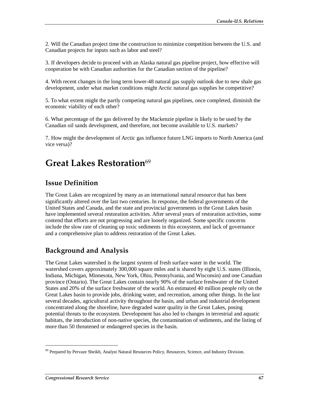2. Will the Canadian project time the construction to minimize competition between the U.S. and Canadian projects for inputs such as labor and steel?

3. If developers decide to proceed with an Alaska natural gas pipeline project, how effective will cooperation be with Canadian authorities for the Canadian section of the pipeline?

4. With recent changes in the long term lower-48 natural gas supply outlook due to new shale gas development, under what market conditions might Arctic natural gas supplies be competitive?

5. To what extent might the partly competing natural gas pipelines, once completed, diminish the economic viability of each other?

6. What percentage of the gas delivered by the Mackenzie pipeline is likely to be used by the Canadian oil sands development, and therefore, not become available to U.S. markets?

7. How might the development of Arctic gas influence future LNG imports to North America (and vice versa)?

# **Great Lakes Restoration**<sup>69</sup>

#### **Issue Definition**

The Great Lakes are recognized by many as an international natural resource that has been significantly altered over the last two centuries. In response, the federal governments of the United States and Canada, and the state and provincial governments in the Great Lakes basin have implemented several restoration activities. After several years of restoration activities, some contend that efforts are not progressing and are loosely organized. Some specific concerns include the slow rate of cleaning up toxic sediments in this ecosystem, and lack of governance and a comprehensive plan to address restoration of the Great Lakes.

### **Background and Analysis**

The Great Lakes watershed is the largest system of fresh surface water in the world. The watershed covers approximately 300,000 square miles and is shared by eight U.S. states (Illinois, Indiana, Michigan, Minnesota, New York, Ohio, Pennsylvania, and Wisconsin) and one Canadian province (Ontario). The Great Lakes contain nearly 90% of the surface freshwater of the United States and 20% of the surface freshwater of the world. An estimated 40 million people rely on the Great Lakes basin to provide jobs, drinking water, and recreation, among other things. In the last several decades, agricultural activity throughout the basin, and urban and industrial development concentrated along the shoreline, have degraded water quality in the Great Lakes, posing potential threats to the ecosystem. Development has also led to changes in terrestrial and aquatic habitats, the introduction of non-native species, the contamination of sediments, and the listing of more than 50 threatened or endangered species in the basin.

<sup>&</sup>lt;sup>69</sup> Prepared by Pervaze Sheikh, Analyst Natural Resources Policy, Resources, Science, and Industry Division.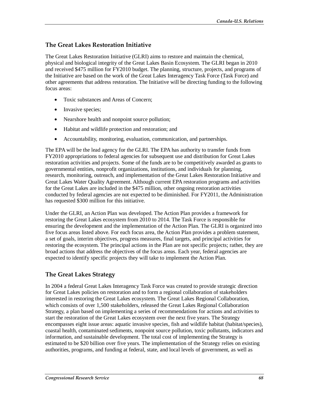## **The Great Lakes Restoration Initiative**

The Great Lakes Restoration Initiative (GLRI) aims to restore and maintain the chemical, physical and biological integrity of the Great Lakes Basin Ecosystem. The GLRI began in 2010 and received \$475 million for FY2010 budget. The planning, structure, projects, and programs of the Initiative are based on the work of the Great Lakes Interagency Task Force (Task Force) and other agreements that address restoration. The Initiative will be directing funding to the following focus areas:

- Toxic substances and Areas of Concern;
- Invasive species;
- Nearshore health and nonpoint source pollution;
- Habitat and wildlife protection and restoration; and
- Accountability, monitoring, evaluation, communication, and partnerships.

The EPA will be the lead agency for the GLRI. The EPA has authority to transfer funds from FY2010 appropriations to federal agencies for subsequent use and distribution for Great Lakes restoration activities and projects. Some of the funds are to be competitively awarded as grants to governmental entities, nonprofit organizations, institutions, and individuals for planning, research, monitoring, outreach, and implementation of the Great Lakes Restoration Initiative and Great Lakes Water Quality Agreement. Although current EPA restoration programs and activities for the Great Lakes are included in the \$475 million, other ongoing restoration activities conducted by federal agencies are not expected to be diminished. For FY2011, the Administration has requested \$300 million for this initiative.

Under the GLRI, an Action Plan was developed. The Action Plan provides a framework for restoring the Great Lakes ecosystem from 2010 to 2014. The Task Force is responsible for ensuring the development and the implementation of the Action Plan. The GLRI is organized into five focus areas listed above. For each focus area, the Action Plan provides a problem statement, a set of goals, interim objectives, progress measures, final targets, and principal activities for restoring the ecosystem. The principal actions in the Plan are not specific projects; rather, they are broad actions that address the objectives of the focus areas. Each year, federal agencies are expected to identify specific projects they will take to implement the Action Plan.

### **The Great Lakes Strategy**

In 2004 a federal Great Lakes Interagency Task Force was created to provide strategic direction for Great Lakes policies on restoration and to form a regional collaboration of stakeholders interested in restoring the Great Lakes ecosystem. The Great Lakes Regional Collaboration, which consists of over 1,500 stakeholders, released the Great Lakes Regional Collaboration Strategy, a plan based on implementing a series of recommendations for actions and activities to start the restoration of the Great Lakes ecosystem over the next five years. The Strategy encompasses eight issue areas: aquatic invasive species, fish and wildlife habitat (habitat/species), coastal health, contaminated sediments, nonpoint source pollution, toxic pollutants, indicators and information, and sustainable development. The total cost of implementing the Strategy is estimated to be \$20 billion over five years. The implementation of the Strategy relies on existing authorities, programs, and funding at federal, state, and local levels of government, as well as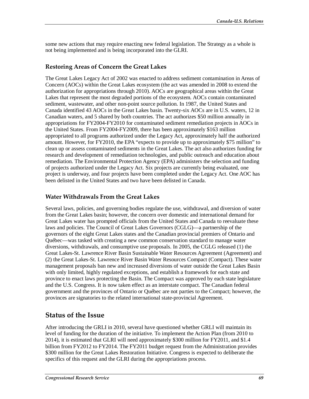some new actions that may require enacting new federal legislation. The Strategy as a whole is not being implemented and is being incorporated into the GLRI.

#### **Restoring Areas of Concern the Great Lakes**

The Great Lakes Legacy Act of 2002 was enacted to address sediment contamination in Areas of Concern (AOCs) within the Great Lakes ecosystem (the act was amended in 2008 to extend the authorization for appropriations through 2010). AOCs are geographical areas within the Great Lakes that represent the most degraded portions of the ecosystem. AOCs contain contaminated sediment, wastewater, and other non-point source pollution. In 1987, the United States and Canada identified 43 AOCs in the Great Lakes basin. Twenty-six AOCs are in U.S. waters, 12 in Canadian waters, and 5 shared by both countries. The act authorizes \$50 million annually in appropriations for FY2004-FY2010 for contaminated sediment remediation projects in AOCs in the United States. From FY2004-FY2009, there has been approximately \$163 million appropriated to all programs authorized under the Legacy Act, approximately half the authorized amount. However, for FY2010, the EPA "expects to provide up to approximately \$75 million" to clean up or assess contaminated sediments in the Great Lakes. The act also authorizes funding for research and development of remediation technologies, and public outreach and education about remediation. The Environmental Protection Agency (EPA) administers the selection and funding of projects authorized under the Legacy Act. Six projects are currently being evaluated, one project is underway, and four projects have been completed under the Legacy Act. One AOC has been delisted in the United States and two have been delisted in Canada.

#### **Water Withdrawals From the Great Lakes**

Several laws, policies, and governing bodies regulate the use, withdrawal, and diversion of water from the Great Lakes basin; however, the concern over domestic and international demand for Great Lakes water has prompted officials from the United States and Canada to reevaluate these laws and policies. The Council of Great Lakes Governors (CGLG)—a partnership of the governors of the eight Great Lakes states and the Canadian provincial premiers of Ontario and Québec—was tasked with creating a new common conservation standard to manage water diversions, withdrawals, and consumptive use proposals. In 2005, the CGLG released (1) the Great Lakes-St. Lawrence River Basin Sustainable Water Resources Agreement (Agreement) and (2) the Great Lakes-St. Lawrence River Basin Water Resources Compact (Compact). These water management proposals ban new and increased diversions of water outside the Great Lakes Basin with only limited, highly regulated exceptions, and establish a framework for each state and province to enact laws protecting the Basin. The Compact was approved by each state legislature and the U.S. Congress. It is now taken effect as an interstate compact. The Canadian federal government and the provinces of Ontario or Québec are not parties to the Compact; however, the provinces are signatories to the related international state-provincial Agreement.

## **Status of the Issue**

After introducing the GRLI in 2010, several have questioned whether GRLI will maintain its level of funding for the duration of the initiative. To implement the Action Plan (from 2010 to 2014), it is estimated that GLRI will need approximately \$300 million for FY2011, and \$1.4 billion from FY2012 to FY2014. The FY2011 budget request from the Administration provides \$300 million for the Great Lakes Restoration Initiative. Congress is expected to deliberate the specifics of this request and the GLRI during the appropriations process.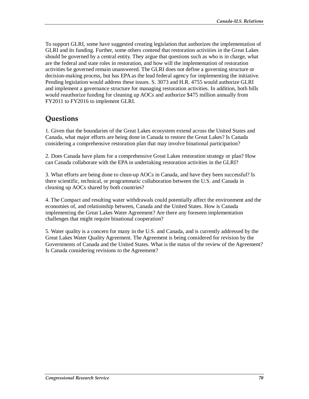To support GLRI, some have suggested creating legislation that authorizes the implementation of GLRI and its funding. Further, some others contend that restoration activities in the Great Lakes should be governed by a central entity. They argue that questions such as who is in charge, what are the federal and state roles in restoration, and how will the implementation of restoration activities be governed remain unanswered. The GLRI does not define a governing structure or decision-making process, but has EPA as the lead federal agency for implementing the initiative. Pending legislation would address these issues. S. 3073 and H.R. 4755 would authorize GLRI and implement a governance structure for managing restoration activities. In addition, both bills would reauthorize funding for cleaning up AOCs and authorize \$475 million annually from FY2011 to FY2016 to implement GLRI.

# **Questions**

1. Given that the boundaries of the Great Lakes ecosystem extend across the United States and Canada, what major efforts are being done in Canada to restore the Great Lakes? Is Canada considering a comprehensive restoration plan that may involve binational participation?

2. Does Canada have plans for a comprehensive Great Lakes restoration strategy or plan? How can Canada collaborate with the EPA in undertaking restoration activities in the GLRI?

3. What efforts are being done to clean-up AOCs in Canada, and have they been successful? Is there scientific, technical, or programmatic collaboration between the U.S. and Canada in cleaning up AOCs shared by both countries?

4. The Compact and resulting water withdrawals could potentially affect the environment and the economies of, and relationship between, Canada and the United States. How is Canada implementing the Great Lakes Water Agreement? Are there any foreseen implementation challenges that might require binational cooperation?

5. Water quality is a concern for many in the U.S. and Canada, and is currently addressed by the Great Lakes Water Quality Agreement. The Agreement is being considered for revision by the Governments of Canada and the United States. What is the status of the review of the Agreement? Is Canada considering revisions to the Agreement?